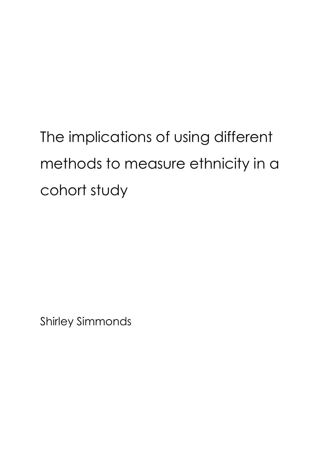The implications of using different methods to measure ethnicity in a cohort study

Shirley Simmonds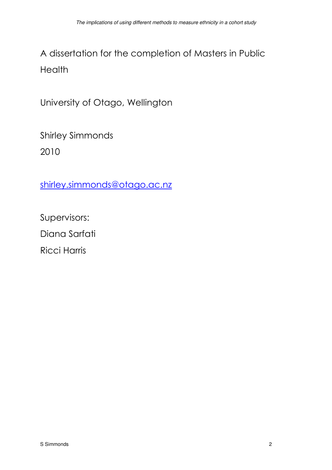A dissertation for the completion of Masters in Public **Health** 

University of Otago, Wellington

Shirley Simmonds 2010

shirley.simmonds@otago.ac.nz

Supervisors: Diana Sarfati Ricci Harris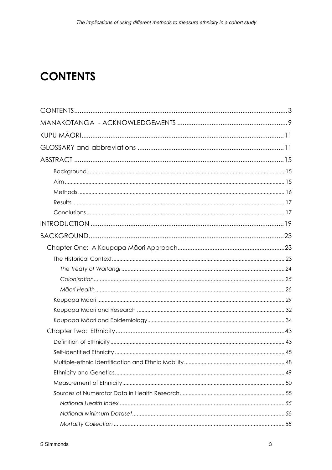# **CONTENTS**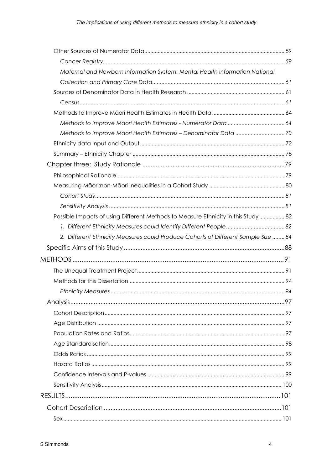| Maternal and Newborn Information System, Mental Health Information National       |  |
|-----------------------------------------------------------------------------------|--|
|                                                                                   |  |
|                                                                                   |  |
|                                                                                   |  |
|                                                                                   |  |
|                                                                                   |  |
|                                                                                   |  |
|                                                                                   |  |
|                                                                                   |  |
|                                                                                   |  |
|                                                                                   |  |
|                                                                                   |  |
|                                                                                   |  |
|                                                                                   |  |
| Possible Impacts of using Different Methods to Measure Ethnicity in this Study 82 |  |
|                                                                                   |  |
| 2. Different Ethnicity Measures could Produce Cohorts of Different Sample Size 84 |  |
|                                                                                   |  |
|                                                                                   |  |
|                                                                                   |  |
|                                                                                   |  |
|                                                                                   |  |
|                                                                                   |  |
|                                                                                   |  |
|                                                                                   |  |
|                                                                                   |  |
|                                                                                   |  |
|                                                                                   |  |
|                                                                                   |  |
|                                                                                   |  |
|                                                                                   |  |
|                                                                                   |  |
|                                                                                   |  |
|                                                                                   |  |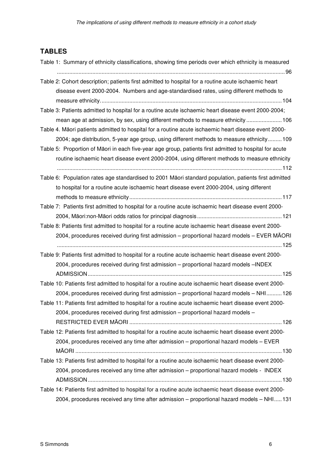### **TABLES**

| Table 1: Summary of ethnicity classifications, showing time periods over which ethnicity is measured                                                                                            |
|-------------------------------------------------------------------------------------------------------------------------------------------------------------------------------------------------|
| Table 2: Cohort description; patients first admitted to hospital for a routine acute ischaemic heart<br>disease event 2000-2004. Numbers and age-standardised rates, using different methods to |
|                                                                                                                                                                                                 |
| Table 3: Patients admitted to hospital for a routine acute ischaemic heart disease event 2000-2004;                                                                                             |
| mean age at admission, by sex, using different methods to measure ethnicity  106                                                                                                                |
| Table 4. Māori patients admitted to hospital for a routine acute ischaemic heart disease event 2000-                                                                                            |
| 2004; age distribution, 5-year age group, using different methods to measure ethnicity 109                                                                                                      |
| Table 5: Proportion of Māori in each five-year age group, patients first admitted to hospital for acute                                                                                         |
| routine ischaemic heart disease event 2000-2004, using different methods to measure ethnicity                                                                                                   |
| Table 6: Population rates age standardised to 2001 Māori standard population, patients first admitted                                                                                           |
| to hospital for a routine acute ischaemic heart disease event 2000-2004, using different                                                                                                        |
| Table 7: Patients first admitted to hospital for a routine acute ischaemic heart disease event 2000-                                                                                            |
|                                                                                                                                                                                                 |
| Table 8: Patients first admitted to hospital for a routine acute ischaemic heart disease event 2000-                                                                                            |
| 2004, procedures received during first admission – proportional hazard models – EVER MAORI                                                                                                      |
| Table 9: Patients first admitted to hospital for a routine acute ischaemic heart disease event 2000-                                                                                            |
| 2004, procedures received during first admission - proportional hazard models - INDEX                                                                                                           |
| Table 10: Patients first admitted to hospital for a routine acute ischaemic heart disease event 2000-                                                                                           |
| 2004, procedures received during first admission - proportional hazard models - NHI 126                                                                                                         |
| Table 11: Patients first admitted to hospital for a routine acute ischaemic heart disease event 2000-                                                                                           |
| 2004, procedures received during first admission – proportional hazard models –                                                                                                                 |
|                                                                                                                                                                                                 |
| Table 12: Patients first admitted to hospital for a routine acute ischaemic heart disease event 2000-                                                                                           |
| 2004, procedures received any time after admission – proportional hazard models – EVER                                                                                                          |
|                                                                                                                                                                                                 |
| Table 13: Patients first admitted to hospital for a routine acute ischaemic heart disease event 2000-                                                                                           |
| 2004, procedures received any time after admission – proportional hazard models - INDEX                                                                                                         |
|                                                                                                                                                                                                 |
| Table 14: Patients first admitted to hospital for a routine acute ischaemic heart disease event 2000-                                                                                           |
| 2004, procedures received any time after admission - proportional hazard models - NHI 131                                                                                                       |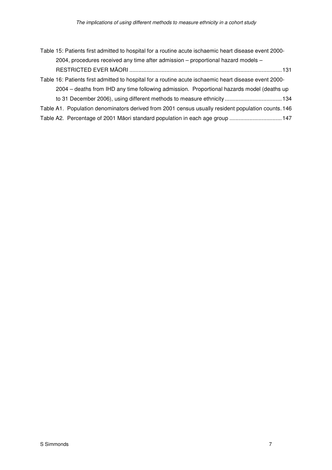| Table 15: Patients first admitted to hospital for a routine acute ischaemic heart disease event 2000- |
|-------------------------------------------------------------------------------------------------------|
| 2004, procedures received any time after admission – proportional hazard models –                     |
|                                                                                                       |
| Table 16: Patients first admitted to hospital for a routine acute ischaemic heart disease event 2000- |
| 2004 - deaths from IHD any time following admission. Proportional hazards model (deaths up            |

to 31 December 2006), using different methods to measure ethnicity.....................................134

Table A1. Population denominators derived from 2001 census usually resident population counts.146

Table A2. Percentage of 2001 Māori standard population in each age group ..................................147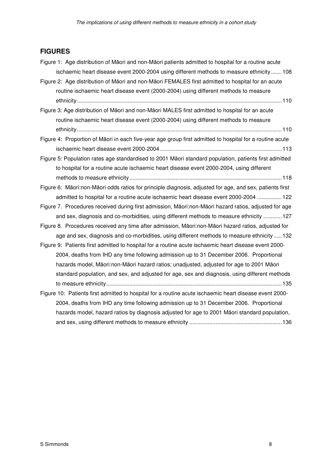### **FIGURES**

| Figure 1: Age distribution of Māori and non-Māori patients admitted to hospital for a routine acute      |
|----------------------------------------------------------------------------------------------------------|
| ischaemic heart disease event 2000-2004 using different methods to measure ethnicity  108                |
| Figure 2: Age distribution of Māori and non-Māori FEMALES first admitted to hospital for an acute        |
| routine ischaemic heart disease event (2000-2004) using different methods to measure                     |
|                                                                                                          |
| Figure 3: Age distribution of Māori and non-Māori MALES first admitted to hospital for an acute          |
| routine ischaemic heart disease event (2000-2004) using different methods to measure                     |
|                                                                                                          |
| Figure 4: Proportion of Māori in each five-year age group first admitted to hospital for a routine acute |
|                                                                                                          |
| Figure 5: Population rates age standardised to 2001 Māori standard population, patients first admitted   |
| to hospital for a routine acute ischaemic heart disease event 2000-2004, using different                 |
|                                                                                                          |
| Figure 6: Māori:non-Māori odds ratios for principle diagnosis, adjusted for age, and sex, patients first |
| admitted to hospital for a routine acute ischaemic heart disease event 2000-2004  122                    |
| Figure 7. Procedures received during first admission, Māori:non-Māori hazard ratios, adjusted for age    |
| and sex, diagnosis and co-morbidities, using different methods to measure ethnicity  127                 |
| Figure 8. Procedures received any time after admission, Māori:non-Māori hazard ratios, adjusted for      |
| age and sex, diagnosis and co-morbidities, using different methods to measure ethnicity  132             |
| Figure 9: Patients first admitted to hospital for a routine acute ischaemic heart disease event 2000-    |
| 2004, deaths from IHD any time following admission up to 31 December 2006. Proportional                  |
| hazards model, Māori:non-Māori hazard ratios; unadjusted, adjusted for age to 2001 Māori                 |
| standard population, and sex, and adjusted for age, sex and diagnosis, using different methods           |
|                                                                                                          |
| Figure 10: Patients first admitted to hospital for a routine acute ischaemic heart disease event 2000-   |
| 2004, deaths from IHD any time following admission up to 31 December 2006. Proportional                  |
| hazards model, hazard ratios by diagnosis adjusted for age to 2001 Māori standard population,            |
|                                                                                                          |
|                                                                                                          |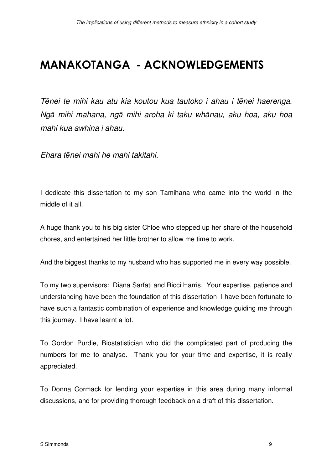# MANAKOTANGA - ACKNOWLEDGEMENTS

Tēnei te mihi kau atu kia koutou kua tautoko i ahau i tēnei haerenga. Ngā mihi mahana, ngā mihi aroha ki taku whānau, aku hoa, aku hoa mahi kua awhina i ahau.

Ehara tēnei mahi he mahi takitahi.

I dedicate this dissertation to my son Tamihana who came into the world in the middle of it all.

A huge thank you to his big sister Chloe who stepped up her share of the household chores, and entertained her little brother to allow me time to work.

And the biggest thanks to my husband who has supported me in every way possible.

To my two supervisors: Diana Sarfati and Ricci Harris. Your expertise, patience and understanding have been the foundation of this dissertation! I have been fortunate to have such a fantastic combination of experience and knowledge guiding me through this journey. I have learnt a lot.

To Gordon Purdie, Biostatistician who did the complicated part of producing the numbers for me to analyse. Thank you for your time and expertise, it is really appreciated.

To Donna Cormack for lending your expertise in this area during many informal discussions, and for providing thorough feedback on a draft of this dissertation.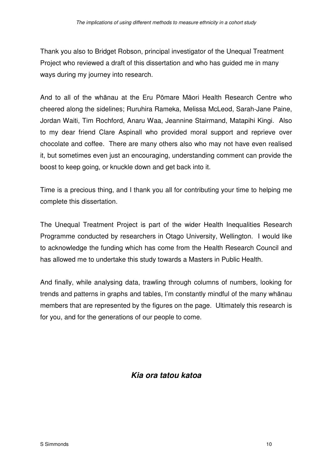Thank you also to Bridget Robson, principal investigator of the Unequal Treatment Project who reviewed a draft of this dissertation and who has guided me in many ways during my journey into research.

And to all of the whānau at the Eru Pōmare Māori Health Research Centre who cheered along the sidelines; Ruruhira Rameka, Melissa McLeod, Sarah-Jane Paine, Jordan Waiti, Tim Rochford, Anaru Waa, Jeannine Stairmand, Matapihi Kingi. Also to my dear friend Clare Aspinall who provided moral support and reprieve over chocolate and coffee. There are many others also who may not have even realised it, but sometimes even just an encouraging, understanding comment can provide the boost to keep going, or knuckle down and get back into it.

Time is a precious thing, and I thank you all for contributing your time to helping me complete this dissertation.

The Unequal Treatment Project is part of the wider Health Inequalities Research Programme conducted by researchers in Otago University, Wellington. I would like to acknowledge the funding which has come from the Health Research Council and has allowed me to undertake this study towards a Masters in Public Health.

And finally, while analysing data, trawling through columns of numbers, looking for trends and patterns in graphs and tables, I'm constantly mindful of the many whānau members that are represented by the figures on the page. Ultimately this research is for you, and for the generations of our people to come.

## **Kia ora tatou katoa**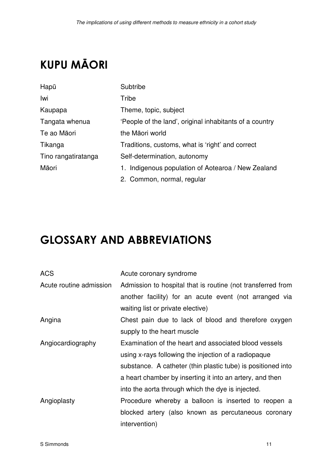# KUPU MĀORI

| Hapū                | Subtribe                                                |
|---------------------|---------------------------------------------------------|
| Iwi                 | Tribe                                                   |
| Kaupapa             | Theme, topic, subject                                   |
| Tangata whenua      | 'People of the land', original inhabitants of a country |
| Te ao Māori         | the Māori world                                         |
| Tikanga             | Traditions, customs, what is 'right' and correct        |
| Tino rangatiratanga | Self-determination, autonomy                            |
| Māori               | 1. Indigenous population of Aotearoa / New Zealand      |
|                     | 2. Common, normal, regular                              |

# GLOSSARY AND ABBREVIATIONS

| <b>ACS</b>              | Acute coronary syndrome                                      |
|-------------------------|--------------------------------------------------------------|
| Acute routine admission | Admission to hospital that is routine (not transferred from  |
|                         | another facility) for an acute event (not arranged via       |
|                         | waiting list or private elective)                            |
| Angina                  | Chest pain due to lack of blood and therefore oxygen         |
|                         | supply to the heart muscle                                   |
| Angiocardiography       | Examination of the heart and associated blood vessels        |
|                         | using x-rays following the injection of a radiopaque         |
|                         | substance. A catheter (thin plastic tube) is positioned into |
|                         | a heart chamber by inserting it into an artery, and then     |
|                         | into the aorta through which the dye is injected.            |
| Angioplasty             | Procedure whereby a balloon is inserted to reopen a          |
|                         | blocked artery (also known as percutaneous coronary          |
|                         | intervention)                                                |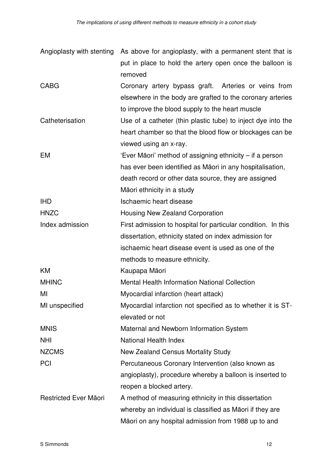| Angioplasty with stenting    | As above for angioplasty, with a permanent stent that is      |
|------------------------------|---------------------------------------------------------------|
|                              | put in place to hold the artery open once the balloon is      |
|                              | removed                                                       |
| <b>CABG</b>                  | Coronary artery bypass graft. Arteries or veins from          |
|                              | elsewhere in the body are grafted to the coronary arteries    |
|                              | to improve the blood supply to the heart muscle               |
| Catheterisation              | Use of a catheter (thin plastic tube) to inject dye into the  |
|                              | heart chamber so that the blood flow or blockages can be      |
|                              | viewed using an x-ray.                                        |
| EM                           | 'Ever Māori' method of assigning ethnicity – if a person      |
|                              | has ever been identified as Māori in any hospitalisation,     |
|                              | death record or other data source, they are assigned          |
|                              | Māori ethnicity in a study                                    |
| <b>IHD</b>                   | Ischaemic heart disease                                       |
| <b>HNZC</b>                  | Housing New Zealand Corporation                               |
| Index admission              | First admission to hospital for particular condition. In this |
|                              | dissertation, ethnicity stated on index admission for         |
|                              | ischaemic heart disease event is used as one of the           |
|                              | methods to measure ethnicity.                                 |
| <b>KM</b>                    | Kaupapa Māori                                                 |
| <b>MHINC</b>                 | <b>Mental Health Information National Collection</b>          |
| MI                           | Myocardial infarction (heart attack)                          |
| MI unspecified               | Myocardial infarction not specified as to whether it is ST-   |
|                              | elevated or not                                               |
| <b>MNIS</b>                  | Maternal and Newborn Information System                       |
| <b>NHI</b>                   | <b>National Health Index</b>                                  |
| <b>NZCMS</b>                 | <b>New Zealand Census Mortality Study</b>                     |
| <b>PCI</b>                   | Percutaneous Coronary Intervention (also known as             |
|                              | angioplasty), procedure whereby a balloon is inserted to      |
|                              | reopen a blocked artery.                                      |
| <b>Restricted Ever Māori</b> | A method of measuring ethnicity in this dissertation          |
|                              | whereby an individual is classified as Māori if they are      |
|                              | Māori on any hospital admission from 1988 up to and           |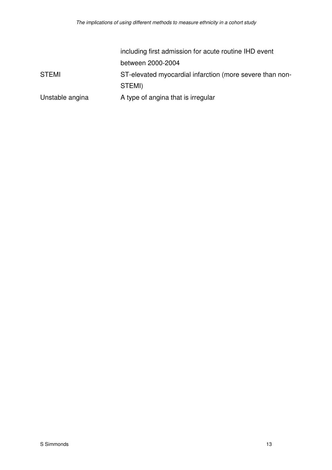|                 | including first admission for acute routine IHD event    |
|-----------------|----------------------------------------------------------|
|                 | between 2000-2004                                        |
| STEMI           | ST-elevated myocardial infarction (more severe than non- |
|                 | STEMI)                                                   |
| Unstable angina | A type of angina that is irregular                       |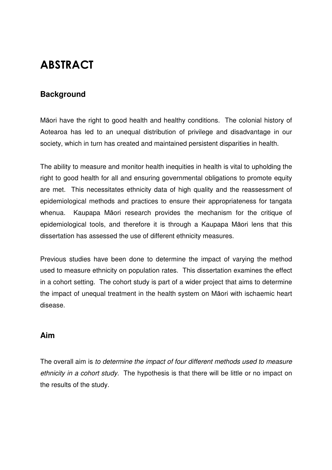# ABSTRACT

## **Background**

Māori have the right to good health and healthy conditions. The colonial history of Aotearoa has led to an unequal distribution of privilege and disadvantage in our society, which in turn has created and maintained persistent disparities in health.

The ability to measure and monitor health inequities in health is vital to upholding the right to good health for all and ensuring governmental obligations to promote equity are met. This necessitates ethnicity data of high quality and the reassessment of epidemiological methods and practices to ensure their appropriateness for tangata whenua. Kaupapa Māori research provides the mechanism for the critique of epidemiological tools, and therefore it is through a Kaupapa Māori lens that this dissertation has assessed the use of different ethnicity measures.

Previous studies have been done to determine the impact of varying the method used to measure ethnicity on population rates. This dissertation examines the effect in a cohort setting. The cohort study is part of a wider project that aims to determine the impact of unequal treatment in the health system on Māori with ischaemic heart disease.

### **Aim**

The overall aim is to determine the impact of four different methods used to measure ethnicity in a cohort study. The hypothesis is that there will be little or no impact on the results of the study.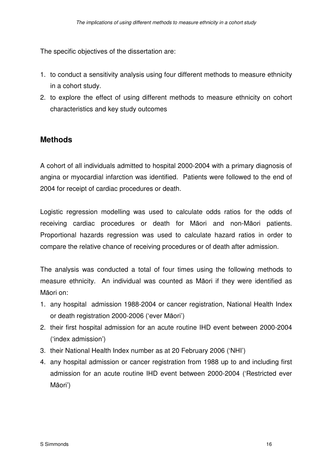The specific objectives of the dissertation are:

- 1. to conduct a sensitivity analysis using four different methods to measure ethnicity in a cohort study.
- 2. to explore the effect of using different methods to measure ethnicity on cohort characteristics and key study outcomes

## **Methods**

A cohort of all individuals admitted to hospital 2000-2004 with a primary diagnosis of angina or myocardial infarction was identified. Patients were followed to the end of 2004 for receipt of cardiac procedures or death.

Logistic regression modelling was used to calculate odds ratios for the odds of receiving cardiac procedures or death for Māori and non-Māori patients. Proportional hazards regression was used to calculate hazard ratios in order to compare the relative chance of receiving procedures or of death after admission.

The analysis was conducted a total of four times using the following methods to measure ethnicity. An individual was counted as Māori if they were identified as Māori on:

- 1. any hospital admission 1988-2004 or cancer registration, National Health Index or death registration 2000-2006 ('ever Māori')
- 2. their first hospital admission for an acute routine IHD event between 2000-2004 ('index admission')
- 3. their National Health Index number as at 20 February 2006 ('NHI')
- 4. any hospital admission or cancer registration from 1988 up to and including first admission for an acute routine IHD event between 2000-2004 ('Restricted ever Māori')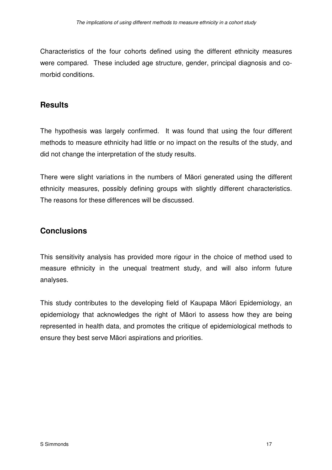Characteristics of the four cohorts defined using the different ethnicity measures were compared. These included age structure, gender, principal diagnosis and comorbid conditions.

### **Results**

The hypothesis was largely confirmed. It was found that using the four different methods to measure ethnicity had little or no impact on the results of the study, and did not change the interpretation of the study results.

There were slight variations in the numbers of Māori generated using the different ethnicity measures, possibly defining groups with slightly different characteristics. The reasons for these differences will be discussed.

## **Conclusions**

This sensitivity analysis has provided more rigour in the choice of method used to measure ethnicity in the unequal treatment study, and will also inform future analyses.

This study contributes to the developing field of Kaupapa Māori Epidemiology, an epidemiology that acknowledges the right of Māori to assess how they are being represented in health data, and promotes the critique of epidemiological methods to ensure they best serve Māori aspirations and priorities.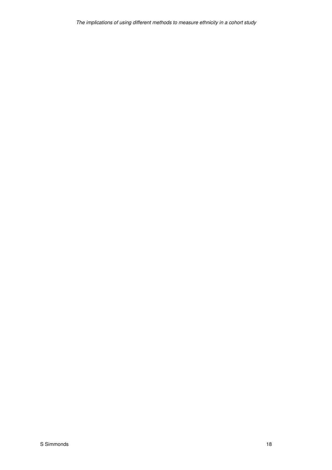The implications of using different methods to measure ethnicity in a cohort study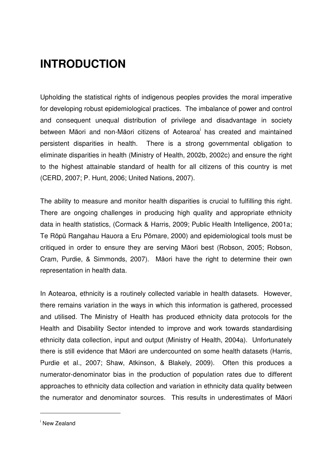# **INTRODUCTION**

Upholding the statistical rights of indigenous peoples provides the moral imperative for developing robust epidemiological practices. The imbalance of power and control and consequent unequal distribution of privilege and disadvantage in society between Māori and non-Māori citizens of Aotearoa<sup>i</sup> has created and maintained persistent disparities in health. There is a strong governmental obligation to eliminate disparities in health (Ministry of Health, 2002b, 2002c) and ensure the right to the highest attainable standard of health for all citizens of this country is met (CERD, 2007; P. Hunt, 2006; United Nations, 2007).

The ability to measure and monitor health disparities is crucial to fulfilling this right. There are ongoing challenges in producing high quality and appropriate ethnicity data in health statistics, (Cormack & Harris, 2009; Public Health Intelligence, 2001a; Te Rōpū Rangahau Hauora a Eru Pōmare, 2000) and epidemiological tools must be critiqued in order to ensure they are serving Māori best (Robson, 2005; Robson, Cram, Purdie, & Simmonds, 2007). Māori have the right to determine their own representation in health data.

In Aotearoa, ethnicity is a routinely collected variable in health datasets. However, there remains variation in the ways in which this information is gathered, processed and utilised. The Ministry of Health has produced ethnicity data protocols for the Health and Disability Sector intended to improve and work towards standardising ethnicity data collection, input and output (Ministry of Health, 2004a). Unfortunately there is still evidence that Māori are undercounted on some health datasets (Harris, Purdie et al., 2007; Shaw, Atkinson, & Blakely, 2009). Often this produces a numerator-denominator bias in the production of population rates due to different approaches to ethnicity data collection and variation in ethnicity data quality between the numerator and denominator sources. This results in underestimates of Māori

 $\overline{a}$ 

i New Zealand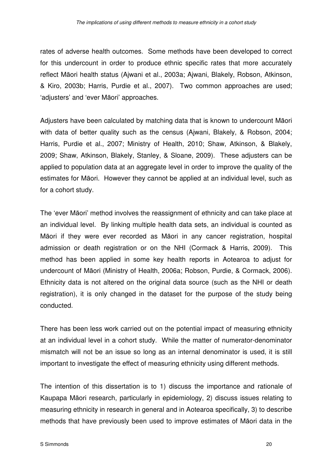rates of adverse health outcomes. Some methods have been developed to correct for this undercount in order to produce ethnic specific rates that more accurately reflect Māori health status (Ajwani et al., 2003a; Ajwani, Blakely, Robson, Atkinson, & Kiro, 2003b; Harris, Purdie et al., 2007). Two common approaches are used; 'adjusters' and 'ever Māori' approaches.

Adjusters have been calculated by matching data that is known to undercount Māori with data of better quality such as the census (Ajwani, Blakely, & Robson, 2004; Harris, Purdie et al., 2007; Ministry of Health, 2010; Shaw, Atkinson, & Blakely, 2009; Shaw, Atkinson, Blakely, Stanley, & Sloane, 2009). These adjusters can be applied to population data at an aggregate level in order to improve the quality of the estimates for Māori. However they cannot be applied at an individual level, such as for a cohort study.

The 'ever Māori' method involves the reassignment of ethnicity and can take place at an individual level. By linking multiple health data sets, an individual is counted as Māori if they were ever recorded as Māori in any cancer registration, hospital admission or death registration or on the NHI (Cormack & Harris, 2009). This method has been applied in some key health reports in Aotearoa to adjust for undercount of Māori (Ministry of Health, 2006a; Robson, Purdie, & Cormack, 2006). Ethnicity data is not altered on the original data source (such as the NHI or death registration), it is only changed in the dataset for the purpose of the study being conducted.

There has been less work carried out on the potential impact of measuring ethnicity at an individual level in a cohort study. While the matter of numerator-denominator mismatch will not be an issue so long as an internal denominator is used, it is still important to investigate the effect of measuring ethnicity using different methods.

The intention of this dissertation is to 1) discuss the importance and rationale of Kaupapa Māori research, particularly in epidemiology, 2) discuss issues relating to measuring ethnicity in research in general and in Aotearoa specifically, 3) to describe methods that have previously been used to improve estimates of Māori data in the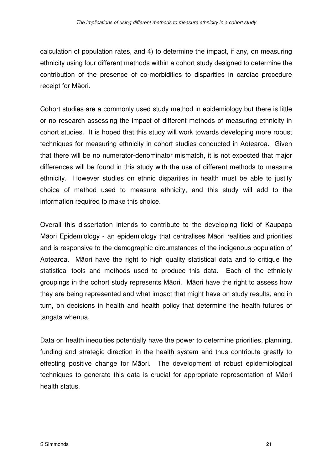calculation of population rates, and 4) to determine the impact, if any, on measuring ethnicity using four different methods within a cohort study designed to determine the contribution of the presence of co-morbidities to disparities in cardiac procedure receipt for Māori.

Cohort studies are a commonly used study method in epidemiology but there is little or no research assessing the impact of different methods of measuring ethnicity in cohort studies. It is hoped that this study will work towards developing more robust techniques for measuring ethnicity in cohort studies conducted in Aotearoa. Given that there will be no numerator-denominator mismatch, it is not expected that major differences will be found in this study with the use of different methods to measure ethnicity. However studies on ethnic disparities in health must be able to justify choice of method used to measure ethnicity, and this study will add to the information required to make this choice.

Overall this dissertation intends to contribute to the developing field of Kaupapa Māori Epidemiology - an epidemiology that centralises Māori realities and priorities and is responsive to the demographic circumstances of the indigenous population of Aotearoa. Māori have the right to high quality statistical data and to critique the statistical tools and methods used to produce this data. Each of the ethnicity groupings in the cohort study represents Māori. Māori have the right to assess how they are being represented and what impact that might have on study results, and in turn, on decisions in health and health policy that determine the health futures of tangata whenua.

Data on health inequities potentially have the power to determine priorities, planning, funding and strategic direction in the health system and thus contribute greatly to effecting positive change for Māori. The development of robust epidemiological techniques to generate this data is crucial for appropriate representation of Māori health status.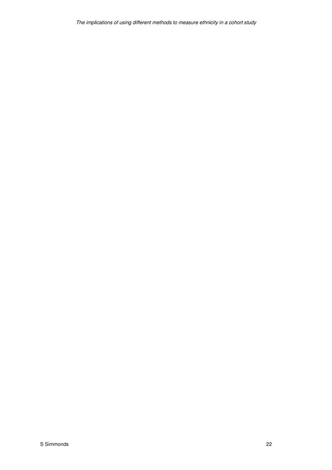The implications of using different methods to measure ethnicity in a cohort study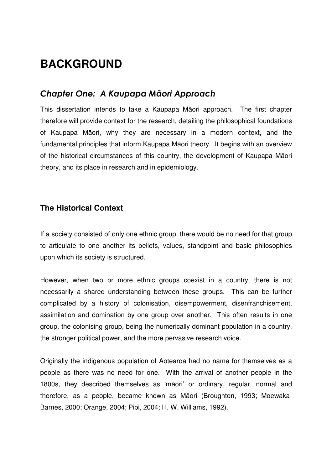# **BACKGROUND**

## Chapter One: A Kaupapa Māori Approach

This dissertation intends to take a Kaupapa Māori approach. The first chapter therefore will provide context for the research, detailing the philosophical foundations of Kaupapa Māori, why they are necessary in a modern context, and the fundamental principles that inform Kaupapa Māori theory. It begins with an overview of the historical circumstances of this country, the development of Kaupapa Māori theory, and its place in research and in epidemiology.

## **The Historical Context**

If a society consisted of only one ethnic group, there would be no need for that group to articulate to one another its beliefs, values, standpoint and basic philosophies upon which its society is structured.

However, when two or more ethnic groups coexist in a country, there is not necessarily a shared understanding between these groups. This can be further complicated by a history of colonisation, disempowerment, disenfranchisement, assimilation and domination by one group over another. This often results in one group, the colonising group, being the numerically dominant population in a country, the stronger political power, and the more pervasive research voice.

Originally the indigenous population of Aotearoa had no name for themselves as a people as there was no need for one. With the arrival of another people in the 1800s, they described themselves as 'māori' or ordinary, regular, normal and therefore, as a people, became known as Māori (Broughton, 1993; Moewaka-Barnes, 2000; Orange, 2004; Pipi, 2004; H. W. Williams, 1992).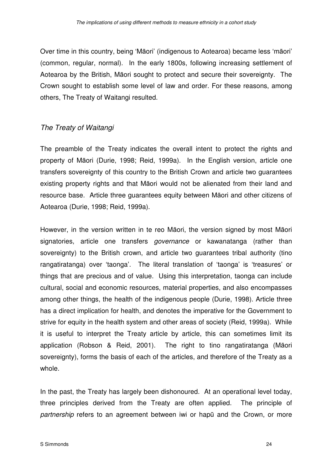Over time in this country, being 'Māori' (indigenous to Aotearoa) became less 'māori' (common, regular, normal). In the early 1800s, following increasing settlement of Aotearoa by the British, Māori sought to protect and secure their sovereignty. The Crown sought to establish some level of law and order. For these reasons, among others, The Treaty of Waitangi resulted.

#### The Treaty of Waitangi

The preamble of the Treaty indicates the overall intent to protect the rights and property of Māori (Durie, 1998; Reid, 1999a). In the English version, article one transfers sovereignty of this country to the British Crown and article two guarantees existing property rights and that Māori would not be alienated from their land and resource base. Article three guarantees equity between Māori and other citizens of Aotearoa (Durie, 1998; Reid, 1999a).

However, in the version written in te reo Māori, the version signed by most Māori signatories, article one transfers *governance* or kawanatanga (rather than sovereignty) to the British crown, and article two guarantees tribal authority (tino rangatiratanga) over 'taonga'. The literal translation of 'taonga' is 'treasures' or things that are precious and of value. Using this interpretation, taonga can include cultural, social and economic resources, material properties, and also encompasses among other things, the health of the indigenous people (Durie, 1998). Article three has a direct implication for health, and denotes the imperative for the Government to strive for equity in the health system and other areas of society (Reid, 1999a). While it is useful to interpret the Treaty article by article, this can sometimes limit its application (Robson & Reid, 2001). The right to tino rangatiratanga (Māori sovereignty), forms the basis of each of the articles, and therefore of the Treaty as a whole.

In the past, the Treaty has largely been dishonoured. At an operational level today, three principles derived from the Treaty are often applied. The principle of partnership refers to an agreement between iwi or hapū and the Crown, or more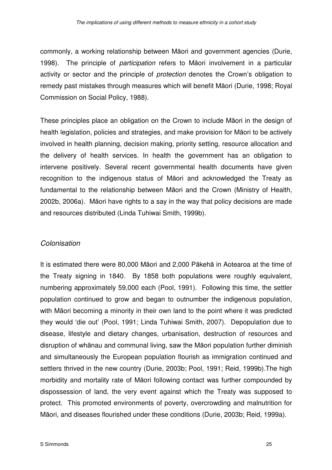commonly, a working relationship between Māori and government agencies (Durie, 1998). The principle of participation refers to Māori involvement in a particular activity or sector and the principle of protection denotes the Crown's obligation to remedy past mistakes through measures which will benefit Māori (Durie, 1998; Royal Commission on Social Policy, 1988).

These principles place an obligation on the Crown to include Māori in the design of health legislation, policies and strategies, and make provision for Māori to be actively involved in health planning, decision making, priority setting, resource allocation and the delivery of health services. In health the government has an obligation to intervene positively. Several recent governmental health documents have given recognition to the indigenous status of Māori and acknowledged the Treaty as fundamental to the relationship between Māori and the Crown (Ministry of Health, 2002b, 2006a). Māori have rights to a say in the way that policy decisions are made and resources distributed (Linda Tuhiwai Smith, 1999b).

### **Colonisation**

It is estimated there were 80,000 Māori and 2,000 Pākehā in Aotearoa at the time of the Treaty signing in 1840. By 1858 both populations were roughly equivalent, numbering approximately 59,000 each (Pool, 1991). Following this time, the settler population continued to grow and began to outnumber the indigenous population, with Māori becoming a minority in their own land to the point where it was predicted they would 'die out' (Pool, 1991; Linda Tuhiwai Smith, 2007). Depopulation due to disease, lifestyle and dietary changes, urbanisation, destruction of resources and disruption of whānau and communal living, saw the Māori population further diminish and simultaneously the European population flourish as immigration continued and settlers thrived in the new country (Durie, 2003b; Pool, 1991; Reid, 1999b).The high morbidity and mortality rate of Māori following contact was further compounded by dispossession of land, the very event against which the Treaty was supposed to protect. This promoted environments of poverty, overcrowding and malnutrition for Māori, and diseases flourished under these conditions (Durie, 2003b; Reid, 1999a).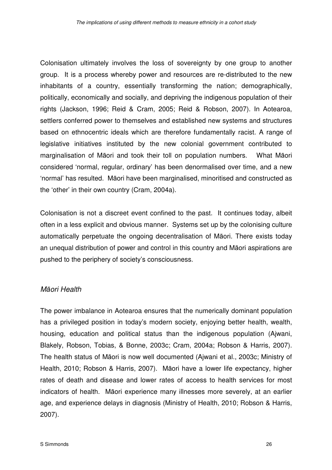Colonisation ultimately involves the loss of sovereignty by one group to another group. It is a process whereby power and resources are re-distributed to the new inhabitants of a country, essentially transforming the nation; demographically, politically, economically and socially, and depriving the indigenous population of their rights (Jackson, 1996; Reid & Cram, 2005; Reid & Robson, 2007). In Aotearoa, settlers conferred power to themselves and established new systems and structures based on ethnocentric ideals which are therefore fundamentally racist. A range of legislative initiatives instituted by the new colonial government contributed to marginalisation of Māori and took their toll on population numbers. What Māori considered 'normal, regular, ordinary' has been denormalised over time, and a new 'normal' has resulted. Māori have been marginalised, minoritised and constructed as the 'other' in their own country (Cram, 2004a).

Colonisation is not a discreet event confined to the past. It continues today, albeit often in a less explicit and obvious manner. Systems set up by the colonising culture automatically perpetuate the ongoing decentralisation of Māori. There exists today an unequal distribution of power and control in this country and Māori aspirations are pushed to the periphery of society's consciousness.

#### Māori Health

The power imbalance in Aotearoa ensures that the numerically dominant population has a privileged position in today's modern society, enjoying better health, wealth, housing, education and political status than the indigenous population (Ajwani, Blakely, Robson, Tobias, & Bonne, 2003c; Cram, 2004a; Robson & Harris, 2007). The health status of Māori is now well documented (Ajwani et al., 2003c; Ministry of Health, 2010; Robson & Harris, 2007). Māori have a lower life expectancy, higher rates of death and disease and lower rates of access to health services for most indicators of health. Māori experience many illnesses more severely, at an earlier age, and experience delays in diagnosis (Ministry of Health, 2010; Robson & Harris, 2007).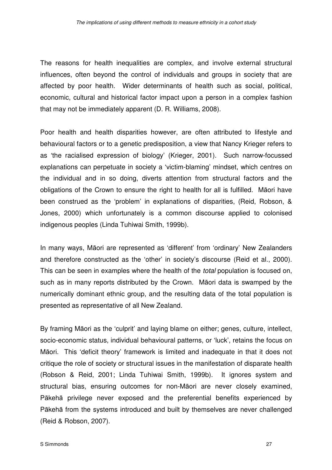The reasons for health inequalities are complex, and involve external structural influences, often beyond the control of individuals and groups in society that are affected by poor health. Wider determinants of health such as social, political, economic, cultural and historical factor impact upon a person in a complex fashion that may not be immediately apparent (D. R. Williams, 2008).

Poor health and health disparities however, are often attributed to lifestyle and behavioural factors or to a genetic predisposition, a view that Nancy Krieger refers to as 'the racialised expression of biology' (Krieger, 2001). Such narrow-focussed explanations can perpetuate in society a 'victim-blaming' mindset, which centres on the individual and in so doing, diverts attention from structural factors and the obligations of the Crown to ensure the right to health for all is fulfilled. Māori have been construed as the 'problem' in explanations of disparities, (Reid, Robson, & Jones, 2000) which unfortunately is a common discourse applied to colonised indigenous peoples (Linda Tuhiwai Smith, 1999b).

In many ways, Māori are represented as 'different' from 'ordinary' New Zealanders and therefore constructed as the 'other' in society's discourse (Reid et al., 2000). This can be seen in examples where the health of the total population is focused on, such as in many reports distributed by the Crown. Māori data is swamped by the numerically dominant ethnic group, and the resulting data of the total population is presented as representative of all New Zealand.

By framing Māori as the 'culprit' and laying blame on either; genes, culture, intellect, socio-economic status, individual behavioural patterns, or 'luck', retains the focus on Māori. This 'deficit theory' framework is limited and inadequate in that it does not critique the role of society or structural issues in the manifestation of disparate health (Robson & Reid, 2001; Linda Tuhiwai Smith, 1999b). It ignores system and structural bias, ensuring outcomes for non-Māori are never closely examined, Pākehā privilege never exposed and the preferential benefits experienced by Pākehā from the systems introduced and built by themselves are never challenged (Reid & Robson, 2007).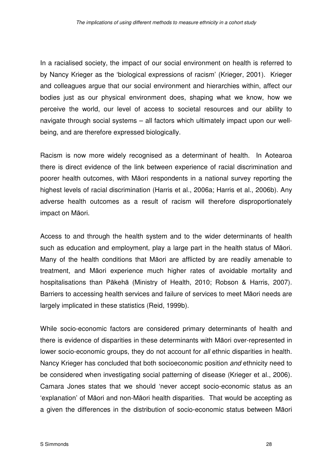In a racialised society, the impact of our social environment on health is referred to by Nancy Krieger as the 'biological expressions of racism' (Krieger, 2001). Krieger and colleagues argue that our social environment and hierarchies within, affect our bodies just as our physical environment does, shaping what we know, how we perceive the world, our level of access to societal resources and our ability to navigate through social systems – all factors which ultimately impact upon our wellbeing, and are therefore expressed biologically.

Racism is now more widely recognised as a determinant of health. In Aotearoa there is direct evidence of the link between experience of racial discrimination and poorer health outcomes, with Māori respondents in a national survey reporting the highest levels of racial discrimination (Harris et al., 2006a; Harris et al., 2006b). Any adverse health outcomes as a result of racism will therefore disproportionately impact on Māori.

Access to and through the health system and to the wider determinants of health such as education and employment, play a large part in the health status of Māori. Many of the health conditions that Māori are afflicted by are readily amenable to treatment, and Māori experience much higher rates of avoidable mortality and hospitalisations than Pākehā (Ministry of Health, 2010; Robson & Harris, 2007). Barriers to accessing health services and failure of services to meet Māori needs are largely implicated in these statistics (Reid, 1999b).

While socio-economic factors are considered primary determinants of health and there is evidence of disparities in these determinants with Māori over-represented in lower socio-economic groups, they do not account for all ethnic disparities in health. Nancy Krieger has concluded that both socioeconomic position and ethnicity need to be considered when investigating social patterning of disease (Krieger et al., 2006). Camara Jones states that we should 'never accept socio-economic status as an 'explanation' of Māori and non-Māori health disparities. That would be accepting as a given the differences in the distribution of socio-economic status between Māori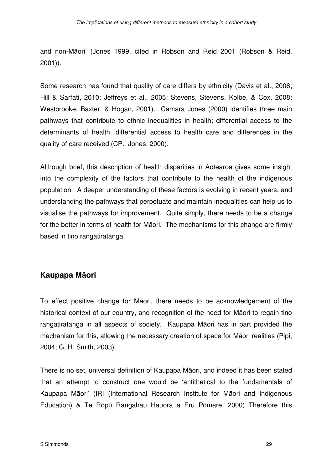and non-Māori' (Jones 1999, cited in Robson and Reid 2001 (Robson & Reid, 2001)).

Some research has found that quality of care differs by ethnicity (Davis et al., 2006; Hill & Sarfati, 2010; Jeffreys et al., 2005; Stevens, Stevens, Kolbe, & Cox, 2008; Westbrooke, Baxter, & Hogan, 2001). Camara Jones (2000) identifies three main pathways that contribute to ethnic inequalities in health; differential access to the determinants of health, differential access to health care and differences in the quality of care received (CP. Jones, 2000).

Although brief, this description of health disparities in Aotearoa gives some insight into the complexity of the factors that contribute to the health of the indigenous population. A deeper understanding of these factors is evolving in recent years, and understanding the pathways that perpetuate and maintain inequalities can help us to visualise the pathways for improvement. Quite simply, there needs to be a change for the better in terms of health for Māori. The mechanisms for this change are firmly based in tino rangatiratanga.

### **Kaupapa M**ā**ori**

To effect positive change for Māori, there needs to be acknowledgement of the historical context of our country, and recognition of the need for Māori to regain tino rangatiratanga in all aspects of society. Kaupapa Māori has in part provided the mechanism for this, allowing the necessary creation of space for Māori realities (Pipi, 2004; G. H. Smith, 2003).

There is no set, universal definition of Kaupapa Māori, and indeed it has been stated that an attempt to construct one would be 'antithetical to the fundamentals of Kaupapa Māori' (IRI (International Research Institute for Māori and Indigenous Education) & Te Rōpū Rangahau Hauora a Eru Pōmare, 2000) Therefore this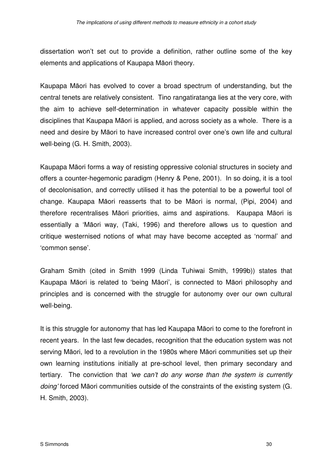dissertation won't set out to provide a definition, rather outline some of the key elements and applications of Kaupapa Māori theory.

Kaupapa Māori has evolved to cover a broad spectrum of understanding, but the central tenets are relatively consistent. Tino rangatiratanga lies at the very core, with the aim to achieve self-determination in whatever capacity possible within the disciplines that Kaupapa Māori is applied, and across society as a whole. There is a need and desire by Māori to have increased control over one's own life and cultural well-being (G. H. Smith, 2003).

Kaupapa Māori forms a way of resisting oppressive colonial structures in society and offers a counter-hegemonic paradigm (Henry & Pene, 2001). In so doing, it is a tool of decolonisation, and correctly utilised it has the potential to be a powerful tool of change. Kaupapa Māori reasserts that to be Māori is normal, (Pipi, 2004) and therefore recentralises Māori priorities, aims and aspirations. Kaupapa Māori is essentially a 'Māori way, (Taki, 1996) and therefore allows us to question and critique westernised notions of what may have become accepted as 'normal' and 'common sense'.

Graham Smith (cited in Smith 1999 (Linda Tuhiwai Smith, 1999b)) states that Kaupapa Māori is related to 'being Māori', is connected to Māori philosophy and principles and is concerned with the struggle for autonomy over our own cultural well-being.

It is this struggle for autonomy that has led Kaupapa Māori to come to the forefront in recent years. In the last few decades, recognition that the education system was not serving Māori, led to a revolution in the 1980s where Māori communities set up their own learning institutions initially at pre-school level, then primary secondary and tertiary. The conviction that 'we can't do any worse than the system is currently doing' forced Māori communities outside of the constraints of the existing system (G. H. Smith, 2003).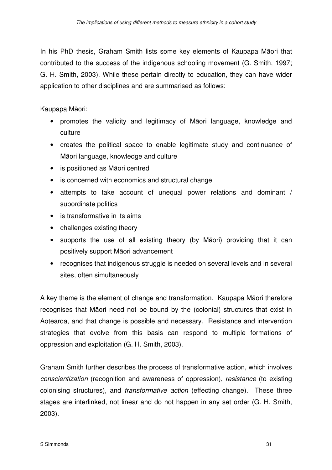In his PhD thesis, Graham Smith lists some key elements of Kaupapa Māori that contributed to the success of the indigenous schooling movement (G. Smith, 1997; G. H. Smith, 2003). While these pertain directly to education, they can have wider application to other disciplines and are summarised as follows:

Kaupapa Māori:

- promotes the validity and legitimacy of Māori language, knowledge and culture
- creates the political space to enable legitimate study and continuance of Māori language, knowledge and culture
- is positioned as Māori centred
- is concerned with economics and structural change
- attempts to take account of unequal power relations and dominant / subordinate politics
- is transformative in its aims
- challenges existing theory
- supports the use of all existing theory (by Māori) providing that it can positively support Māori advancement
- recognises that indigenous struggle is needed on several levels and in several sites, often simultaneously

A key theme is the element of change and transformation. Kaupapa Māori therefore recognises that Māori need not be bound by the (colonial) structures that exist in Aotearoa, and that change is possible and necessary. Resistance and intervention strategies that evolve from this basis can respond to multiple formations of oppression and exploitation (G. H. Smith, 2003).

Graham Smith further describes the process of transformative action, which involves conscientization (recognition and awareness of oppression), resistance (to existing colonising structures), and transformative action (effecting change). These three stages are interlinked, not linear and do not happen in any set order (G. H. Smith, 2003).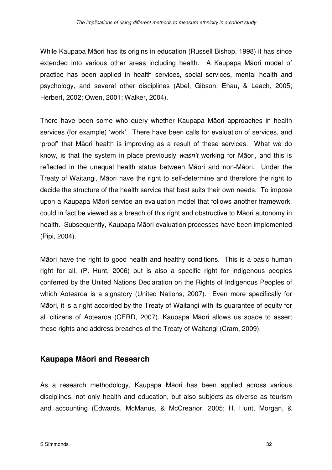While Kaupapa Māori has its origins in education (Russell Bishop, 1998) it has since extended into various other areas including health. A Kaupapa Māori model of practice has been applied in health services, social services, mental health and psychology, and several other disciplines (Abel, Gibson, Ehau, & Leach, 2005; Herbert, 2002; Owen, 2001; Walker, 2004).

There have been some who query whether Kaupapa Māori approaches in health services (for example) 'work'. There have been calls for evaluation of services, and 'proof' that Māori health is improving as a result of these services. What we do know, is that the system in place previously wasn't working for Māori, and this is reflected in the unequal health status between Māori and non-Māori. Under the Treaty of Waitangi, Māori have the right to self-determine and therefore the right to decide the structure of the health service that best suits their own needs. To impose upon a Kaupapa Māori service an evaluation model that follows another framework, could in fact be viewed as a breach of this right and obstructive to Māori autonomy in health. Subsequently, Kaupapa Māori evaluation processes have been implemented (Pipi, 2004).

Māori have the right to good health and healthy conditions. This is a basic human right for all, (P. Hunt, 2006) but is also a specific right for indigenous peoples conferred by the United Nations Declaration on the Rights of Indigenous Peoples of which Aotearoa is a signatory (United Nations, 2007). Even more specifically for Māori, it is a right accorded by the Treaty of Waitangi with its guarantee of equity for all citizens of Aotearoa (CERD, 2007). Kaupapa Māori allows us space to assert these rights and address breaches of the Treaty of Waitangi (Cram, 2009).

### **Kaupapa M**ā**ori and Research**

As a research methodology, Kaupapa Māori has been applied across various disciplines, not only health and education, but also subjects as diverse as tourism and accounting (Edwards, McManus, & McCreanor, 2005; H. Hunt, Morgan, &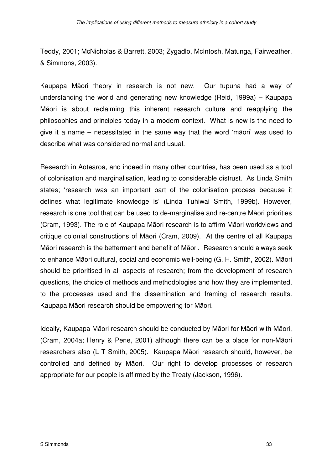Teddy, 2001; McNicholas & Barrett, 2003; Zygadlo, McIntosh, Matunga, Fairweather, & Simmons, 2003).

Kaupapa Māori theory in research is not new. Our tupuna had a way of understanding the world and generating new knowledge (Reid, 1999a) – Kaupapa Māori is about reclaiming this inherent research culture and reapplying the philosophies and principles today in a modern context. What is new is the need to give it a name – necessitated in the same way that the word 'māori' was used to describe what was considered normal and usual.

Research in Aotearoa, and indeed in many other countries, has been used as a tool of colonisation and marginalisation, leading to considerable distrust. As Linda Smith states; 'research was an important part of the colonisation process because it defines what legitimate knowledge is' (Linda Tuhiwai Smith, 1999b). However, research is one tool that can be used to de-marginalise and re-centre Māori priorities (Cram, 1993). The role of Kaupapa Māori research is to affirm Māori worldviews and critique colonial constructions of Māori (Cram, 2009). At the centre of all Kaupapa Māori research is the betterment and benefit of Māori. Research should always seek to enhance Māori cultural, social and economic well-being (G. H. Smith, 2002). Māori should be prioritised in all aspects of research; from the development of research questions, the choice of methods and methodologies and how they are implemented, to the processes used and the dissemination and framing of research results. Kaupapa Māori research should be empowering for Māori.

Ideally, Kaupapa Māori research should be conducted by Māori for Māori with Māori, (Cram, 2004a; Henry & Pene, 2001) although there can be a place for non-Māori researchers also (L T Smith, 2005). Kaupapa Māori research should, however, be controlled and defined by Māori. Our right to develop processes of research appropriate for our people is affirmed by the Treaty (Jackson, 1996).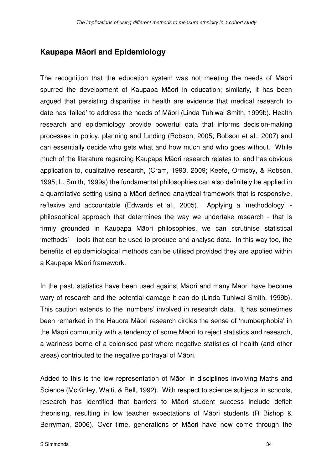### **Kaupapa M**ā**ori and Epidemiology**

The recognition that the education system was not meeting the needs of Māori spurred the development of Kaupapa Māori in education; similarly, it has been argued that persisting disparities in health are evidence that medical research to date has 'failed' to address the needs of Māori (Linda Tuhiwai Smith, 1999b). Health research and epidemiology provide powerful data that informs decision-making processes in policy, planning and funding (Robson, 2005; Robson et al., 2007) and can essentially decide who gets what and how much and who goes without. While much of the literature regarding Kaupapa Māori research relates to, and has obvious application to, qualitative research, (Cram, 1993, 2009; Keefe, Ormsby, & Robson, 1995; L. Smith, 1999a) the fundamental philosophies can also definitely be applied in a quantitative setting using a Māori defined analytical framework that is responsive, reflexive and accountable (Edwards et al., 2005). Applying a 'methodology' philosophical approach that determines the way we undertake research - that is firmly grounded in Kaupapa Māori philosophies, we can scrutinise statistical 'methods' – tools that can be used to produce and analyse data. In this way too, the benefits of epidemiological methods can be utilised provided they are applied within a Kaupapa Māori framework.

In the past, statistics have been used against Māori and many Māori have become wary of research and the potential damage it can do (Linda Tuhiwai Smith, 1999b). This caution extends to the 'numbers' involved in research data. It has sometimes been remarked in the Hauora Māori research circles the sense of 'numberphobia' in the Māori community with a tendency of some Māori to reject statistics and research, a wariness borne of a colonised past where negative statistics of health (and other areas) contributed to the negative portrayal of Māori.

Added to this is the low representation of Māori in disciplines involving Maths and Science (McKinley, Waiti, & Bell, 1992).With respect to science subjects in schools, research has identified that barriers to Māori student success include deficit theorising, resulting in low teacher expectations of Māori students (R Bishop & Berryman, 2006). Over time, generations of Māori have now come through the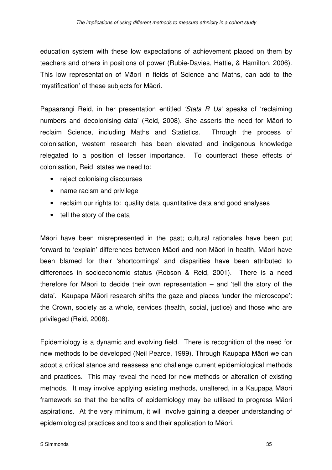education system with these low expectations of achievement placed on them by teachers and others in positions of power (Rubie-Davies, Hattie, & Hamilton, 2006). This low representation of Māori in fields of Science and Maths, can add to the 'mystification' of these subjects for Māori.

Papaarangi Reid, in her presentation entitled 'Stats R Us' speaks of 'reclaiming numbers and decolonising data' (Reid, 2008). She asserts the need for Māori to reclaim Science, including Maths and Statistics. Through the process of colonisation, western research has been elevated and indigenous knowledge relegated to a position of lesser importance. To counteract these effects of colonisation, Reid states we need to:

- reject colonising discourses
- name racism and privilege
- reclaim our rights to: quality data, quantitative data and good analyses
- tell the story of the data

Māori have been misrepresented in the past; cultural rationales have been put forward to 'explain' differences between Māori and non-Māori in health, Māori have been blamed for their 'shortcomings' and disparities have been attributed to differences in socioeconomic status (Robson & Reid, 2001). There is a need therefore for Māori to decide their own representation – and 'tell the story of the data'. Kaupapa Māori research shifts the gaze and places 'under the microscope': the Crown, society as a whole, services (health, social, justice) and those who are privileged (Reid, 2008).

Epidemiology is a dynamic and evolving field. There is recognition of the need for new methods to be developed (Neil Pearce, 1999). Through Kaupapa Māori we can adopt a critical stance and reassess and challenge current epidemiological methods and practices. This may reveal the need for new methods or alteration of existing methods. It may involve applying existing methods, unaltered, in a Kaupapa Māori framework so that the benefits of epidemiology may be utilised to progress Māori aspirations. At the very minimum, it will involve gaining a deeper understanding of epidemiological practices and tools and their application to Māori.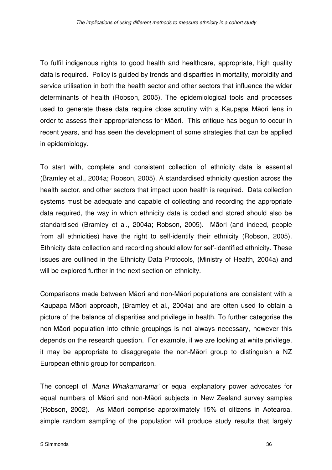To fulfil indigenous rights to good health and healthcare, appropriate, high quality data is required. Policy is guided by trends and disparities in mortality, morbidity and service utilisation in both the health sector and other sectors that influence the wider determinants of health (Robson, 2005). The epidemiological tools and processes used to generate these data require close scrutiny with a Kaupapa Māori lens in order to assess their appropriateness for Māori. This critique has begun to occur in recent years, and has seen the development of some strategies that can be applied in epidemiology.

To start with, complete and consistent collection of ethnicity data is essential (Bramley et al., 2004a; Robson, 2005). A standardised ethnicity question across the health sector, and other sectors that impact upon health is required. Data collection systems must be adequate and capable of collecting and recording the appropriate data required, the way in which ethnicity data is coded and stored should also be standardised (Bramley et al., 2004a; Robson, 2005). Māori (and indeed, people from all ethnicities) have the right to self-identify their ethnicity (Robson, 2005). Ethnicity data collection and recording should allow for self-identified ethnicity. These issues are outlined in the Ethnicity Data Protocols, (Ministry of Health, 2004a) and will be explored further in the next section on ethnicity.

Comparisons made between Māori and non-Māori populations are consistent with a Kaupapa Māori approach, (Bramley et al., 2004a) and are often used to obtain a picture of the balance of disparities and privilege in health. To further categorise the non-Māori population into ethnic groupings is not always necessary, however this depends on the research question. For example, if we are looking at white privilege, it may be appropriate to disaggregate the non-Māori group to distinguish a NZ European ethnic group for comparison.

The concept of 'Mana Whakamarama' or equal explanatory power advocates for equal numbers of Māori and non-Māori subjects in New Zealand survey samples (Robson, 2002). As Māori comprise approximately 15% of citizens in Aotearoa, simple random sampling of the population will produce study results that largely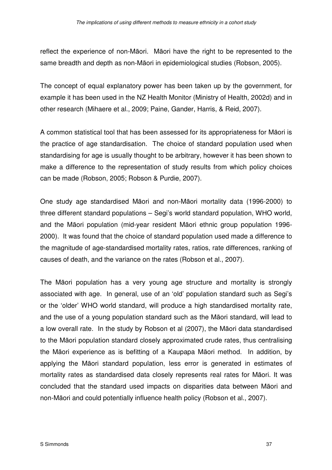reflect the experience of non-Māori. Māori have the right to be represented to the same breadth and depth as non-Māori in epidemiological studies (Robson, 2005).

The concept of equal explanatory power has been taken up by the government, for example it has been used in the NZ Health Monitor (Ministry of Health, 2002d) and in other research (Mihaere et al., 2009; Paine, Gander, Harris, & Reid, 2007).

A common statistical tool that has been assessed for its appropriateness for Māori is the practice of age standardisation. The choice of standard population used when standardising for age is usually thought to be arbitrary, however it has been shown to make a difference to the representation of study results from which policy choices can be made (Robson, 2005; Robson & Purdie, 2007).

One study age standardised Māori and non-Māori mortality data (1996-2000) to three different standard populations – Segi's world standard population, WHO world, and the Māori population (mid-year resident Māori ethnic group population 1996- 2000). It was found that the choice of standard population used made a difference to the magnitude of age-standardised mortality rates, ratios, rate differences, ranking of causes of death, and the variance on the rates (Robson et al., 2007).

The Māori population has a very young age structure and mortality is strongly associated with age. In general, use of an 'old' population standard such as Segi's or the 'older' WHO world standard, will produce a high standardised mortality rate, and the use of a young population standard such as the Māori standard, will lead to a low overall rate. In the study by Robson et al (2007), the Māori data standardised to the Māori population standard closely approximated crude rates, thus centralising the Māori experience as is befitting of a Kaupapa Māori method. In addition, by applying the Māori standard population, less error is generated in estimates of mortality rates as standardised data closely represents real rates for Māori. It was concluded that the standard used impacts on disparities data between Māori and non-Māori and could potentially influence health policy (Robson et al., 2007).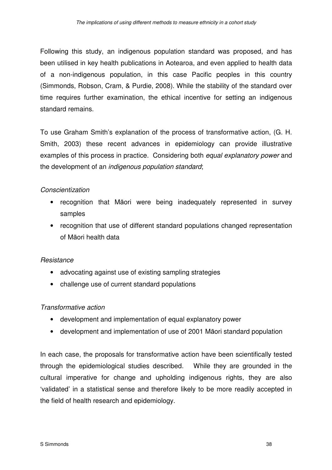Following this study, an indigenous population standard was proposed, and has been utilised in key health publications in Aotearoa, and even applied to health data of a non-indigenous population, in this case Pacific peoples in this country (Simmonds, Robson, Cram, & Purdie, 2008). While the stability of the standard over time requires further examination, the ethical incentive for setting an indigenous standard remains.

To use Graham Smith's explanation of the process of transformative action, (G. H. Smith, 2003) these recent advances in epidemiology can provide illustrative examples of this process in practice. Considering both equal explanatory power and the development of an indigenous population standard;

### Conscientization

- recognition that Māori were being inadequately represented in survey samples
- recognition that use of different standard populations changed representation of Māori health data

### **Resistance**

- advocating against use of existing sampling strategies
- challenge use of current standard populations

### Transformative action

- development and implementation of equal explanatory power
- development and implementation of use of 2001 Māori standard population

In each case, the proposals for transformative action have been scientifically tested through the epidemiological studies described. While they are grounded in the cultural imperative for change and upholding indigenous rights, they are also 'validated' in a statistical sense and therefore likely to be more readily accepted in the field of health research and epidemiology.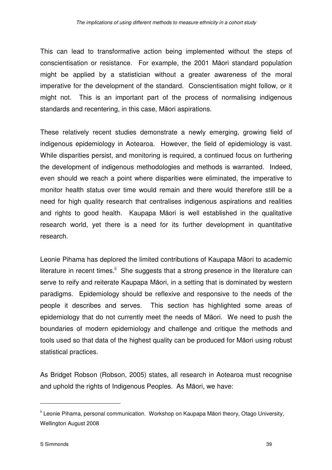This can lead to transformative action being implemented without the steps of conscientisation or resistance. For example, the 2001 Māori standard population might be applied by a statistician without a greater awareness of the moral imperative for the development of the standard. Conscientisation might follow, or it might not. This is an important part of the process of normalising indigenous standards and recentering, in this case, Māori aspirations.

These relatively recent studies demonstrate a newly emerging, growing field of indigenous epidemiology in Aotearoa. However, the field of epidemiology is vast. While disparities persist, and monitoring is required, a continued focus on furthering the development of indigenous methodologies and methods is warranted. Indeed, even should we reach a point where disparities were eliminated, the imperative to monitor health status over time would remain and there would therefore still be a need for high quality research that centralises indigenous aspirations and realities and rights to good health. Kaupapa Māori is well established in the qualitative research world, yet there is a need for its further development in quantitative research.

Leonie Pihama has deplored the limited contributions of Kaupapa Māori to academic literature in recent times.<sup> $ii$ </sup> She suggests that a strong presence in the literature can serve to reify and reiterate Kaupapa Māori, in a setting that is dominated by western paradigms. Epidemiology should be reflexive and responsive to the needs of the people it describes and serves. This section has highlighted some areas of epidemiology that do not currently meet the needs of Māori. We need to push the boundaries of modern epidemiology and challenge and critique the methods and tools used so that data of the highest quality can be produced for Māori using robust statistical practices.

As Bridget Robson (Robson, 2005) states, all research in Aotearoa must recognise and uphold the rights of Indigenous Peoples. As Māori, we have:

ii Leonie Pihama, personal communication. Workshop on Kaupapa Māori theory, Otago University, Wellington August 2008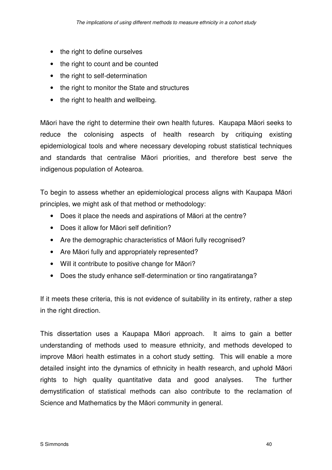- the right to define ourselves
- the right to count and be counted
- the right to self-determination
- the right to monitor the State and structures
- the right to health and wellbeing.

Māori have the right to determine their own health futures. Kaupapa Māori seeks to reduce the colonising aspects of health research by critiquing existing epidemiological tools and where necessary developing robust statistical techniques and standards that centralise Māori priorities, and therefore best serve the indigenous population of Aotearoa.

To begin to assess whether an epidemiological process aligns with Kaupapa Māori principles, we might ask of that method or methodology:

- Does it place the needs and aspirations of Māori at the centre?
- Does it allow for Māori self definition?
- Are the demographic characteristics of Māori fully recognised?
- Are Māori fully and appropriately represented?
- Will it contribute to positive change for Māori?
- Does the study enhance self-determination or tino rangatiratanga?

If it meets these criteria, this is not evidence of suitability in its entirety, rather a step in the right direction.

This dissertation uses a Kaupapa Māori approach. It aims to gain a better understanding of methods used to measure ethnicity, and methods developed to improve Māori health estimates in a cohort study setting. This will enable a more detailed insight into the dynamics of ethnicity in health research, and uphold Māori rights to high quality quantitative data and good analyses. The further demystification of statistical methods can also contribute to the reclamation of Science and Mathematics by the Māori community in general.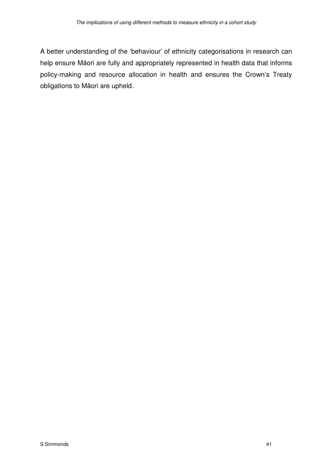A better understanding of the 'behaviour' of ethnicity categorisations in research can help ensure Māori are fully and appropriately represented in health data that informs policy-making and resource allocation in health and ensures the Crown's Treaty obligations to Māori are upheld.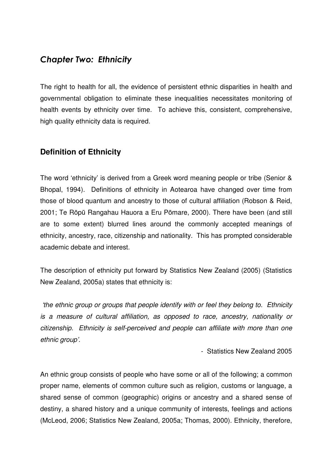## Chapter Two: Ethnicity

The right to health for all, the evidence of persistent ethnic disparities in health and governmental obligation to eliminate these inequalities necessitates monitoring of health events by ethnicity over time. To achieve this, consistent, comprehensive, high quality ethnicity data is required.

## **Definition of Ethnicity**

The word 'ethnicity' is derived from a Greek word meaning people or tribe (Senior & Bhopal, 1994). Definitions of ethnicity in Aotearoa have changed over time from those of blood quantum and ancestry to those of cultural affiliation (Robson & Reid, 2001; Te Rōpū Rangahau Hauora a Eru Pōmare, 2000). There have been (and still are to some extent) blurred lines around the commonly accepted meanings of ethnicity, ancestry, race, citizenship and nationality. This has prompted considerable academic debate and interest.

The description of ethnicity put forward by Statistics New Zealand (2005) (Statistics New Zealand, 2005a) states that ethnicity is:

'the ethnic group or groups that people identify with or feel they belong to. Ethnicity is a measure of cultural affiliation, as opposed to race, ancestry, nationality or citizenship. Ethnicity is self-perceived and people can affiliate with more than one ethnic group'.

- Statistics New Zealand 2005

An ethnic group consists of people who have some or all of the following; a common proper name, elements of common culture such as religion, customs or language, a shared sense of common (geographic) origins or ancestry and a shared sense of destiny, a shared history and a unique community of interests, feelings and actions (McLeod, 2006; Statistics New Zealand, 2005a; Thomas, 2000). Ethnicity, therefore,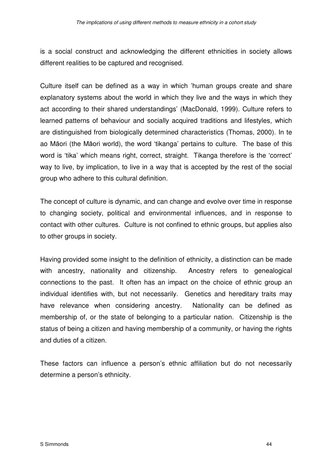is a social construct and acknowledging the different ethnicities in society allows different realities to be captured and recognised.

Culture itself can be defined as a way in which 'human groups create and share explanatory systems about the world in which they live and the ways in which they act according to their shared understandings' (MacDonald, 1999). Culture refers to learned patterns of behaviour and socially acquired traditions and lifestyles, which are distinguished from biologically determined characteristics (Thomas, 2000). In te ao Māori (the Māori world), the word 'tikanga' pertains to culture. The base of this word is 'tika' which means right, correct, straight. Tikanga therefore is the 'correct' way to live, by implication, to live in a way that is accepted by the rest of the social group who adhere to this cultural definition.

The concept of culture is dynamic, and can change and evolve over time in response to changing society, political and environmental influences, and in response to contact with other cultures. Culture is not confined to ethnic groups, but applies also to other groups in society.

Having provided some insight to the definition of ethnicity, a distinction can be made with ancestry, nationality and citizenship. Ancestry refers to genealogical connections to the past. It often has an impact on the choice of ethnic group an individual identifies with, but not necessarily. Genetics and hereditary traits may have relevance when considering ancestry. Nationality can be defined as membership of, or the state of belonging to a particular nation. Citizenship is the status of being a citizen and having membership of a community, or having the rights and duties of a citizen.

These factors can influence a person's ethnic affiliation but do not necessarily determine a person's ethnicity.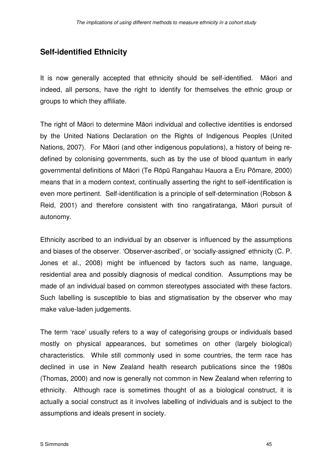# **Self-identified Ethnicity**

It is now generally accepted that ethnicity should be self-identified. Māori and indeed, all persons, have the right to identify for themselves the ethnic group or groups to which they affiliate.

The right of Māori to determine Māori individual and collective identities is endorsed by the United Nations Declaration on the Rights of Indigenous Peoples (United Nations, 2007). For Māori (and other indigenous populations), a history of being redefined by colonising governments, such as by the use of blood quantum in early governmental definitions of Māori (Te Rōpū Rangahau Hauora a Eru Pōmare, 2000) means that in a modern context, continually asserting the right to self-identification is even more pertinent. Self-identification is a principle of self-determination (Robson & Reid, 2001) and therefore consistent with tino rangatiratanga, Māori pursuit of autonomy.

Ethnicity ascribed to an individual by an observer is influenced by the assumptions and biases of the observer. 'Observer-ascribed', or 'socially-assigned' ethnicity (C. P. Jones et al., 2008) might be influenced by factors such as name, language, residential area and possibly diagnosis of medical condition. Assumptions may be made of an individual based on common stereotypes associated with these factors. Such labelling is susceptible to bias and stigmatisation by the observer who may make value-laden judgements.

The term 'race' usually refers to a way of categorising groups or individuals based mostly on physical appearances, but sometimes on other (largely biological) characteristics. While still commonly used in some countries, the term race has declined in use in New Zealand health research publications since the 1980s (Thomas, 2000) and now is generally not common in New Zealand when referring to ethnicity. Although race is sometimes thought of as a biological construct, it is actually a social construct as it involves labelling of individuals and is subject to the assumptions and ideals present in society.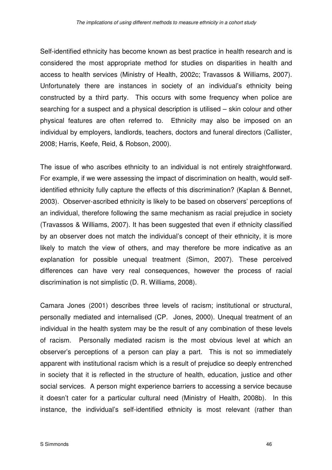Self-identified ethnicity has become known as best practice in health research and is considered the most appropriate method for studies on disparities in health and access to health services (Ministry of Health, 2002c; Travassos & Williams, 2007). Unfortunately there are instances in society of an individual's ethnicity being constructed by a third party. This occurs with some frequency when police are searching for a suspect and a physical description is utilised – skin colour and other physical features are often referred to. Ethnicity may also be imposed on an individual by employers, landlords, teachers, doctors and funeral directors (Callister, 2008; Harris, Keefe, Reid, & Robson, 2000).

The issue of who ascribes ethnicity to an individual is not entirely straightforward. For example, if we were assessing the impact of discrimination on health, would selfidentified ethnicity fully capture the effects of this discrimination? (Kaplan & Bennet, 2003). Observer-ascribed ethnicity is likely to be based on observers' perceptions of an individual, therefore following the same mechanism as racial prejudice in society (Travassos & Williams, 2007). It has been suggested that even if ethnicity classified by an observer does not match the individual's concept of their ethnicity, it is more likely to match the view of others, and may therefore be more indicative as an explanation for possible unequal treatment (Simon, 2007). These perceived differences can have very real consequences, however the process of racial discrimination is not simplistic (D. R. Williams, 2008).

Camara Jones (2001) describes three levels of racism; institutional or structural, personally mediated and internalised (CP. Jones, 2000). Unequal treatment of an individual in the health system may be the result of any combination of these levels of racism. Personally mediated racism is the most obvious level at which an observer's perceptions of a person can play a part. This is not so immediately apparent with institutional racism which is a result of prejudice so deeply entrenched in society that it is reflected in the structure of health, education, justice and other social services. A person might experience barriers to accessing a service because it doesn't cater for a particular cultural need (Ministry of Health, 2008b). In this instance, the individual's self-identified ethnicity is most relevant (rather than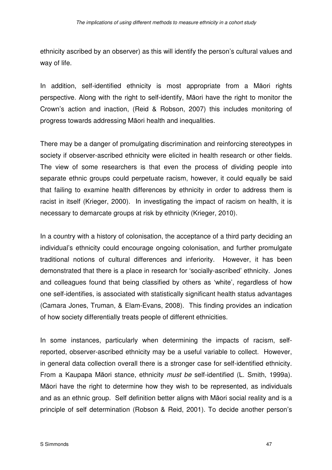ethnicity ascribed by an observer) as this will identify the person's cultural values and way of life.

In addition, self-identified ethnicity is most appropriate from a Māori rights perspective. Along with the right to self-identify, Māori have the right to monitor the Crown's action and inaction, (Reid & Robson, 2007) this includes monitoring of progress towards addressing Māori health and inequalities.

There may be a danger of promulgating discrimination and reinforcing stereotypes in society if observer-ascribed ethnicity were elicited in health research or other fields. The view of some researchers is that even the process of dividing people into separate ethnic groups could perpetuate racism, however, it could equally be said that failing to examine health differences by ethnicity in order to address them is racist in itself (Krieger, 2000). In investigating the impact of racism on health, it is necessary to demarcate groups at risk by ethnicity (Krieger, 2010).

In a country with a history of colonisation, the acceptance of a third party deciding an individual's ethnicity could encourage ongoing colonisation, and further promulgate traditional notions of cultural differences and inferiority. However, it has been demonstrated that there is a place in research for 'socially-ascribed' ethnicity. Jones and colleagues found that being classified by others as 'white', regardless of how one self-identifies, is associated with statistically significant health status advantages (Camara Jones, Truman, & Elam-Evans, 2008). This finding provides an indication of how society differentially treats people of different ethnicities.

In some instances, particularly when determining the impacts of racism, selfreported, observer-ascribed ethnicity may be a useful variable to collect. However, in general data collection overall there is a stronger case for self-identified ethnicity. From a Kaupapa Māori stance, ethnicity must be self-identified (L. Smith, 1999a). Māori have the right to determine how they wish to be represented, as individuals and as an ethnic group. Self definition better aligns with Māori social reality and is a principle of self determination (Robson & Reid, 2001). To decide another person's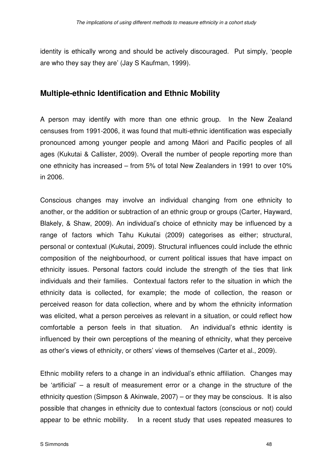identity is ethically wrong and should be actively discouraged. Put simply, 'people are who they say they are' (Jay S Kaufman, 1999).

## **Multiple-ethnic Identification and Ethnic Mobility**

A person may identify with more than one ethnic group. In the New Zealand censuses from 1991-2006, it was found that multi-ethnic identification was especially pronounced among younger people and among Māori and Pacific peoples of all ages (Kukutai & Callister, 2009). Overall the number of people reporting more than one ethnicity has increased – from 5% of total New Zealanders in 1991 to over 10% in 2006.

Conscious changes may involve an individual changing from one ethnicity to another, or the addition or subtraction of an ethnic group or groups (Carter, Hayward, Blakely, & Shaw, 2009). An individual's choice of ethnicity may be influenced by a range of factors which Tahu Kukutai (2009) categorises as either; structural, personal or contextual (Kukutai, 2009). Structural influences could include the ethnic composition of the neighbourhood, or current political issues that have impact on ethnicity issues. Personal factors could include the strength of the ties that link individuals and their families. Contextual factors refer to the situation in which the ethnicity data is collected, for example; the mode of collection, the reason or perceived reason for data collection, where and by whom the ethnicity information was elicited, what a person perceives as relevant in a situation, or could reflect how comfortable a person feels in that situation. An individual's ethnic identity is influenced by their own perceptions of the meaning of ethnicity, what they perceive as other's views of ethnicity, or others' views of themselves (Carter et al., 2009).

Ethnic mobility refers to a change in an individual's ethnic affiliation. Changes may be 'artificial' – a result of measurement error or a change in the structure of the ethnicity question (Simpson & Akinwale, 2007) – or they may be conscious. It is also possible that changes in ethnicity due to contextual factors (conscious or not) could appear to be ethnic mobility. In a recent study that uses repeated measures to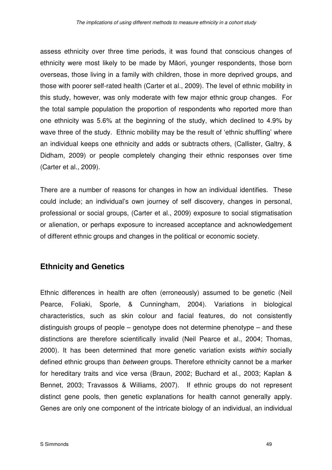assess ethnicity over three time periods, it was found that conscious changes of ethnicity were most likely to be made by Māori, younger respondents, those born overseas, those living in a family with children, those in more deprived groups, and those with poorer self-rated health (Carter et al., 2009). The level of ethnic mobility in this study, however, was only moderate with few major ethnic group changes. For the total sample population the proportion of respondents who reported more than one ethnicity was 5.6% at the beginning of the study, which declined to 4.9% by wave three of the study. Ethnic mobility may be the result of 'ethnic shuffling' where an individual keeps one ethnicity and adds or subtracts others, (Callister, Galtry, & Didham, 2009) or people completely changing their ethnic responses over time (Carter et al., 2009).

There are a number of reasons for changes in how an individual identifies. These could include; an individual's own journey of self discovery, changes in personal, professional or social groups, (Carter et al., 2009) exposure to social stigmatisation or alienation, or perhaps exposure to increased acceptance and acknowledgement of different ethnic groups and changes in the political or economic society.

## **Ethnicity and Genetics**

Ethnic differences in health are often (erroneously) assumed to be genetic (Neil Pearce, Foliaki, Sporle, & Cunningham, 2004). Variations in biological characteristics, such as skin colour and facial features, do not consistently distinguish groups of people – genotype does not determine phenotype – and these distinctions are therefore scientifically invalid (Neil Pearce et al., 2004; Thomas, 2000). It has been determined that more genetic variation exists within socially defined ethnic groups than between groups. Therefore ethnicity cannot be a marker for hereditary traits and vice versa (Braun, 2002; Buchard et al., 2003; Kaplan & Bennet, 2003; Travassos & Williams, 2007). If ethnic groups do not represent distinct gene pools, then genetic explanations for health cannot generally apply. Genes are only one component of the intricate biology of an individual, an individual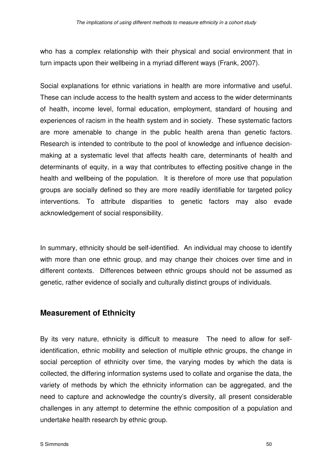who has a complex relationship with their physical and social environment that in turn impacts upon their wellbeing in a myriad different ways (Frank, 2007).

Social explanations for ethnic variations in health are more informative and useful. These can include access to the health system and access to the wider determinants of health, income level, formal education, employment, standard of housing and experiences of racism in the health system and in society. These systematic factors are more amenable to change in the public health arena than genetic factors. Research is intended to contribute to the pool of knowledge and influence decisionmaking at a systematic level that affects health care, determinants of health and determinants of equity, in a way that contributes to effecting positive change in the health and wellbeing of the population. It is therefore of more use that population groups are socially defined so they are more readily identifiable for targeted policy interventions. To attribute disparities to genetic factors may also evade acknowledgement of social responsibility.

In summary, ethnicity should be self-identified. An individual may choose to identify with more than one ethnic group, and may change their choices over time and in different contexts. Differences between ethnic groups should not be assumed as genetic, rather evidence of socially and culturally distinct groups of individuals.

## **Measurement of Ethnicity**

By its very nature, ethnicity is difficult to measure. The need to allow for selfidentification, ethnic mobility and selection of multiple ethnic groups, the change in social perception of ethnicity over time, the varying modes by which the data is collected, the differing information systems used to collate and organise the data, the variety of methods by which the ethnicity information can be aggregated, and the need to capture and acknowledge the country's diversity, all present considerable challenges in any attempt to determine the ethnic composition of a population and undertake health research by ethnic group.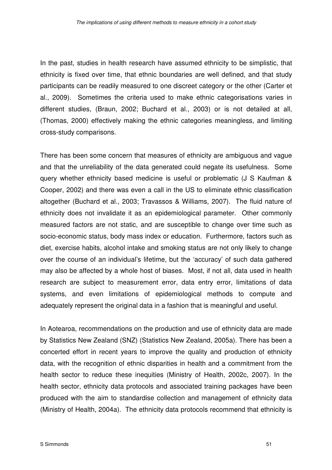In the past, studies in health research have assumed ethnicity to be simplistic, that ethnicity is fixed over time, that ethnic boundaries are well defined, and that study participants can be readily measured to one discreet category or the other (Carter et al., 2009). Sometimes the criteria used to make ethnic categorisations varies in different studies, (Braun, 2002; Buchard et al., 2003) or is not detailed at all, (Thomas, 2000) effectively making the ethnic categories meaningless, and limiting cross-study comparisons.

There has been some concern that measures of ethnicity are ambiguous and vague and that the unreliability of the data generated could negate its usefulness. Some query whether ethnicity based medicine is useful or problematic (J S Kaufman & Cooper, 2002) and there was even a call in the US to eliminate ethnic classification altogether (Buchard et al., 2003; Travassos & Williams, 2007). The fluid nature of ethnicity does not invalidate it as an epidemiological parameter. Other commonly measured factors are not static, and are susceptible to change over time such as socio-economic status, body mass index or education. Furthermore, factors such as diet, exercise habits, alcohol intake and smoking status are not only likely to change over the course of an individual's lifetime, but the 'accuracy' of such data gathered may also be affected by a whole host of biases. Most, if not all, data used in health research are subject to measurement error, data entry error, limitations of data systems, and even limitations of epidemiological methods to compute and adequately represent the original data in a fashion that is meaningful and useful.

In Aotearoa, recommendations on the production and use of ethnicity data are made by Statistics New Zealand (SNZ) (Statistics New Zealand, 2005a). There has been a concerted effort in recent years to improve the quality and production of ethnicity data, with the recognition of ethnic disparities in health and a commitment from the health sector to reduce these inequities (Ministry of Health, 2002c, 2007). In the health sector, ethnicity data protocols and associated training packages have been produced with the aim to standardise collection and management of ethnicity data (Ministry of Health, 2004a). The ethnicity data protocols recommend that ethnicity is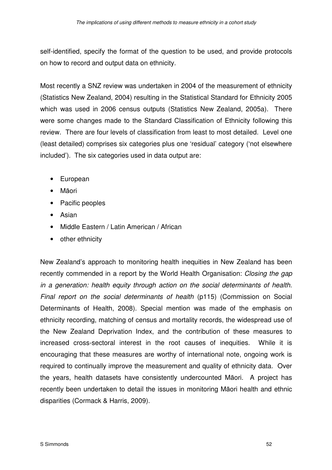self-identified, specify the format of the question to be used, and provide protocols on how to record and output data on ethnicity.

Most recently a SNZ review was undertaken in 2004 of the measurement of ethnicity (Statistics New Zealand, 2004) resulting in the Statistical Standard for Ethnicity 2005 which was used in 2006 census outputs (Statistics New Zealand, 2005a). There were some changes made to the Standard Classification of Ethnicity following this review. There are four levels of classification from least to most detailed. Level one (least detailed) comprises six categories plus one 'residual' category ('not elsewhere included'). The six categories used in data output are:

- European
- Māori
- Pacific peoples
- Asian
- Middle Eastern / Latin American / African
- other ethnicity

New Zealand's approach to monitoring health inequities in New Zealand has been recently commended in a report by the World Health Organisation: Closing the gap in a generation: health equity through action on the social determinants of health. Final report on the social determinants of health (p115) (Commission on Social Determinants of Health, 2008). Special mention was made of the emphasis on ethnicity recording, matching of census and mortality records, the widespread use of the New Zealand Deprivation Index, and the contribution of these measures to increased cross-sectoral interest in the root causes of inequities. While it is encouraging that these measures are worthy of international note, ongoing work is required to continually improve the measurement and quality of ethnicity data. Over the years, health datasets have consistently undercounted Māori. A project has recently been undertaken to detail the issues in monitoring Māori health and ethnic disparities (Cormack & Harris, 2009).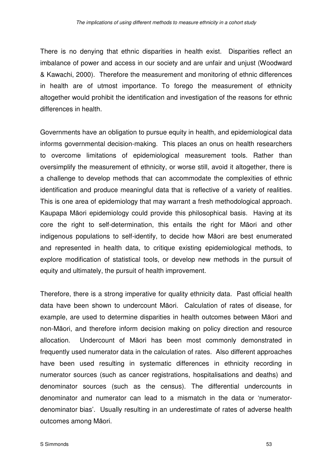There is no denying that ethnic disparities in health exist. Disparities reflect an imbalance of power and access in our society and are unfair and unjust (Woodward & Kawachi, 2000). Therefore the measurement and monitoring of ethnic differences in health are of utmost importance. To forego the measurement of ethnicity altogether would prohibit the identification and investigation of the reasons for ethnic differences in health.

Governments have an obligation to pursue equity in health, and epidemiological data informs governmental decision-making. This places an onus on health researchers to overcome limitations of epidemiological measurement tools. Rather than oversimplify the measurement of ethnicity, or worse still, avoid it altogether, there is a challenge to develop methods that can accommodate the complexities of ethnic identification and produce meaningful data that is reflective of a variety of realities. This is one area of epidemiology that may warrant a fresh methodological approach. Kaupapa Māori epidemiology could provide this philosophical basis. Having at its core the right to self-determination, this entails the right for Māori and other indigenous populations to self-identify, to decide how Māori are best enumerated and represented in health data, to critique existing epidemiological methods, to explore modification of statistical tools, or develop new methods in the pursuit of equity and ultimately, the pursuit of health improvement.

Therefore, there is a strong imperative for quality ethnicity data. Past official health data have been shown to undercount Māori. Calculation of rates of disease, for example, are used to determine disparities in health outcomes between Māori and non-Māori, and therefore inform decision making on policy direction and resource allocation. Undercount of Māori has been most commonly demonstrated in frequently used numerator data in the calculation of rates. Also different approaches have been used resulting in systematic differences in ethnicity recording in numerator sources (such as cancer registrations, hospitalisations and deaths) and denominator sources (such as the census). The differential undercounts in denominator and numerator can lead to a mismatch in the data or 'numeratordenominator bias'. Usually resulting in an underestimate of rates of adverse health outcomes among Māori.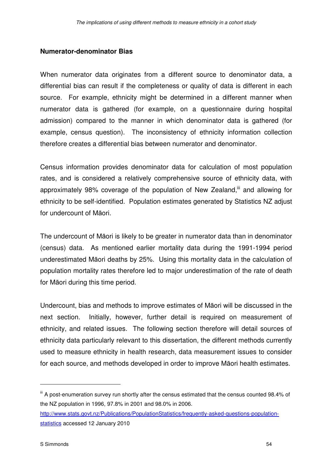#### **Numerator-denominator Bias**

When numerator data originates from a different source to denominator data, a differential bias can result if the completeness or quality of data is different in each source. For example, ethnicity might be determined in a different manner when numerator data is gathered (for example, on a questionnaire during hospital admission) compared to the manner in which denominator data is gathered (for example, census question). The inconsistency of ethnicity information collection therefore creates a differential bias between numerator and denominator.

Census information provides denominator data for calculation of most population rates, and is considered a relatively comprehensive source of ethnicity data, with approximately 98% coverage of the population of New Zealand, $\ddot{u}$  and allowing for ethnicity to be self-identified. Population estimates generated by Statistics NZ adjust for undercount of Māori.

The undercount of Māori is likely to be greater in numerator data than in denominator (census) data. As mentioned earlier mortality data during the 1991-1994 period underestimated Māori deaths by 25%. Using this mortality data in the calculation of population mortality rates therefore led to major underestimation of the rate of death for Māori during this time period.

Undercount, bias and methods to improve estimates of Māori will be discussed in the next section. Initially, however, further detail is required on measurement of ethnicity, and related issues. The following section therefore will detail sources of ethnicity data particularly relevant to this dissertation, the different methods currently used to measure ethnicity in health research, data measurement issues to consider for each source, and methods developed in order to improve Māori health estimates.

iii A post-enumeration survey run shortly after the census estimated that the census counted 98.4% of the NZ population in 1996, 97.8% in 2001 and 98.0% in 2006.

http://www.stats.govt.nz/Publications/PopulationStatistics/frequently-asked-questions-populationstatistics accessed 12 January 2010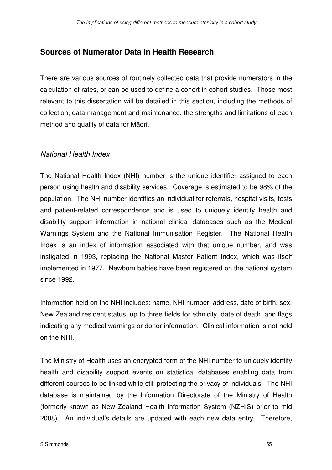## **Sources of Numerator Data in Health Research**

There are various sources of routinely collected data that provide numerators in the calculation of rates, or can be used to define a cohort in cohort studies. Those most relevant to this dissertation will be detailed in this section, including the methods of collection, data management and maintenance, the strengths and limitations of each method and quality of data for Māori.

### National Health Index

The National Health Index (NHI) number is the unique identifier assigned to each person using health and disability services. Coverage is estimated to be 98% of the population. The NHI number identifies an individual for referrals, hospital visits, tests and patient-related correspondence and is used to uniquely identify health and disability support information in national clinical databases such as the Medical Warnings System and the National Immunisation Register. The National Health Index is an index of information associated with that unique number, and was instigated in 1993, replacing the National Master Patient Index, which was itself implemented in 1977. Newborn babies have been registered on the national system since 1992.

Information held on the NHI includes: name, NHI number, address, date of birth, sex, New Zealand resident status, up to three fields for ethnicity, date of death, and flags indicating any medical warnings or donor information. Clinical information is not held on the NHI.

The Ministry of Health uses an encrypted form of the NHI number to uniquely identify health and disability support events on statistical databases enabling data from different sources to be linked while still protecting the privacy of individuals. The NHI database is maintained by the Information Directorate of the Ministry of Health (formerly known as New Zealand Health Information System (NZHIS) prior to mid 2008). An individual's details are updated with each new data entry. Therefore,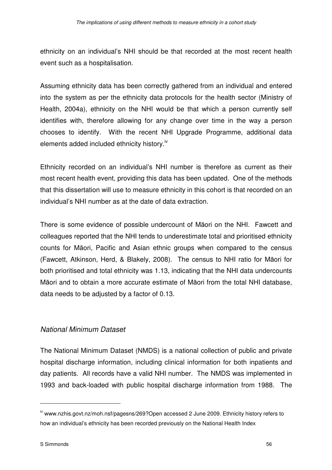ethnicity on an individual's NHI should be that recorded at the most recent health event such as a hospitalisation.

Assuming ethnicity data has been correctly gathered from an individual and entered into the system as per the ethnicity data protocols for the health sector (Ministry of Health, 2004a), ethnicity on the NHI would be that which a person currently self identifies with, therefore allowing for any change over time in the way a person chooses to identify. With the recent NHI Upgrade Programme, additional data elements added included ethnicity history.<sup>iv</sup>

Ethnicity recorded on an individual's NHI number is therefore as current as their most recent health event, providing this data has been updated. One of the methods that this dissertation will use to measure ethnicity in this cohort is that recorded on an individual's NHI number as at the date of data extraction.

There is some evidence of possible undercount of Māori on the NHI. Fawcett and colleagues reported that the NHI tends to underestimate total and prioritised ethnicity counts for Māori, Pacific and Asian ethnic groups when compared to the census (Fawcett, Atkinson, Herd, & Blakely, 2008). The census to NHI ratio for Māori for both prioritised and total ethnicity was 1.13, indicating that the NHI data undercounts Māori and to obtain a more accurate estimate of Māori from the total NHI database, data needs to be adjusted by a factor of 0.13.

## National Minimum Dataset

The National Minimum Dataset (NMDS) is a national collection of public and private hospital discharge information, including clinical information for both inpatients and day patients. All records have a valid NHI number. The NMDS was implemented in 1993 and back-loaded with public hospital discharge information from 1988. The

iv www.nzhis.govt.nz/moh.nsf/pagesns/269?Open accessed 2 June 2009. Ethnicity history refers to how an individual's ethnicity has been recorded previously on the National Health Index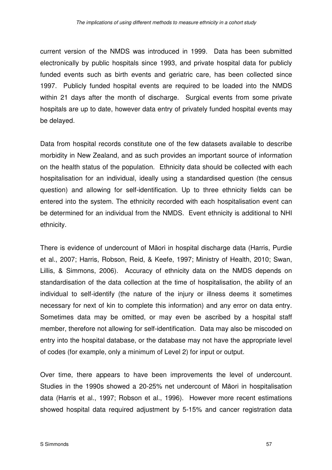current version of the NMDS was introduced in 1999. Data has been submitted electronically by public hospitals since 1993, and private hospital data for publicly funded events such as birth events and geriatric care, has been collected since 1997. Publicly funded hospital events are required to be loaded into the NMDS within 21 days after the month of discharge. Surgical events from some private hospitals are up to date, however data entry of privately funded hospital events may be delayed.

Data from hospital records constitute one of the few datasets available to describe morbidity in New Zealand, and as such provides an important source of information on the health status of the population. Ethnicity data should be collected with each hospitalisation for an individual, ideally using a standardised question (the census question) and allowing for self-identification. Up to three ethnicity fields can be entered into the system. The ethnicity recorded with each hospitalisation event can be determined for an individual from the NMDS. Event ethnicity is additional to NHI ethnicity.

There is evidence of undercount of Māori in hospital discharge data (Harris, Purdie et al., 2007; Harris, Robson, Reid, & Keefe, 1997; Ministry of Health, 2010; Swan, Lillis, & Simmons, 2006). Accuracy of ethnicity data on the NMDS depends on standardisation of the data collection at the time of hospitalisation, the ability of an individual to self-identify (the nature of the injury or illness deems it sometimes necessary for next of kin to complete this information) and any error on data entry. Sometimes data may be omitted, or may even be ascribed by a hospital staff member, therefore not allowing for self-identification. Data may also be miscoded on entry into the hospital database, or the database may not have the appropriate level of codes (for example, only a minimum of Level 2) for input or output.

Over time, there appears to have been improvements the level of undercount. Studies in the 1990s showed a 20-25% net undercount of Māori in hospitalisation data (Harris et al., 1997; Robson et al., 1996). However more recent estimations showed hospital data required adjustment by 5-15% and cancer registration data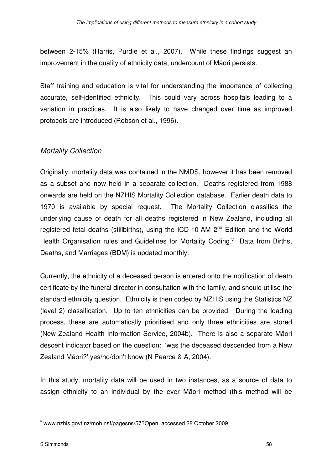between 2-15% (Harris, Purdie et al., 2007). While these findings suggest an improvement in the quality of ethnicity data, undercount of Māori persists.

Staff training and education is vital for understanding the importance of collecting accurate, self-identified ethnicity. This could vary across hospitals leading to a variation in practices. It is also likely to have changed over time as improved protocols are introduced (Robson et al., 1996).

## Mortality Collection

Originally, mortality data was contained in the NMDS, however it has been removed as a subset and now held in a separate collection. Deaths registered from 1988 onwards are held on the NZHIS Mortality Collection database. Earlier death data to 1970 is available by special request. The Mortality Collection classifies the underlying cause of death for all deaths registered in New Zealand, including all registered fetal deaths (stillbirths), using the ICD-10-AM 2<sup>nd</sup> Edition and the World Health Organisation rules and Guidelines for Mortality Coding. <sup>V</sup> Data from Births, Deaths, and Marriages (BDM) is updated monthly.

Currently, the ethnicity of a deceased person is entered onto the notification of death certificate by the funeral director in consultation with the family, and should utilise the standard ethnicity question. Ethnicity is then coded by NZHIS using the Statistics NZ (level 2) classification. Up to ten ethnicities can be provided. During the loading process, these are automatically prioritised and only three ethnicities are stored (New Zealand Health Information Service, 2004b). There is also a separate Māori descent indicator based on the question: 'was the deceased descended from a New Zealand Māori?' yes/no/don't know (N Pearce & A, 2004).

In this study, mortality data will be used in two instances, as a source of data to assign ethnicity to an individual by the ever Māori method (this method will be

v www.nzhis.govt.nz/moh.nsf/pagesns/57?Open accessed 28 October 2009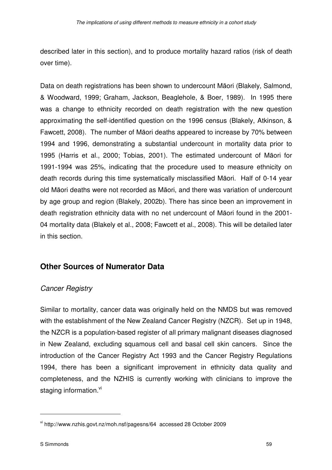described later in this section), and to produce mortality hazard ratios (risk of death over time).

Data on death registrations has been shown to undercount Māori (Blakely, Salmond, & Woodward, 1999; Graham, Jackson, Beaglehole, & Boer, 1989). In 1995 there was a change to ethnicity recorded on death registration with the new question approximating the self-identified question on the 1996 census (Blakely, Atkinson, & Fawcett, 2008). The number of Māori deaths appeared to increase by 70% between 1994 and 1996, demonstrating a substantial undercount in mortality data prior to 1995 (Harris et al., 2000; Tobias, 2001). The estimated undercount of Māori for 1991-1994 was 25%, indicating that the procedure used to measure ethnicity on death records during this time systematically misclassified Māori. Half of 0-14 year old Māori deaths were not recorded as Māori, and there was variation of undercount by age group and region (Blakely, 2002b). There has since been an improvement in death registration ethnicity data with no net undercount of Māori found in the 2001- 04 mortality data (Blakely et al., 2008; Fawcett et al., 2008). This will be detailed later in this section.

# **Other Sources of Numerator Data**

## Cancer Registry

Similar to mortality, cancer data was originally held on the NMDS but was removed with the establishment of the New Zealand Cancer Registry (NZCR). Set up in 1948, the NZCR is a population-based register of all primary malignant diseases diagnosed in New Zealand, excluding squamous cell and basal cell skin cancers. Since the introduction of the Cancer Registry Act 1993 and the Cancer Registry Regulations 1994, there has been a significant improvement in ethnicity data quality and completeness, and the NZHIS is currently working with clinicians to improve the staging information.<sup>vi</sup>

vi http://www.nzhis.govt.nz/moh.nsf/pagesns/64 accessed 28 October 2009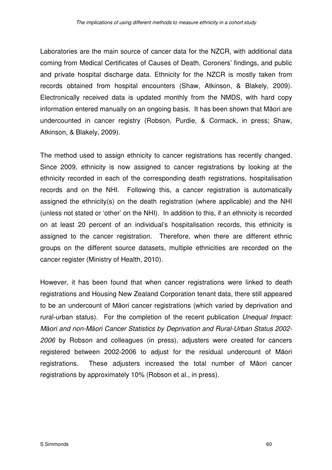Laboratories are the main source of cancer data for the NZCR, with additional data coming from Medical Certificates of Causes of Death, Coroners' findings, and public and private hospital discharge data. Ethnicity for the NZCR is mostly taken from records obtained from hospital encounters (Shaw, Atkinson, & Blakely, 2009). Electronically received data is updated monthly from the NMDS, with hard copy information entered manually on an ongoing basis. It has been shown that Māori are undercounted in cancer registry (Robson, Purdie, & Cormack, in press; Shaw, Atkinson, & Blakely, 2009).

The method used to assign ethnicity to cancer registrations has recently changed. Since 2009, ethnicity is now assigned to cancer registrations by looking at the ethnicity recorded in each of the corresponding death registrations, hospitalisation records and on the NHI. Following this, a cancer registration is automatically assigned the ethnicity(s) on the death registration (where applicable) and the NHI (unless not stated or 'other' on the NHI). In addition to this, if an ethnicity is recorded on at least 20 percent of an individual's hospitalisation records, this ethnicity is assigned to the cancer registration. Therefore, when there are different ethnic groups on the different source datasets, multiple ethnicities are recorded on the cancer register (Ministry of Health, 2010).

However, it has been found that when cancer registrations were linked to death registrations and Housing New Zealand Corporation tenant data, there still appeared to be an undercount of Māori cancer registrations (which varied by deprivation and rural-urban status). For the completion of the recent publication Unequal Impact: Māori and non-Māori Cancer Statistics by Deprivation and Rural-Urban Status 2002- 2006 by Robson and colleagues (in press), adjusters were created for cancers registered between 2002-2006 to adjust for the residual undercount of Māori registrations. These adjusters increased the total number of Māori cancer registrations by approximately 10% (Robson et al., in press).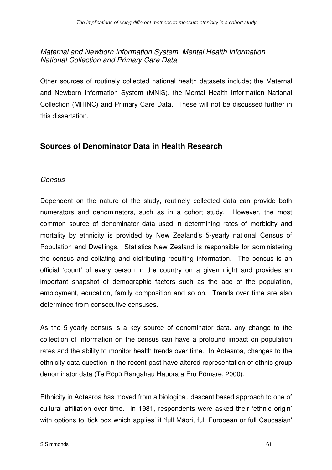## Maternal and Newborn Information System, Mental Health Information National Collection and Primary Care Data

Other sources of routinely collected national health datasets include; the Maternal and Newborn Information System (MNIS), the Mental Health Information National Collection (MHINC) and Primary Care Data. These will not be discussed further in this dissertation.

# **Sources of Denominator Data in Health Research**

## **Census**

Dependent on the nature of the study, routinely collected data can provide both numerators and denominators, such as in a cohort study. However, the most common source of denominator data used in determining rates of morbidity and mortality by ethnicity is provided by New Zealand's 5-yearly national Census of Population and Dwellings. Statistics New Zealand is responsible for administering the census and collating and distributing resulting information. The census is an official 'count' of every person in the country on a given night and provides an important snapshot of demographic factors such as the age of the population, employment, education, family composition and so on. Trends over time are also determined from consecutive censuses.

As the 5-yearly census is a key source of denominator data, any change to the collection of information on the census can have a profound impact on population rates and the ability to monitor health trends over time. In Aotearoa, changes to the ethnicity data question in the recent past have altered representation of ethnic group denominator data (Te Rōpū Rangahau Hauora a Eru Pōmare, 2000).

Ethnicity in Aotearoa has moved from a biological, descent based approach to one of cultural affiliation over time. In 1981, respondents were asked their 'ethnic origin' with options to 'tick box which applies' if 'full Māori, full European or full Caucasian'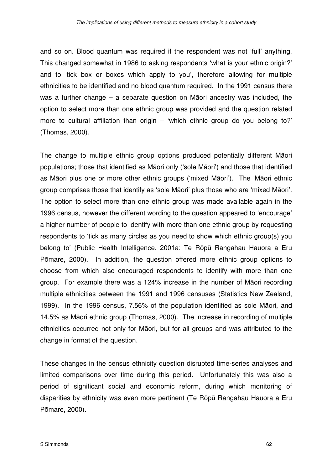and so on. Blood quantum was required if the respondent was not 'full' anything. This changed somewhat in 1986 to asking respondents 'what is your ethnic origin?' and to 'tick box or boxes which apply to you', therefore allowing for multiple ethnicities to be identified and no blood quantum required. In the 1991 census there was a further change – a separate question on Māori ancestry was included, the option to select more than one ethnic group was provided and the question related more to cultural affiliation than origin – 'which ethnic group do you belong to?' (Thomas, 2000).

The change to multiple ethnic group options produced potentially different Māori populations; those that identified as Māori only ('sole Māori') and those that identified as Māori plus one or more other ethnic groups ('mixed Māori'). The 'Māori ethnic group comprises those that identify as 'sole Māori' plus those who are 'mixed Māori'. The option to select more than one ethnic group was made available again in the 1996 census, however the different wording to the question appeared to 'encourage' a higher number of people to identify with more than one ethnic group by requesting respondents to 'tick as many circles as you need to show which ethnic group(s) you belong to' (Public Health Intelligence, 2001a; Te Rōpū Rangahau Hauora a Eru Pōmare, 2000). In addition, the question offered more ethnic group options to choose from which also encouraged respondents to identify with more than one group. For example there was a 124% increase in the number of Māori recording multiple ethnicities between the 1991 and 1996 censuses (Statistics New Zealand, 1999). In the 1996 census, 7.56% of the population identified as sole Māori, and 14.5% as Māori ethnic group (Thomas, 2000). The increase in recording of multiple ethnicities occurred not only for Māori, but for all groups and was attributed to the change in format of the question.

These changes in the census ethnicity question disrupted time-series analyses and limited comparisons over time during this period. Unfortunately this was also a period of significant social and economic reform, during which monitoring of disparities by ethnicity was even more pertinent (Te Rōpū Rangahau Hauora a Eru Pōmare, 2000).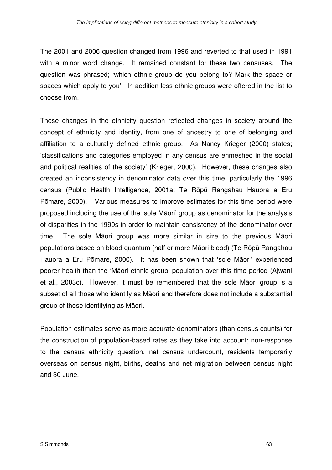The 2001 and 2006 question changed from 1996 and reverted to that used in 1991 with a minor word change. It remained constant for these two censuses. The question was phrased; 'which ethnic group do you belong to? Mark the space or spaces which apply to you'. In addition less ethnic groups were offered in the list to choose from.

These changes in the ethnicity question reflected changes in society around the concept of ethnicity and identity, from one of ancestry to one of belonging and affiliation to a culturally defined ethnic group. As Nancy Krieger (2000) states; 'classifications and categories employed in any census are enmeshed in the social and political realities of the society' (Krieger, 2000). However, these changes also created an inconsistency in denominator data over this time, particularly the 1996 census (Public Health Intelligence, 2001a; Te Rōpū Rangahau Hauora a Eru Pōmare, 2000). Various measures to improve estimates for this time period were proposed including the use of the 'sole Māori' group as denominator for the analysis of disparities in the 1990s in order to maintain consistency of the denominator over time. The sole Māori group was more similar in size to the previous Māori populations based on blood quantum (half or more Māori blood) (Te Rōpū Rangahau Hauora a Eru Pōmare, 2000). It has been shown that 'sole Māori' experienced poorer health than the 'Māori ethnic group' population over this time period (Ajwani et al., 2003c). However, it must be remembered that the sole Māori group is a subset of all those who identify as Māori and therefore does not include a substantial group of those identifying as Māori.

Population estimates serve as more accurate denominators (than census counts) for the construction of population-based rates as they take into account; non-response to the census ethnicity question, net census undercount, residents temporarily overseas on census night, births, deaths and net migration between census night and 30 June.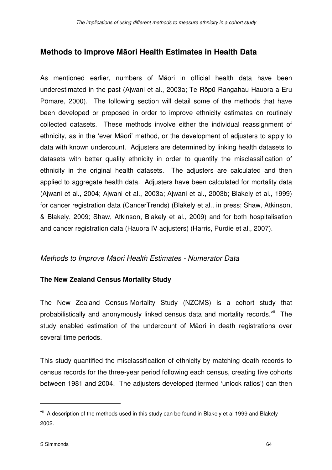## **Methods to Improve M**ā**ori Health Estimates in Health Data**

As mentioned earlier, numbers of Māori in official health data have been underestimated in the past (Ajwani et al., 2003a; Te Rōpū Rangahau Hauora a Eru Pōmare, 2000). The following section will detail some of the methods that have been developed or proposed in order to improve ethnicity estimates on routinely collected datasets. These methods involve either the individual reassignment of ethnicity, as in the 'ever Māori' method, or the development of adjusters to apply to data with known undercount. Adjusters are determined by linking health datasets to datasets with better quality ethnicity in order to quantify the misclassification of ethnicity in the original health datasets. The adjusters are calculated and then applied to aggregate health data. Adjusters have been calculated for mortality data (Ajwani et al., 2004; Ajwani et al., 2003a; Ajwani et al., 2003b; Blakely et al., 1999) for cancer registration data (CancerTrends) (Blakely et al., in press; Shaw, Atkinson, & Blakely, 2009; Shaw, Atkinson, Blakely et al., 2009) and for both hospitalisation and cancer registration data (Hauora IV adjusters) (Harris, Purdie et al., 2007).

### Methods to Improve Māori Health Estimates - Numerator Data

#### **The New Zealand Census Mortality Study**

The New Zealand Census-Mortality Study (NZCMS) is a cohort study that probabilistically and anonymously linked census data and mortality records.<sup>Vii</sup> The study enabled estimation of the undercount of Māori in death registrations over several time periods.

This study quantified the misclassification of ethnicity by matching death records to census records for the three-year period following each census, creating five cohorts between 1981 and 2004. The adjusters developed (termed 'unlock ratios') can then

vii A description of the methods used in this study can be found in Blakely et al 1999 and Blakely 2002.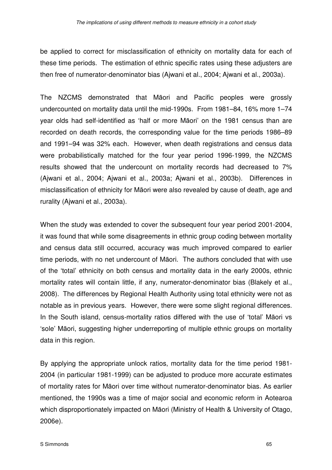be applied to correct for misclassification of ethnicity on mortality data for each of these time periods. The estimation of ethnic specific rates using these adjusters are then free of numerator-denominator bias (Ajwani et al., 2004; Ajwani et al., 2003a).

The NZCMS demonstrated that Māori and Pacific peoples were grossly undercounted on mortality data until the mid-1990s. From 1981–84, 16% more 1–74 year olds had self-identified as 'half or more Māori' on the 1981 census than are recorded on death records, the corresponding value for the time periods 1986–89 and 1991–94 was 32% each. However, when death registrations and census data were probabilistically matched for the four year period 1996-1999, the NZCMS results showed that the undercount on mortality records had decreased to 7% (Ajwani et al., 2004; Ajwani et al., 2003a; Ajwani et al., 2003b). Differences in misclassification of ethnicity for Māori were also revealed by cause of death, age and rurality (Ajwani et al., 2003a).

When the study was extended to cover the subsequent four year period 2001-2004, it was found that while some disagreements in ethnic group coding between mortality and census data still occurred, accuracy was much improved compared to earlier time periods, with no net undercount of Māori. The authors concluded that with use of the 'total' ethnicity on both census and mortality data in the early 2000s, ethnic mortality rates will contain little, if any, numerator-denominator bias (Blakely et al., 2008). The differences by Regional Health Authority using total ethnicity were not as notable as in previous years. However, there were some slight regional differences. In the South island, census-mortality ratios differed with the use of 'total' Māori vs 'sole' Māori, suggesting higher underreporting of multiple ethnic groups on mortality data in this region.

By applying the appropriate unlock ratios, mortality data for the time period 1981- 2004 (in particular 1981-1999) can be adjusted to produce more accurate estimates of mortality rates for Māori over time without numerator-denominator bias. As earlier mentioned, the 1990s was a time of major social and economic reform in Aotearoa which disproportionately impacted on Māori (Ministry of Health & University of Otago, 2006e).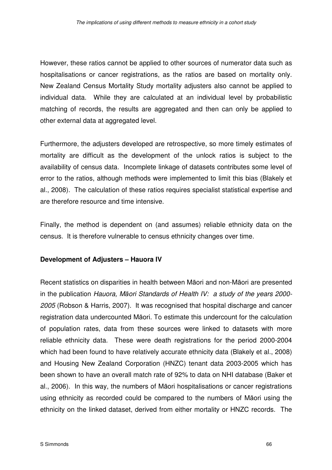However, these ratios cannot be applied to other sources of numerator data such as hospitalisations or cancer registrations, as the ratios are based on mortality only. New Zealand Census Mortality Study mortality adjusters also cannot be applied to individual data. While they are calculated at an individual level by probabilistic matching of records, the results are aggregated and then can only be applied to other external data at aggregated level.

Furthermore, the adjusters developed are retrospective, so more timely estimates of mortality are difficult as the development of the unlock ratios is subject to the availability of census data. Incomplete linkage of datasets contributes some level of error to the ratios, although methods were implemented to limit this bias (Blakely et al., 2008). The calculation of these ratios requires specialist statistical expertise and are therefore resource and time intensive.

Finally, the method is dependent on (and assumes) reliable ethnicity data on the census. It is therefore vulnerable to census ethnicity changes over time.

### **Development of Adjusters – Hauora IV**

Recent statistics on disparities in health between Māori and non-Māori are presented in the publication Hauora, Māori Standards of Health IV: a study of the years 2000- 2005 (Robson & Harris, 2007). It was recognised that hospital discharge and cancer registration data undercounted Māori. To estimate this undercount for the calculation of population rates, data from these sources were linked to datasets with more reliable ethnicity data. These were death registrations for the period 2000-2004 which had been found to have relatively accurate ethnicity data (Blakely et al., 2008) and Housing New Zealand Corporation (HNZC) tenant data 2003-2005 which has been shown to have an overall match rate of 92% to data on NHI database (Baker et al., 2006). In this way, the numbers of Māori hospitalisations or cancer registrations using ethnicity as recorded could be compared to the numbers of Māori using the ethnicity on the linked dataset, derived from either mortality or HNZC records. The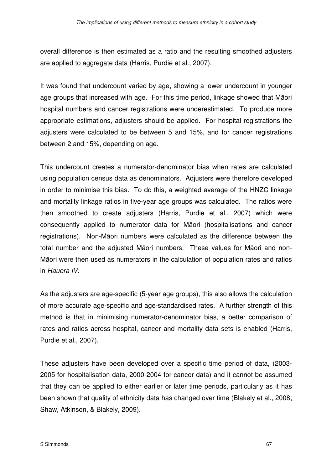overall difference is then estimated as a ratio and the resulting smoothed adjusters are applied to aggregate data (Harris, Purdie et al., 2007).

It was found that undercount varied by age, showing a lower undercount in younger age groups that increased with age. For this time period, linkage showed that Māori hospital numbers and cancer registrations were underestimated. To produce more appropriate estimations, adjusters should be applied. For hospital registrations the adjusters were calculated to be between 5 and 15%, and for cancer registrations between 2 and 15%, depending on age.

This undercount creates a numerator-denominator bias when rates are calculated using population census data as denominators. Adjusters were therefore developed in order to minimise this bias. To do this, a weighted average of the HNZC linkage and mortality linkage ratios in five-year age groups was calculated. The ratios were then smoothed to create adjusters (Harris, Purdie et al., 2007) which were consequently applied to numerator data for Māori (hospitalisations and cancer registrations). Non-Māori numbers were calculated as the difference between the total number and the adjusted Māori numbers. These values for Māori and non-Māori were then used as numerators in the calculation of population rates and ratios in Hauora IV.

As the adjusters are age-specific (5-year age groups), this also allows the calculation of more accurate age-specific and age-standardised rates. A further strength of this method is that in minimising numerator-denominator bias, a better comparison of rates and ratios across hospital, cancer and mortality data sets is enabled (Harris, Purdie et al., 2007).

These adjusters have been developed over a specific time period of data, (2003- 2005 for hospitalisation data, 2000-2004 for cancer data) and it cannot be assumed that they can be applied to either earlier or later time periods, particularly as it has been shown that quality of ethnicity data has changed over time (Blakely et al., 2008; Shaw, Atkinson, & Blakely, 2009).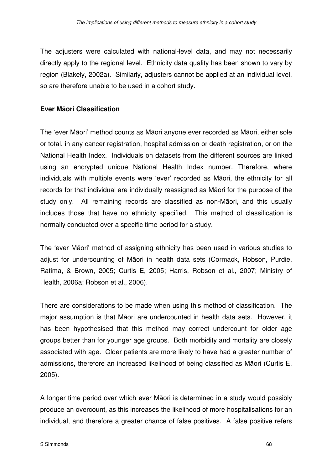The adjusters were calculated with national-level data, and may not necessarily directly apply to the regional level. Ethnicity data quality has been shown to vary by region (Blakely, 2002a). Similarly, adjusters cannot be applied at an individual level, so are therefore unable to be used in a cohort study.

### **Ever M**ā**ori Classification**

The 'ever Māori' method counts as Māori anyone ever recorded as Māori, either sole or total, in any cancer registration, hospital admission or death registration, or on the National Health Index. Individuals on datasets from the different sources are linked using an encrypted unique National Health Index number. Therefore, where individuals with multiple events were 'ever' recorded as Māori, the ethnicity for all records for that individual are individually reassigned as Māori for the purpose of the study only. All remaining records are classified as non-Māori, and this usually includes those that have no ethnicity specified. This method of classification is normally conducted over a specific time period for a study.

The 'ever Māori' method of assigning ethnicity has been used in various studies to adjust for undercounting of Māori in health data sets (Cormack, Robson, Purdie, Ratima, & Brown, 2005; Curtis E, 2005; Harris, Robson et al., 2007; Ministry of Health, 2006a; Robson et al., 2006).

There are considerations to be made when using this method of classification. The major assumption is that Māori are undercounted in health data sets. However, it has been hypothesised that this method may correct undercount for older age groups better than for younger age groups. Both morbidity and mortality are closely associated with age. Older patients are more likely to have had a greater number of admissions, therefore an increased likelihood of being classified as Māori (Curtis E, 2005).

A longer time period over which ever Māori is determined in a study would possibly produce an overcount, as this increases the likelihood of more hospitalisations for an individual, and therefore a greater chance of false positives. A false positive refers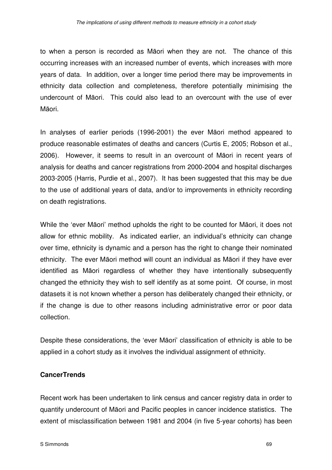to when a person is recorded as Māori when they are not. The chance of this occurring increases with an increased number of events, which increases with more years of data. In addition, over a longer time period there may be improvements in ethnicity data collection and completeness, therefore potentially minimising the undercount of Māori. This could also lead to an overcount with the use of ever Māori.

In analyses of earlier periods (1996-2001) the ever Māori method appeared to produce reasonable estimates of deaths and cancers (Curtis E, 2005; Robson et al., 2006). However, it seems to result in an overcount of Māori in recent years of analysis for deaths and cancer registrations from 2000-2004 and hospital discharges 2003-2005 (Harris, Purdie et al., 2007). It has been suggested that this may be due to the use of additional years of data, and/or to improvements in ethnicity recording on death registrations.

While the 'ever Māori' method upholds the right to be counted for Māori, it does not allow for ethnic mobility. As indicated earlier, an individual's ethnicity can change over time, ethnicity is dynamic and a person has the right to change their nominated ethnicity. The ever Māori method will count an individual as Māori if they have ever identified as Māori regardless of whether they have intentionally subsequently changed the ethnicity they wish to self identify as at some point. Of course, in most datasets it is not known whether a person has deliberately changed their ethnicity, or if the change is due to other reasons including administrative error or poor data collection.

Despite these considerations, the 'ever Māori' classification of ethnicity is able to be applied in a cohort study as it involves the individual assignment of ethnicity.

### **CancerTrends**

Recent work has been undertaken to link census and cancer registry data in order to quantify undercount of Māori and Pacific peoples in cancer incidence statistics. The extent of misclassification between 1981 and 2004 (in five 5-year cohorts) has been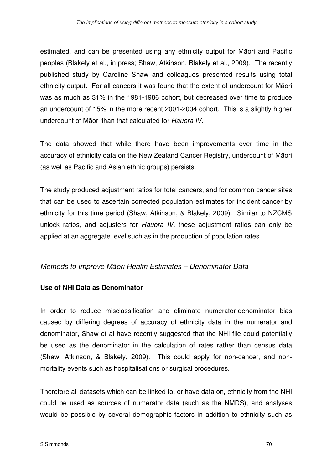estimated, and can be presented using any ethnicity output for Māori and Pacific peoples (Blakely et al., in press; Shaw, Atkinson, Blakely et al., 2009). The recently published study by Caroline Shaw and colleagues presented results using total ethnicity output. For all cancers it was found that the extent of undercount for Māori was as much as 31% in the 1981-1986 cohort, but decreased over time to produce an undercount of 15% in the more recent 2001-2004 cohort. This is a slightly higher undercount of Māori than that calculated for Hauora IV.

The data showed that while there have been improvements over time in the accuracy of ethnicity data on the New Zealand Cancer Registry, undercount of Māori (as well as Pacific and Asian ethnic groups) persists.

The study produced adjustment ratios for total cancers, and for common cancer sites that can be used to ascertain corrected population estimates for incident cancer by ethnicity for this time period (Shaw, Atkinson, & Blakely, 2009). Similar to NZCMS unlock ratios, and adjusters for Hauora IV, these adjustment ratios can only be applied at an aggregate level such as in the production of population rates.

## Methods to Improve Māori Health Estimates – Denominator Data

### **Use of NHI Data as Denominator**

In order to reduce misclassification and eliminate numerator-denominator bias caused by differing degrees of accuracy of ethnicity data in the numerator and denominator, Shaw et al have recently suggested that the NHI file could potentially be used as the denominator in the calculation of rates rather than census data (Shaw, Atkinson, & Blakely, 2009). This could apply for non-cancer, and nonmortality events such as hospitalisations or surgical procedures.

Therefore all datasets which can be linked to, or have data on, ethnicity from the NHI could be used as sources of numerator data (such as the NMDS), and analyses would be possible by several demographic factors in addition to ethnicity such as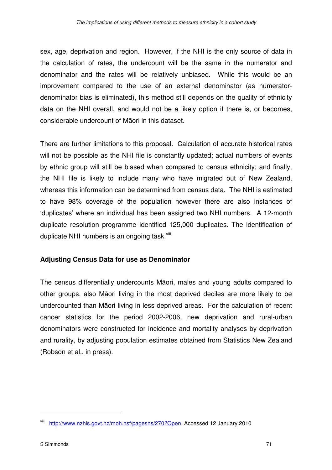sex, age, deprivation and region. However, if the NHI is the only source of data in the calculation of rates, the undercount will be the same in the numerator and denominator and the rates will be relatively unbiased. While this would be an improvement compared to the use of an external denominator (as numeratordenominator bias is eliminated), this method still depends on the quality of ethnicity data on the NHI overall, and would not be a likely option if there is, or becomes, considerable undercount of Māori in this dataset.

There are further limitations to this proposal. Calculation of accurate historical rates will not be possible as the NHI file is constantly updated; actual numbers of events by ethnic group will still be biased when compared to census ethnicity; and finally, the NHI file is likely to include many who have migrated out of New Zealand, whereas this information can be determined from census data. The NHI is estimated to have 98% coverage of the population however there are also instances of 'duplicates' where an individual has been assigned two NHI numbers. A 12-month duplicate resolution programme identified 125,000 duplicates. The identification of duplicate NHI numbers is an ongoing task.<sup>viii</sup>

## **Adjusting Census Data for use as Denominator**

The census differentially undercounts Māori, males and young adults compared to other groups, also Māori living in the most deprived deciles are more likely to be undercounted than Māori living in less deprived areas. For the calculation of recent cancer statistics for the period 2002-2006, new deprivation and rural-urban denominators were constructed for incidence and mortality analyses by deprivation and rurality, by adjusting population estimates obtained from Statistics New Zealand (Robson et al., in press).

viii http://www.nzhis.govt.nz/moh.nsf/pagesns/270?Open Accessed 12 January 2010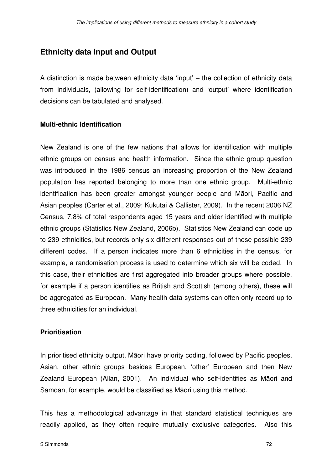## **Ethnicity data Input and Output**

A distinction is made between ethnicity data 'input' – the collection of ethnicity data from individuals, (allowing for self-identification) and 'output' where identification decisions can be tabulated and analysed.

### **Multi-ethnic Identification**

New Zealand is one of the few nations that allows for identification with multiple ethnic groups on census and health information. Since the ethnic group question was introduced in the 1986 census an increasing proportion of the New Zealand population has reported belonging to more than one ethnic group. Multi-ethnic identification has been greater amongst younger people and Māori, Pacific and Asian peoples (Carter et al., 2009; Kukutai & Callister, 2009). In the recent 2006 NZ Census, 7.8% of total respondents aged 15 years and older identified with multiple ethnic groups (Statistics New Zealand, 2006b). Statistics New Zealand can code up to 239 ethnicities, but records only six different responses out of these possible 239 different codes. If a person indicates more than 6 ethnicities in the census, for example, a randomisation process is used to determine which six will be coded. In this case, their ethnicities are first aggregated into broader groups where possible, for example if a person identifies as British and Scottish (among others), these will be aggregated as European. Many health data systems can often only record up to three ethnicities for an individual.

### **Prioritisation**

In prioritised ethnicity output, Māori have priority coding, followed by Pacific peoples, Asian, other ethnic groups besides European, 'other' European and then New Zealand European (Allan, 2001). An individual who self-identifies as Māori and Samoan, for example, would be classified as Māori using this method.

This has a methodological advantage in that standard statistical techniques are readily applied, as they often require mutually exclusive categories. Also this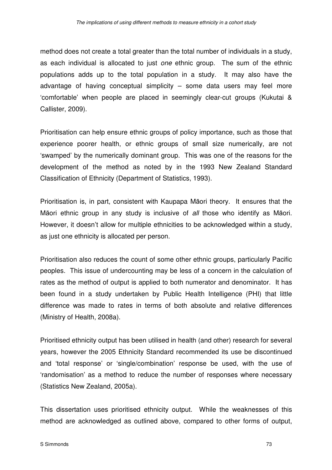method does not create a total greater than the total number of individuals in a study, as each individual is allocated to just one ethnic group. The sum of the ethnic populations adds up to the total population in a study. It may also have the advantage of having conceptual simplicity – some data users may feel more 'comfortable' when people are placed in seemingly clear-cut groups (Kukutai & Callister, 2009).

Prioritisation can help ensure ethnic groups of policy importance, such as those that experience poorer health, or ethnic groups of small size numerically, are not 'swamped' by the numerically dominant group. This was one of the reasons for the development of the method as noted by in the 1993 New Zealand Standard Classification of Ethnicity (Department of Statistics, 1993).

Prioritisation is, in part, consistent with Kaupapa Māori theory. It ensures that the Māori ethnic group in any study is inclusive of all those who identify as Māori. However, it doesn't allow for multiple ethnicities to be acknowledged within a study, as just one ethnicity is allocated per person.

Prioritisation also reduces the count of some other ethnic groups, particularly Pacific peoples. This issue of undercounting may be less of a concern in the calculation of rates as the method of output is applied to both numerator and denominator. It has been found in a study undertaken by Public Health Intelligence (PHI) that little difference was made to rates in terms of both absolute and relative differences (Ministry of Health, 2008a).

Prioritised ethnicity output has been utilised in health (and other) research for several years, however the 2005 Ethnicity Standard recommended its use be discontinued and 'total response' or 'single/combination' response be used, with the use of 'randomisation' as a method to reduce the number of responses where necessary (Statistics New Zealand, 2005a).

This dissertation uses prioritised ethnicity output. While the weaknesses of this method are acknowledged as outlined above, compared to other forms of output,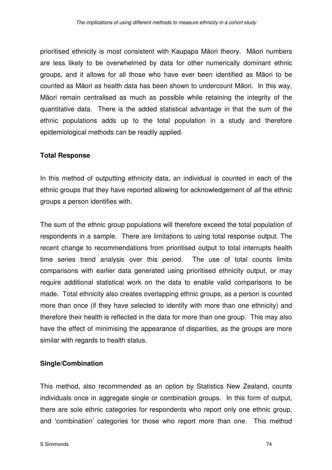prioritised ethnicity is most consistent with Kaupapa Māori theory. Māori numbers are less likely to be overwhelmed by data for other numerically dominant ethnic groups, and it allows for all those who have ever been identified as Māori to be counted as Māori as health data has been shown to undercount Māori. In this way, Māori remain centralised as much as possible while retaining the integrity of the quantitative data. There is the added statistical advantage in that the sum of the ethnic populations adds up to the total population in a study and therefore epidemiological methods can be readily applied.

#### **Total Response**

In this method of outputting ethnicity data, an individual is counted in each of the ethnic groups that they have reported allowing for acknowledgement of all the ethnic groups a person identifies with.

The sum of the ethnic group populations will therefore exceed the total population of respondents in a sample. There are limitations to using total response output. The recent change to recommendations from prioritised output to total interrupts health time series trend analysis over this period. The use of total counts limits comparisons with earlier data generated using prioritised ethnicity output, or may require additional statistical work on the data to enable valid comparisons to be made. Total ethnicity also creates overlapping ethnic groups, as a person is counted more than once (if they have selected to identify with more than one ethnicity) and therefore their health is reflected in the data for more than one group. This may also have the effect of minimising the appearance of disparities, as the groups are more similar with regards to health status.

## **Single/Combination**

This method, also recommended as an option by Statistics New Zealand, counts individuals once in aggregate single or combination groups. In this form of output, there are sole ethnic categories for respondents who report only one ethnic group, and 'combination' categories for those who report more than one. This method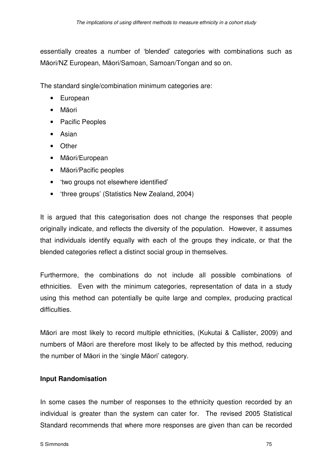essentially creates a number of 'blended' categories with combinations such as Māori/NZ European, Māori/Samoan, Samoan/Tongan and so on.

The standard single/combination minimum categories are:

- European
- Māori
- Pacific Peoples
- Asian
- Other
- Māori/European
- Māori/Pacific peoples
- 'two groups not elsewhere identified'
- 'three groups' (Statistics New Zealand, 2004)

It is argued that this categorisation does not change the responses that people originally indicate, and reflects the diversity of the population. However, it assumes that individuals identify equally with each of the groups they indicate, or that the blended categories reflect a distinct social group in themselves.

Furthermore, the combinations do not include all possible combinations of ethnicities. Even with the minimum categories, representation of data in a study using this method can potentially be quite large and complex, producing practical difficulties.

Māori are most likely to record multiple ethnicities, (Kukutai & Callister, 2009) and numbers of Māori are therefore most likely to be affected by this method, reducing the number of Māori in the 'single Māori' category.

## **Input Randomisation**

In some cases the number of responses to the ethnicity question recorded by an individual is greater than the system can cater for. The revised 2005 Statistical Standard recommends that where more responses are given than can be recorded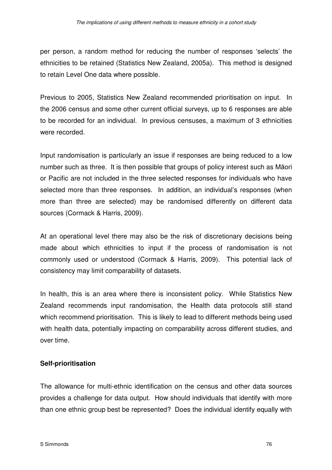per person, a random method for reducing the number of responses 'selects' the ethnicities to be retained (Statistics New Zealand, 2005a). This method is designed to retain Level One data where possible.

Previous to 2005, Statistics New Zealand recommended prioritisation on input. In the 2006 census and some other current official surveys, up to 6 responses are able to be recorded for an individual. In previous censuses, a maximum of 3 ethnicities were recorded.

Input randomisation is particularly an issue if responses are being reduced to a low number such as three. It is then possible that groups of policy interest such as Māori or Pacific are not included in the three selected responses for individuals who have selected more than three responses. In addition, an individual's responses (when more than three are selected) may be randomised differently on different data sources (Cormack & Harris, 2009).

At an operational level there may also be the risk of discretionary decisions being made about which ethnicities to input if the process of randomisation is not commonly used or understood (Cormack & Harris, 2009). This potential lack of consistency may limit comparability of datasets.

In health, this is an area where there is inconsistent policy. While Statistics New Zealand recommends input randomisation, the Health data protocols still stand which recommend prioritisation. This is likely to lead to different methods being used with health data, potentially impacting on comparability across different studies, and over time.

#### **Self-prioritisation**

The allowance for multi-ethnic identification on the census and other data sources provides a challenge for data output. How should individuals that identify with more than one ethnic group best be represented? Does the individual identify equally with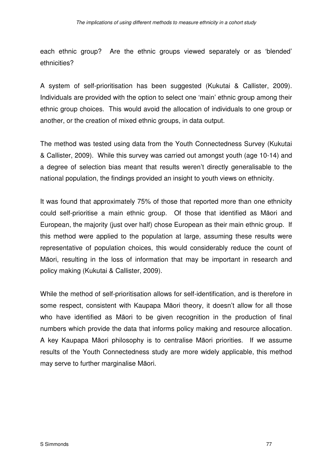each ethnic group? Are the ethnic groups viewed separately or as 'blended' ethnicities?

A system of self-prioritisation has been suggested (Kukutai & Callister, 2009). Individuals are provided with the option to select one 'main' ethnic group among their ethnic group choices. This would avoid the allocation of individuals to one group or another, or the creation of mixed ethnic groups, in data output.

The method was tested using data from the Youth Connectedness Survey (Kukutai & Callister, 2009). While this survey was carried out amongst youth (age 10-14) and a degree of selection bias meant that results weren't directly generalisable to the national population, the findings provided an insight to youth views on ethnicity.

It was found that approximately 75% of those that reported more than one ethnicity could self-prioritise a main ethnic group. Of those that identified as Māori and European, the majority (just over half) chose European as their main ethnic group. If this method were applied to the population at large, assuming these results were representative of population choices, this would considerably reduce the count of Māori, resulting in the loss of information that may be important in research and policy making (Kukutai & Callister, 2009).

While the method of self-prioritisation allows for self-identification, and is therefore in some respect, consistent with Kaupapa Māori theory, it doesn't allow for all those who have identified as Māori to be given recognition in the production of final numbers which provide the data that informs policy making and resource allocation. A key Kaupapa Māori philosophy is to centralise Māori priorities. If we assume results of the Youth Connectedness study are more widely applicable, this method may serve to further marginalise Māori.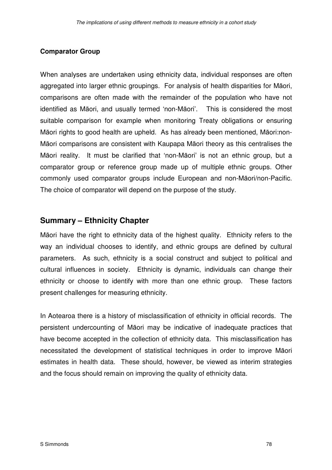#### **Comparator Group**

When analyses are undertaken using ethnicity data, individual responses are often aggregated into larger ethnic groupings. For analysis of health disparities for Māori, comparisons are often made with the remainder of the population who have not identified as Māori, and usually termed 'non-Māori'. This is considered the most suitable comparison for example when monitoring Treaty obligations or ensuring Māori rights to good health are upheld. As has already been mentioned, Māori:non-Māori comparisons are consistent with Kaupapa Māori theory as this centralises the Māori reality. It must be clarified that 'non-Māori' is not an ethnic group, but a comparator group or reference group made up of multiple ethnic groups. Other commonly used comparator groups include European and non-Māori/non-Pacific. The choice of comparator will depend on the purpose of the study.

## **Summary – Ethnicity Chapter**

Māori have the right to ethnicity data of the highest quality. Ethnicity refers to the way an individual chooses to identify, and ethnic groups are defined by cultural parameters. As such, ethnicity is a social construct and subject to political and cultural influences in society. Ethnicity is dynamic, individuals can change their ethnicity or choose to identify with more than one ethnic group. These factors present challenges for measuring ethnicity.

In Aotearoa there is a history of misclassification of ethnicity in official records. The persistent undercounting of Māori may be indicative of inadequate practices that have become accepted in the collection of ethnicity data. This misclassification has necessitated the development of statistical techniques in order to improve Māori estimates in health data. These should, however, be viewed as interim strategies and the focus should remain on improving the quality of ethnicity data.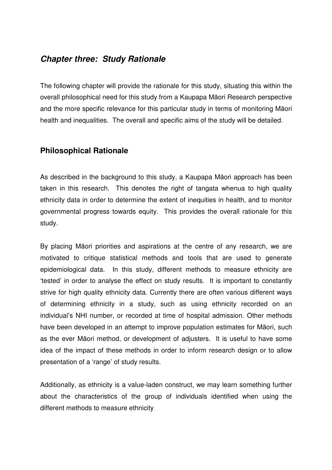## **Chapter three: Study Rationale**

The following chapter will provide the rationale for this study, situating this within the overall philosophical need for this study from a Kaupapa Māori Research perspective and the more specific relevance for this particular study in terms of monitoring Māori health and inequalities. The overall and specific aims of the study will be detailed.

## **Philosophical Rationale**

As described in the background to this study, a Kaupapa Māori approach has been taken in this research. This denotes the right of tangata whenua to high quality ethnicity data in order to determine the extent of inequities in health, and to monitor governmental progress towards equity. This provides the overall rationale for this study.

By placing Māori priorities and aspirations at the centre of any research, we are motivated to critique statistical methods and tools that are used to generate epidemiological data. In this study, different methods to measure ethnicity are 'tested' in order to analyse the effect on study results. It is important to constantly strive for high quality ethnicity data. Currently there are often various different ways of determining ethnicity in a study, such as using ethnicity recorded on an individual's NHI number, or recorded at time of hospital admission. Other methods have been developed in an attempt to improve population estimates for Māori, such as the ever Māori method, or development of adjusters. It is useful to have some idea of the impact of these methods in order to inform research design or to allow presentation of a 'range' of study results.

Additionally, as ethnicity is a value-laden construct, we may learn something further about the characteristics of the group of individuals identified when using the different methods to measure ethnicity.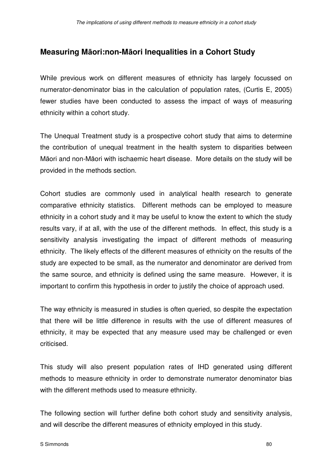## **Measuring M**ā**ori:non-M**ā**ori Inequalities in a Cohort Study**

While previous work on different measures of ethnicity has largely focussed on numerator-denominator bias in the calculation of population rates, (Curtis E, 2005) fewer studies have been conducted to assess the impact of ways of measuring ethnicity within a cohort study.

The Unequal Treatment study is a prospective cohort study that aims to determine the contribution of unequal treatment in the health system to disparities between Māori and non-Māori with ischaemic heart disease. More details on the study will be provided in the methods section.

Cohort studies are commonly used in analytical health research to generate comparative ethnicity statistics. Different methods can be employed to measure ethnicity in a cohort study and it may be useful to know the extent to which the study results vary, if at all, with the use of the different methods. In effect, this study is a sensitivity analysis investigating the impact of different methods of measuring ethnicity. The likely effects of the different measures of ethnicity on the results of the study are expected to be small, as the numerator and denominator are derived from the same source, and ethnicity is defined using the same measure. However, it is important to confirm this hypothesis in order to justify the choice of approach used.

The way ethnicity is measured in studies is often queried, so despite the expectation that there will be little difference in results with the use of different measures of ethnicity, it may be expected that any measure used may be challenged or even criticised.

This study will also present population rates of IHD generated using different methods to measure ethnicity in order to demonstrate numerator denominator bias with the different methods used to measure ethnicity.

The following section will further define both cohort study and sensitivity analysis, and will describe the different measures of ethnicity employed in this study.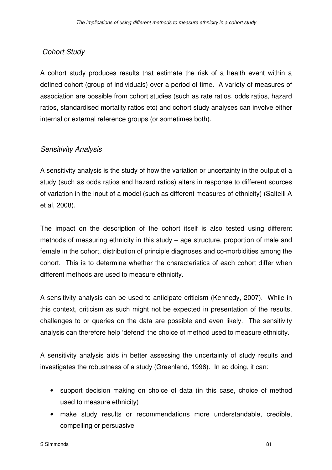## Cohort Study

A cohort study produces results that estimate the risk of a health event within a defined cohort (group of individuals) over a period of time. A variety of measures of association are possible from cohort studies (such as rate ratios, odds ratios, hazard ratios, standardised mortality ratios etc) and cohort study analyses can involve either internal or external reference groups (or sometimes both).

## Sensitivity Analysis

A sensitivity analysis is the study of how the variation or uncertainty in the output of a study (such as odds ratios and hazard ratios) alters in response to different sources of variation in the input of a model (such as different measures of ethnicity) (Saltelli A et al, 2008).

The impact on the description of the cohort itself is also tested using different methods of measuring ethnicity in this study – age structure, proportion of male and female in the cohort, distribution of principle diagnoses and co-morbidities among the cohort. This is to determine whether the characteristics of each cohort differ when different methods are used to measure ethnicity.

A sensitivity analysis can be used to anticipate criticism (Kennedy, 2007). While in this context, criticism as such might not be expected in presentation of the results, challenges to or queries on the data are possible and even likely. The sensitivity analysis can therefore help 'defend' the choice of method used to measure ethnicity.

A sensitivity analysis aids in better assessing the uncertainty of study results and investigates the robustness of a study (Greenland, 1996). In so doing, it can:

- support decision making on choice of data (in this case, choice of method used to measure ethnicity)
- make study results or recommendations more understandable, credible, compelling or persuasive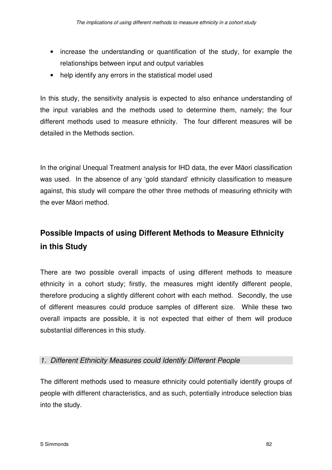- increase the understanding or quantification of the study, for example the relationships between input and output variables
- help identify any errors in the statistical model used

In this study, the sensitivity analysis is expected to also enhance understanding of the input variables and the methods used to determine them, namely; the four different methods used to measure ethnicity. The four different measures will be detailed in the Methods section.

In the original Unequal Treatment analysis for IHD data, the ever Māori classification was used. In the absence of any 'gold standard' ethnicity classification to measure against, this study will compare the other three methods of measuring ethnicity with the ever Māori method.

# **Possible Impacts of using Different Methods to Measure Ethnicity in this Study**

There are two possible overall impacts of using different methods to measure ethnicity in a cohort study; firstly, the measures might identify different people, therefore producing a slightly different cohort with each method. Secondly, the use of different measures could produce samples of different size. While these two overall impacts are possible, it is not expected that either of them will produce substantial differences in this study.

## 1. Different Ethnicity Measures could Identify Different People

The different methods used to measure ethnicity could potentially identify groups of people with different characteristics, and as such, potentially introduce selection bias into the study.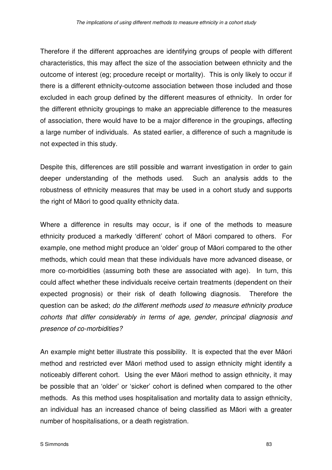Therefore if the different approaches are identifying groups of people with different characteristics, this may affect the size of the association between ethnicity and the outcome of interest (eg; procedure receipt or mortality). This is only likely to occur if there is a different ethnicity-outcome association between those included and those excluded in each group defined by the different measures of ethnicity. In order for the different ethnicity groupings to make an appreciable difference to the measures of association, there would have to be a major difference in the groupings, affecting a large number of individuals. As stated earlier, a difference of such a magnitude is not expected in this study.

Despite this, differences are still possible and warrant investigation in order to gain deeper understanding of the methods used. Such an analysis adds to the robustness of ethnicity measures that may be used in a cohort study and supports the right of Māori to good quality ethnicity data.

Where a difference in results may occur, is if one of the methods to measure ethnicity produced a markedly 'different' cohort of Māori compared to others. For example, one method might produce an 'older' group of Māori compared to the other methods, which could mean that these individuals have more advanced disease, or more co-morbidities (assuming both these are associated with age). In turn, this could affect whether these individuals receive certain treatments (dependent on their expected prognosis) or their risk of death following diagnosis. Therefore the question can be asked; do the different methods used to measure ethnicity produce cohorts that differ considerably in terms of age, gender, principal diagnosis and presence of co-morbidities?

An example might better illustrate this possibility. It is expected that the ever Māori method and restricted ever Māori method used to assign ethnicity might identify a noticeably different cohort. Using the ever Māori method to assign ethnicity, it may be possible that an 'older' or 'sicker' cohort is defined when compared to the other methods. As this method uses hospitalisation and mortality data to assign ethnicity, an individual has an increased chance of being classified as Māori with a greater number of hospitalisations, or a death registration.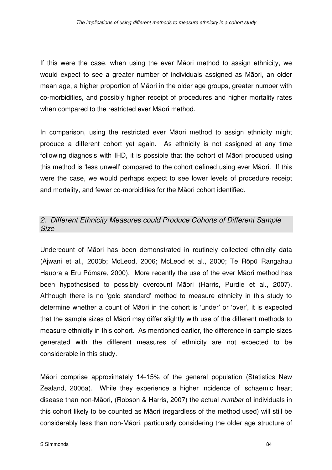If this were the case, when using the ever Māori method to assign ethnicity, we would expect to see a greater number of individuals assigned as Māori, an older mean age, a higher proportion of Māori in the older age groups, greater number with co-morbidities, and possibly higher receipt of procedures and higher mortality rates when compared to the restricted ever Māori method.

In comparison, using the restricted ever Māori method to assign ethnicity might produce a different cohort yet again. As ethnicity is not assigned at any time following diagnosis with IHD, it is possible that the cohort of Māori produced using this method is 'less unwell' compared to the cohort defined using ever Māori. If this were the case, we would perhaps expect to see lower levels of procedure receipt and mortality, and fewer co-morbidities for the Māori cohort identified.

## 2. Different Ethnicity Measures could Produce Cohorts of Different Sample Size

Undercount of Māori has been demonstrated in routinely collected ethnicity data (Ajwani et al., 2003b; McLeod, 2006; McLeod et al., 2000; Te Rōpū Rangahau Hauora a Eru Pōmare, 2000). More recently the use of the ever Māori method has been hypothesised to possibly overcount Māori (Harris, Purdie et al., 2007). Although there is no 'gold standard' method to measure ethnicity in this study to determine whether a count of Māori in the cohort is 'under' or 'over', it is expected that the sample sizes of Māori may differ slightly with use of the different methods to measure ethnicity in this cohort. As mentioned earlier, the difference in sample sizes generated with the different measures of ethnicity are not expected to be considerable in this study.

Māori comprise approximately 14-15% of the general population (Statistics New Zealand, 2006a). While they experience a higher incidence of ischaemic heart disease than non-Māori, (Robson & Harris, 2007) the actual number of individuals in this cohort likely to be counted as Māori (regardless of the method used) will still be considerably less than non-Māori, particularly considering the older age structure of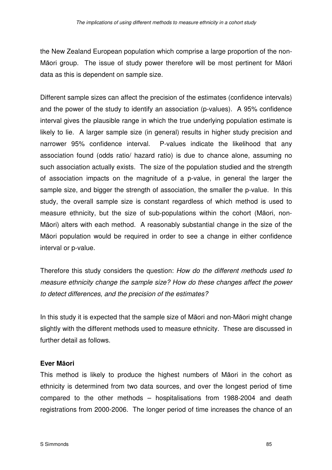the New Zealand European population which comprise a large proportion of the non-Māori group. The issue of study power therefore will be most pertinent for Māori data as this is dependent on sample size.

Different sample sizes can affect the precision of the estimates (confidence intervals) and the power of the study to identify an association (p-values). A 95% confidence interval gives the plausible range in which the true underlying population estimate is likely to lie. A larger sample size (in general) results in higher study precision and narrower 95% confidence interval. P-values indicate the likelihood that any association found (odds ratio/ hazard ratio) is due to chance alone, assuming no such association actually exists. The size of the population studied and the strength of association impacts on the magnitude of a p-value, in general the larger the sample size, and bigger the strength of association, the smaller the p-value. In this study, the overall sample size is constant regardless of which method is used to measure ethnicity, but the size of sub-populations within the cohort (Māori, non-Māori) alters with each method. A reasonably substantial change in the size of the Māori population would be required in order to see a change in either confidence interval or p-value.

Therefore this study considers the question: How do the different methods used to measure ethnicity change the sample size? How do these changes affect the power to detect differences, and the precision of the estimates?

In this study it is expected that the sample size of Māori and non-Māori might change slightly with the different methods used to measure ethnicity. These are discussed in further detail as follows.

#### **Ever M**ā**ori**

This method is likely to produce the highest numbers of Māori in the cohort as ethnicity is determined from two data sources, and over the longest period of time compared to the other methods – hospitalisations from 1988-2004 and death registrations from 2000-2006. The longer period of time increases the chance of an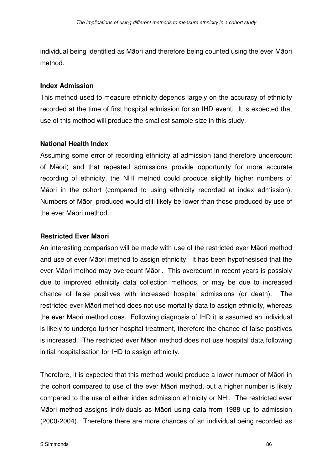individual being identified as Māori and therefore being counted using the ever Māori method.

#### **Index Admission**

This method used to measure ethnicity depends largely on the accuracy of ethnicity recorded at the time of first hospital admission for an IHD event. It is expected that use of this method will produce the smallest sample size in this study.

#### **National Health Index**

Assuming some error of recording ethnicity at admission (and therefore undercount of Māori) and that repeated admissions provide opportunity for more accurate recording of ethnicity, the NHI method could produce slightly higher numbers of Māori in the cohort (compared to using ethnicity recorded at index admission). Numbers of Māori produced would still likely be lower than those produced by use of the ever Māori method.

#### **Restricted Ever M**ā**ori**

An interesting comparison will be made with use of the restricted ever Māori method and use of ever Māori method to assign ethnicity. It has been hypothesised that the ever Māori method may overcount Māori. This overcount in recent years is possibly due to improved ethnicity data collection methods, or may be due to increased chance of false positives with increased hospital admissions (or death). The restricted ever Māori method does not use mortality data to assign ethnicity, whereas the ever Māori method does. Following diagnosis of IHD it is assumed an individual is likely to undergo further hospital treatment, therefore the chance of false positives is increased. The restricted ever Māori method does not use hospital data following initial hospitalisation for IHD to assign ethnicity.

Therefore, it is expected that this method would produce a lower number of Māori in the cohort compared to use of the ever Māori method, but a higher number is likely compared to the use of either index admission ethnicity or NHI. The restricted ever Māori method assigns individuals as Māori using data from 1988 up to admission (2000-2004). Therefore there are more chances of an individual being recorded as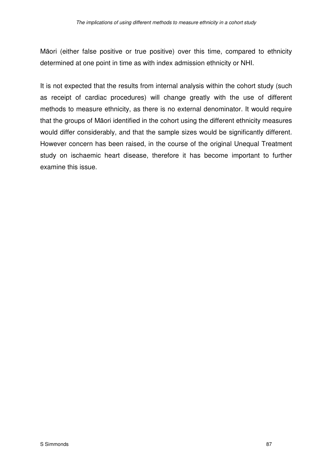Māori (either false positive or true positive) over this time, compared to ethnicity determined at one point in time as with index admission ethnicity or NHI.

It is not expected that the results from internal analysis within the cohort study (such as receipt of cardiac procedures) will change greatly with the use of different methods to measure ethnicity, as there is no external denominator. It would require that the groups of Māori identified in the cohort using the different ethnicity measures would differ considerably, and that the sample sizes would be significantly different. However concern has been raised, in the course of the original Unequal Treatment study on ischaemic heart disease, therefore it has become important to further examine this issue.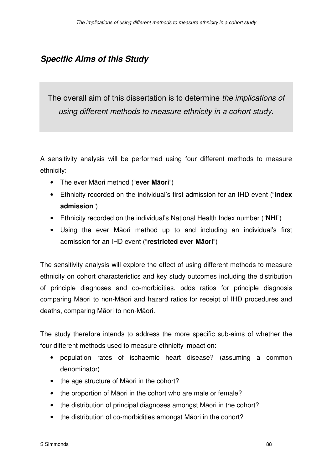# **Specific Aims of this Study**

The overall aim of this dissertation is to determine the implications of using different methods to measure ethnicity in a cohort study.

A sensitivity analysis will be performed using four different methods to measure ethnicity:

- The ever Māori method ("**ever M**ā**ori**")
- Ethnicity recorded on the individual's first admission for an IHD event ("**index admission**")
- Ethnicity recorded on the individual's National Health Index number ("**NHI**")
- Using the ever Māori method up to and including an individual's first admission for an IHD event ("**restricted ever M**ā**ori**")

The sensitivity analysis will explore the effect of using different methods to measure ethnicity on cohort characteristics and key study outcomes including the distribution of principle diagnoses and co-morbidities, odds ratios for principle diagnosis comparing Māori to non-Māori and hazard ratios for receipt of IHD procedures and deaths, comparing Māori to non-Māori.

The study therefore intends to address the more specific sub-aims of whether the four different methods used to measure ethnicity impact on:

- population rates of ischaemic heart disease? (assuming a common denominator)
- the age structure of Māori in the cohort?
- the proportion of Māori in the cohort who are male or female?
- the distribution of principal diagnoses amongst Māori in the cohort?
- the distribution of co-morbidities amongst Māori in the cohort?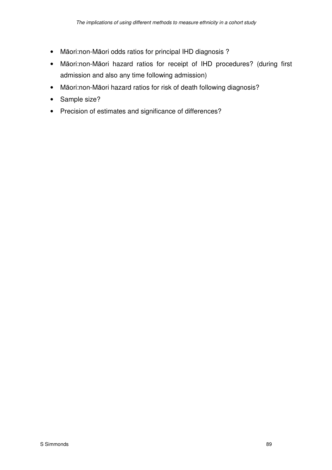- Māori:non-Māori odds ratios for principal IHD diagnosis ?
- Māori:non-Māori hazard ratios for receipt of IHD procedures? (during first admission and also any time following admission)
- Māori:non-Māori hazard ratios for risk of death following diagnosis?
- Sample size?
- Precision of estimates and significance of differences?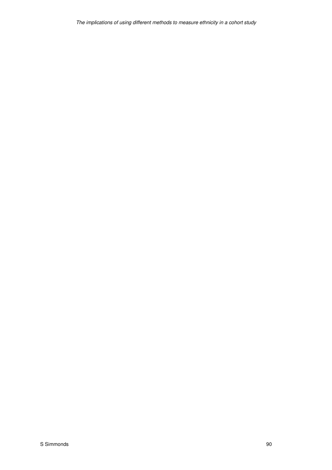The implications of using different methods to measure ethnicity in a cohort study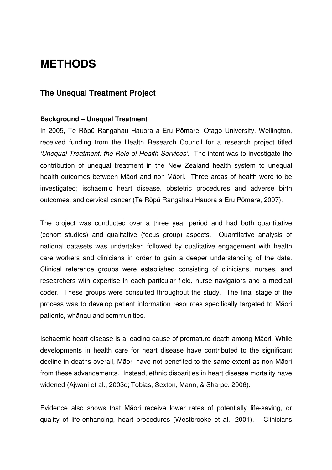# **METHODS**

### **The Unequal Treatment Project**

#### **Background – Unequal Treatment**

In 2005, Te Rōpū Rangahau Hauora a Eru Pōmare, Otago University, Wellington, received funding from the Health Research Council for a research project titled 'Unequal Treatment: the Role of Health Services'. The intent was to investigate the contribution of unequal treatment in the New Zealand health system to unequal health outcomes between Māori and non-Māori. Three areas of health were to be investigated; ischaemic heart disease, obstetric procedures and adverse birth outcomes, and cervical cancer (Te Rōpū Rangahau Hauora a Eru Pōmare, 2007).

The project was conducted over a three year period and had both quantitative (cohort studies) and qualitative (focus group) aspects. Quantitative analysis of national datasets was undertaken followed by qualitative engagement with health care workers and clinicians in order to gain a deeper understanding of the data. Clinical reference groups were established consisting of clinicians, nurses, and researchers with expertise in each particular field, nurse navigators and a medical coder. These groups were consulted throughout the study. The final stage of the process was to develop patient information resources specifically targeted to Māori patients, whānau and communities.

Ischaemic heart disease is a leading cause of premature death among Māori. While developments in health care for heart disease have contributed to the significant decline in deaths overall, Māori have not benefited to the same extent as non-Māori from these advancements. Instead, ethnic disparities in heart disease mortality have widened (Ajwani et al., 2003c; Tobias, Sexton, Mann, & Sharpe, 2006).

Evidence also shows that Māori receive lower rates of potentially life-saving, or quality of life-enhancing, heart procedures (Westbrooke et al., 2001). Clinicians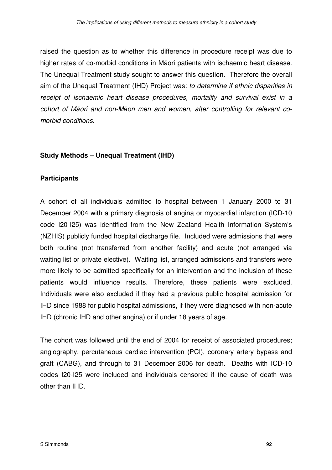raised the question as to whether this difference in procedure receipt was due to higher rates of co-morbid conditions in Māori patients with ischaemic heart disease. The Unequal Treatment study sought to answer this question. Therefore the overall aim of the Unequal Treatment (IHD) Project was: to determine if ethnic disparities in receipt of ischaemic heart disease procedures, mortality and survival exist in a cohort of Māori and non-Māori men and women, after controlling for relevant comorbid conditions.

#### **Study Methods – Unequal Treatment (IHD)**

#### **Participants**

A cohort of all individuals admitted to hospital between 1 January 2000 to 31 December 2004 with a primary diagnosis of angina or myocardial infarction (ICD-10 code I20-I25) was identified from the New Zealand Health Information System's (NZHIS) publicly funded hospital discharge file. Included were admissions that were both routine (not transferred from another facility) and acute (not arranged via waiting list or private elective). Waiting list, arranged admissions and transfers were more likely to be admitted specifically for an intervention and the inclusion of these patients would influence results. Therefore, these patients were excluded. Individuals were also excluded if they had a previous public hospital admission for IHD since 1988 for public hospital admissions, if they were diagnosed with non-acute IHD (chronic IHD and other angina) or if under 18 years of age.

The cohort was followed until the end of 2004 for receipt of associated procedures; angiography, percutaneous cardiac intervention (PCI), coronary artery bypass and graft (CABG), and through to 31 December 2006 for death. Deaths with ICD-10 codes I20-I25 were included and individuals censored if the cause of death was other than IHD.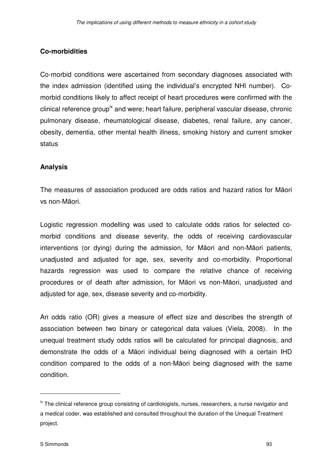#### **Co-morbidities**

Co-morbid conditions were ascertained from secondary diagnoses associated with the index admission (identified using the individual's encrypted NHI number). Comorbid conditions likely to affect receipt of heart procedures were confirmed with the clinical reference group<sup>ix</sup> and were; heart failure, peripheral vascular disease, chronic pulmonary disease, rheumatological disease, diabetes, renal failure, any cancer, obesity, dementia, other mental health illness, smoking history and current smoker status.

#### **Analysis**

The measures of association produced are odds ratios and hazard ratios for Māori vs non-Māori.

Logistic regression modelling was used to calculate odds ratios for selected comorbid conditions and disease severity, the odds of receiving cardiovascular interventions (or dying) during the admission, for Māori and non-Māori patients, unadjusted and adjusted for age, sex, severity and co-morbidity. Proportional hazards regression was used to compare the relative chance of receiving procedures or of death after admission, for Māori vs non-Māori, unadjusted and adjusted for age, sex, disease severity and co-morbidity.

An odds ratio (OR) gives a measure of effect size and describes the strength of association between two binary or categorical data values (Viela, 2008). In the unequal treatment study odds ratios will be calculated for principal diagnosis, and demonstrate the odds of a Māori individual being diagnosed with a certain IHD condition compared to the odds of a non-Māori being diagnosed with the same condition.

 $\overline{a}$ 

<sup>&</sup>lt;sup>ix</sup> The clinical reference group consisting of cardiologists, nurses, researchers, a nurse navigator and a medical coder, was established and consulted throughout the duration of the Unequal Treatment project.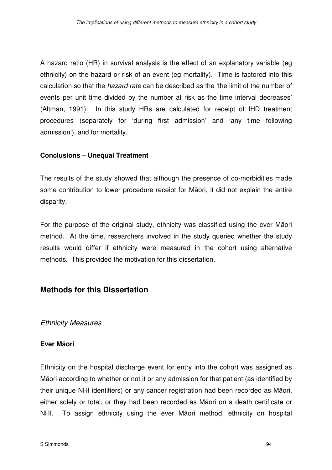A hazard ratio (HR) in survival analysis is the effect of an explanatory variable (eg ethnicity) on the hazard or risk of an event (eg mortality). Time is factored into this calculation so that the hazard rate can be described as the 'the limit of the number of events per unit time divided by the number at risk as the time interval decreases' (Altman, 1991). In this study HRs are calculated for receipt of IHD treatment procedures (separately for 'during first admission' and 'any time following admission'), and for mortality.

#### **Conclusions – Unequal Treatment**

The results of the study showed that although the presence of co-morbidities made some contribution to lower procedure receipt for Māori, it did not explain the entire disparity.

For the purpose of the original study, ethnicity was classified using the ever Māori method. At the time, researchers involved in the study queried whether the study results would differ if ethnicity were measured in the cohort using alternative methods. This provided the motivation for this dissertation.

## **Methods for this Dissertation**

## Ethnicity Measures

#### **Ever M**ā**ori**

Ethnicity on the hospital discharge event for entry into the cohort was assigned as Māori according to whether or not it or any admission for that patient (as identified by their unique NHI identifiers) or any cancer registration had been recorded as Māori, either solely or total, or they had been recorded as Māori on a death certificate or NHI. To assign ethnicity using the ever Māori method, ethnicity on hospital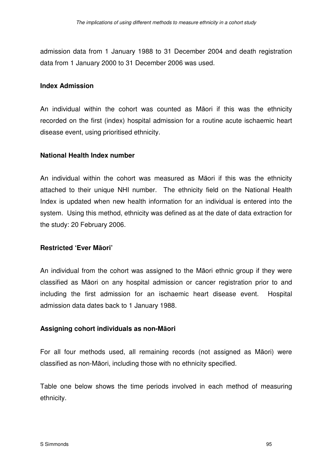admission data from 1 January 1988 to 31 December 2004 and death registration data from 1 January 2000 to 31 December 2006 was used.

#### **Index Admission**

An individual within the cohort was counted as Māori if this was the ethnicity recorded on the first (index) hospital admission for a routine acute ischaemic heart disease event, using prioritised ethnicity.

#### **National Health Index number**

An individual within the cohort was measured as Māori if this was the ethnicity attached to their unique NHI number. The ethnicity field on the National Health Index is updated when new health information for an individual is entered into the system. Using this method, ethnicity was defined as at the date of data extraction for the study: 20 February 2006.

#### **Restricted 'Ever M**ā**ori'**

An individual from the cohort was assigned to the Māori ethnic group if they were classified as Māori on any hospital admission or cancer registration prior to and including the first admission for an ischaemic heart disease event. Hospital admission data dates back to 1 January 1988.

#### **Assigning cohort individuals as non-M**ā**ori**

For all four methods used, all remaining records (not assigned as Māori) were classified as non-Māori, including those with no ethnicity specified.

Table one below shows the time periods involved in each method of measuring ethnicity.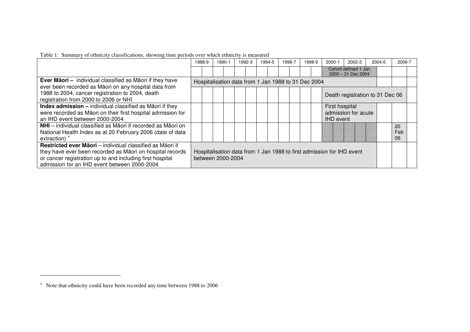Table 1: Summary of ethnicity classifications, showing time periods over which ethnicity is measured

|                                                                                                                                                                                                                                     | 1988-9            |  | 1990-1                                              |  | 1992-3 |  | 1994-5 |  |  | 1996-7 |  | 1998-9 | 2000-1                                                                | 2002-3                                       | 2004-5 | 2006-7          |  |
|-------------------------------------------------------------------------------------------------------------------------------------------------------------------------------------------------------------------------------------|-------------------|--|-----------------------------------------------------|--|--------|--|--------|--|--|--------|--|--------|-----------------------------------------------------------------------|----------------------------------------------|--------|-----------------|--|
|                                                                                                                                                                                                                                     |                   |  |                                                     |  |        |  |        |  |  |        |  |        |                                                                       | Cohort defined 1 Jan<br>$2000 - 31$ Dec 2004 |        |                 |  |
| <b>Ever Māori</b> – individual classified as Māori if they have                                                                                                                                                                     |                   |  | Hospitalisation data from 1 Jan 1988 to 31 Dec 2004 |  |        |  |        |  |  |        |  |        |                                                                       |                                              |        |                 |  |
| ever been recorded as Māori on any hospital data from<br>1988 to 2004, cancer registration to 2004, death<br>registration from 2000 to 2006 or NHI                                                                                  |                   |  |                                                     |  |        |  |        |  |  |        |  |        |                                                                       | Death registration to 31 Dec 06              |        |                 |  |
| <b>Index admission - individual classified as Māori if they</b><br>were recorded as Māori on their first hospital admission for<br>an IHD event between 2000-2004                                                                   |                   |  |                                                     |  |        |  |        |  |  |        |  |        | First hospital<br><b>IHD</b> event                                    | admission for acute                          |        |                 |  |
| NHI - individual classified as Māori if recorded as Māori on<br>National Health Index as at 20 February 2006 (date of data<br>extraction) $x$                                                                                       |                   |  |                                                     |  |        |  |        |  |  |        |  |        |                                                                       |                                              |        | 20<br>Feb<br>06 |  |
| Restricted ever Māori - individual classified as Māori if<br>they have ever been recorded as Māori on hospital records<br>or cancer registration up to and including first hospital<br>admission for an IHD event between 2000-2004 | between 2000-2004 |  |                                                     |  |        |  |        |  |  |        |  |        | Hospitalisation data from 1 Jan 1988 to first admission for IHD event |                                              |        |                 |  |

x Note that ethnicity could have been recorded any time between 1988 to 2006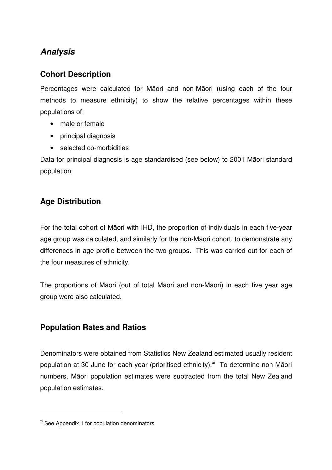# **Analysis**

## **Cohort Description**

Percentages were calculated for Māori and non-Māori (using each of the four methods to measure ethnicity) to show the relative percentages within these populations of:

- male or female
- principal diagnosis
- selected co-morbidities

Data for principal diagnosis is age standardised (see below) to 2001 Māori standard population.

## **Age Distribution**

For the total cohort of Māori with IHD, the proportion of individuals in each five-year age group was calculated, and similarly for the non-Māori cohort, to demonstrate any differences in age profile between the two groups. This was carried out for each of the four measures of ethnicity.

The proportions of Māori (out of total Māori and non-Māori) in each five year age group were also calculated.

## **Population Rates and Ratios**

Denominators were obtained from Statistics New Zealand estimated usually resident population at 30 June for each year (prioritised ethnicity).<sup>xi</sup> To determine non-Māori numbers, Māori population estimates were subtracted from the total New Zealand population estimates.

 $\overline{a}$ 

<sup>&</sup>lt;sup>xi</sup> See Appendix 1 for population denominators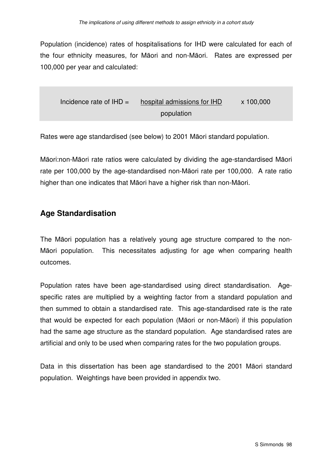Population (incidence) rates of hospitalisations for IHD were calculated for each of the four ethnicity measures, for Māori and non-Māori. Rates are expressed per 100,000 per year and calculated:

$$
Incidence rate of IHD = \n hospital admissions for IHD   x 100,000
$$
  *population*

Rates were age standardised (see below) to 2001 Māori standard population.

Māori:non-Māori rate ratios were calculated by dividing the age-standardised Māori rate per 100,000 by the age-standardised non-Māori rate per 100,000. A rate ratio higher than one indicates that Māori have a higher risk than non-Māori.

## **Age Standardisation**

The Māori population has a relatively young age structure compared to the non-Māori population. This necessitates adjusting for age when comparing health outcomes.

Population rates have been age-standardised using direct standardisation. Agespecific rates are multiplied by a weighting factor from a standard population and then summed to obtain a standardised rate. This age-standardised rate is the rate that would be expected for each population (Māori or non-Māori) if this population had the same age structure as the standard population. Age standardised rates are artificial and only to be used when comparing rates for the two population groups.

Data in this dissertation has been age standardised to the 2001 Māori standard population. Weightings have been provided in appendix two.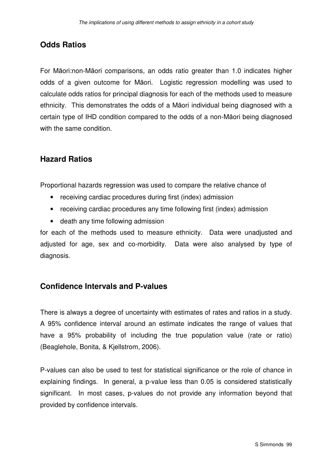## **Odds Ratios**

For Māori:non-Māori comparisons, an odds ratio greater than 1.0 indicates higher odds of a given outcome for Māori. Logistic regression modelling was used to calculate odds ratios for principal diagnosis for each of the methods used to measure ethnicity. This demonstrates the odds of a Māori individual being diagnosed with a certain type of IHD condition compared to the odds of a non-Māori being diagnosed with the same condition.

## **Hazard Ratios**

Proportional hazards regression was used to compare the relative chance of

- receiving cardiac procedures during first (index) admission
- receiving cardiac procedures any time following first (index) admission
- death any time following admission

for each of the methods used to measure ethnicity. Data were unadjusted and adjusted for age, sex and co-morbidity. Data were also analysed by type of diagnosis.

## **Confidence Intervals and P-values**

There is always a degree of uncertainty with estimates of rates and ratios in a study. A 95% confidence interval around an estimate indicates the range of values that have a 95% probability of including the true population value (rate or ratio) (Beaglehole, Bonita, & Kjellstrom, 2006).

P-values can also be used to test for statistical significance or the role of chance in explaining findings. In general, a p-value less than 0.05 is considered statistically significant. In most cases, p-values do not provide any information beyond that provided by confidence intervals.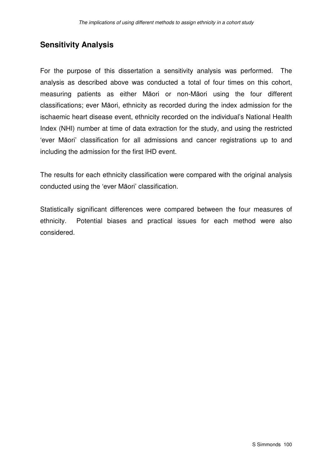## **Sensitivity Analysis**

For the purpose of this dissertation a sensitivity analysis was performed. The analysis as described above was conducted a total of four times on this cohort, measuring patients as either Māori or non-Māori using the four different classifications; ever Māori, ethnicity as recorded during the index admission for the ischaemic heart disease event, ethnicity recorded on the individual's National Health Index (NHI) number at time of data extraction for the study, and using the restricted 'ever Māori' classification for all admissions and cancer registrations up to and including the admission for the first IHD event.

The results for each ethnicity classification were compared with the original analysis conducted using the 'ever Māori' classification.

Statistically significant differences were compared between the four measures of ethnicity. Potential biases and practical issues for each method were also considered.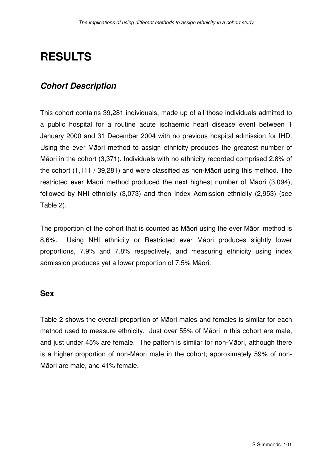# **RESULTS**

## **Cohort Description**

This cohort contains 39,281 individuals, made up of all those individuals admitted to a public hospital for a routine acute ischaemic heart disease event between 1 January 2000 and 31 December 2004 with no previous hospital admission for IHD. Using the ever Māori method to assign ethnicity produces the greatest number of Māori in the cohort (3,371). Individuals with no ethnicity recorded comprised 2.8% of the cohort (1,111 / 39,281) and were classified as non-Māori using this method. The restricted ever Māori method produced the next highest number of Māori (3,094), followed by NHI ethnicity (3,073) and then Index Admission ethnicity (2,953) (see Table 2).

The proportion of the cohort that is counted as Māori using the ever Māori method is 8.6%. Using NHI ethnicity or Restricted ever Māori produces slightly lower proportions, 7.9% and 7.8% respectively, and measuring ethnicity using index admission produces yet a lower proportion of 7.5% Māori.

## **Sex**

Table 2 shows the overall proportion of Māori males and females is similar for each method used to measure ethnicity. Just over 55% of Māori in this cohort are male, and just under 45% are female. The pattern is similar for non-Māori, although there is a higher proportion of non-Māori male in the cohort; approximately 59% of non-Māori are male, and 41% female.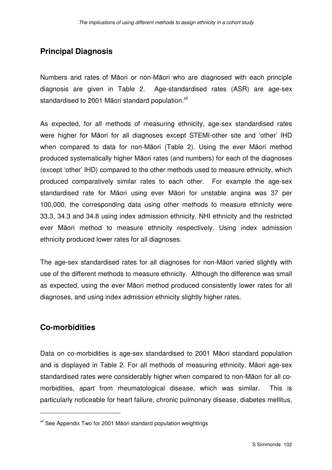## **Principal Diagnosis**

Numbers and rates of Māori or non-Māori who are diagnosed with each principle diagnosis are given in Table 2. Age-standardised rates (ASR) are age-sex standardised to 2001 Māori standard population.<sup>xii</sup>

As expected, for all methods of measuring ethnicity, age-sex standardised rates were higher for Māori for all diagnoses except STEMI-other site and 'other' IHD when compared to data for non-Māori (Table 2). Using the ever Māori method produced systematically higher Māori rates (and numbers) for each of the diagnoses (except 'other' IHD) compared to the other methods used to measure ethnicity, which produced comparatively similar rates to each other. For example the age-sex standardised rate for Māori using ever Māori for unstable angina was 37 per 100,000, the corresponding data using other methods to measure ethnicity were 33.3, 34.3 and 34.8 using index admission ethnicity, NHI ethnicity and the restricted ever Māori method to measure ethnicity respectively. Using index admission ethnicity produced lower rates for all diagnoses.

The age-sex standardised rates for all diagnoses for non-Māori varied slightly with use of the different methods to measure ethnicity. Although the difference was small as expected, using the ever Māori method produced consistently lower rates for all diagnoses, and using index admission ethnicity slightly higher rates.

## **Co-morbidities**

 $\overline{a}$ 

Data on co-morbidities is age-sex standardised to 2001 Māori standard population and is displayed in Table 2. For all methods of measuring ethnicity, Māori age-sex standardised rates were considerably higher when compared to non-Māori for all comorbidities, apart from rheumatological disease, which was similar. This is particularly noticeable for heart failure, chronic pulmonary disease, diabetes mellitus,

<sup>&</sup>lt;sup>xii</sup> See Appendix Two for 2001 Māori standard population weightings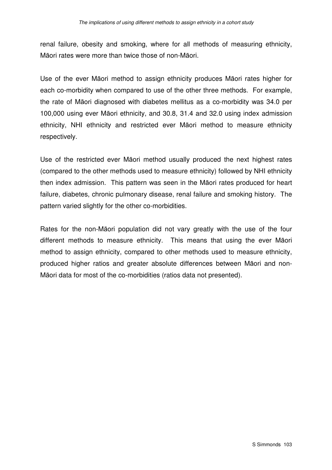renal failure, obesity and smoking, where for all methods of measuring ethnicity, Māori rates were more than twice those of non-Māori.

Use of the ever Māori method to assign ethnicity produces Māori rates higher for each co-morbidity when compared to use of the other three methods. For example, the rate of Māori diagnosed with diabetes mellitus as a co-morbidity was 34.0 per 100,000 using ever Māori ethnicity, and 30.8, 31.4 and 32.0 using index admission ethnicity, NHI ethnicity and restricted ever Māori method to measure ethnicity respectively.

Use of the restricted ever Māori method usually produced the next highest rates (compared to the other methods used to measure ethnicity) followed by NHI ethnicity then index admission. This pattern was seen in the Māori rates produced for heart failure, diabetes, chronic pulmonary disease, renal failure and smoking history. The pattern varied slightly for the other co-morbidities.

Rates for the non-Māori population did not vary greatly with the use of the four different methods to measure ethnicity. This means that using the ever Māori method to assign ethnicity, compared to other methods used to measure ethnicity, produced higher ratios and greater absolute differences between Māori and non-Māori data for most of the co-morbidities (ratios data not presented).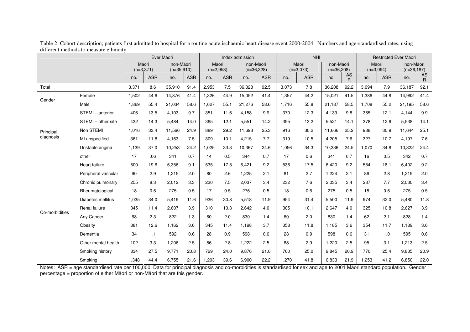|                        |                     | Ever Māori                                        |            |                      |            |                           |            | Index admission      |            |                           | <b>NHI</b> |                      | Restricted Ever Māori     |                            |            |        |                    |
|------------------------|---------------------|---------------------------------------------------|------------|----------------------|------------|---------------------------|------------|----------------------|------------|---------------------------|------------|----------------------|---------------------------|----------------------------|------------|--------|--------------------|
|                        |                     | non-Māori<br>Māori<br>$(n=3.371)$<br>$(n=35,910)$ |            | Māori<br>$(n=2,953)$ |            | non-Māori<br>$(n=36,328)$ |            | Māori<br>$(n=3,073)$ |            | non-Māori<br>$(n=36,208)$ |            | Māori<br>$(n=3.094)$ |                           | non-Māori<br>$(n=36, 187)$ |            |        |                    |
|                        |                     | no.                                               | <b>ASR</b> | no.                  | <b>ASR</b> | no.                       | <b>ASR</b> | no.                  | <b>ASR</b> | no.                       | <b>ASR</b> | no.                  | <b>AS</b><br>$\mathsf{R}$ | no.                        | <b>ASR</b> | no.    | AS<br>$\mathsf{R}$ |
| Total                  |                     | 3,371                                             | 8.6        | 35,910               | 91.4       | 2,953                     | 7.5        | 36,328               | 92.5       | 3,073                     | 7.8        | 36,208               | 92.2                      | 3,094                      | 7.9        | 36,187 | 92.1               |
| Gender                 | Female              | 1,502                                             | 44.6       | 14,876               | 41.4       | 1,326                     | 44.9       | 15,052               | 41.4       | 1,357                     | 44.2       | 15,021               | 41.5                      | 1,386                      | 44.8       | 14,992 | 41.4               |
|                        | Male                | 1,869                                             | 55.4       | 21,034               | 58.6       | 1,627                     | 55.1       | 21,276               | 58.6       | 1,716                     | 55.8       | 21,187               | 58.5                      | 1,708                      | 55.2       | 21,195 | 58.6               |
|                        | STEMI - anterior    | 406                                               | 13.5       | 4,103                | 9.7        | 351                       | 11.6       | 4,158                | 9.9        | 370                       | 12.3       | 4,139                | 9.8                       | 365                        | 12.1       | 4,144  | 9.9                |
| Principal<br>diagnosis | STEMI - other site  | 432                                               | 14.3       | 5,484                | 14.0       | 365                       | 12.1       | 5,551                | 14.2       | 395                       | 13.2       | 5,521                | 14.1                      | 378                        | 12.6       | 5,538  | 14.1               |
|                        | Non STEMI           | 1,016                                             | 33.4       | 11,566               | 24.9       | 889                       | 29.2       | 11,693               | 25.3       | 916                       | 30.2       | 11,666               | 25.2                      | 938                        | 30.9       | 11,644 | 25.1               |
|                        | MI unspecified      | 361                                               | 11.8       | 4,163                | 7.5        | 309                       | 10.1       | 4,215                | 7.7        | 319                       | 10.5       | 4,205                | 7.6                       | 327                        | 10.7       | 4,197  | $7.6\,$            |
|                        | Unstable angina     | 1,139                                             | 37.0       | 10,253               | 24.2       | 1,025                     | 33.3       | 10,367               | 24.6       | 1,056                     | 34.3       | 10,336               | 24.5                      | 1,070                      | 34.8       | 10,322 | 24.4               |
|                        | other               | 17                                                | .06        | 341                  | 0.7        | 14                        | 0.5        | 344                  | 0.7        | 17                        | 0.6        | 341                  | 0.7                       | 16                         | 0.5        | 342    | 0.7                |
|                        | Heart failure       | 600                                               | 19.6       | 6.356                | 9.1        | 535                       | 17.5       | 6,421                | 9.2        | 536                       | 17.5       | 6,420                | 9.2                       | 554                        | 18.1       | 6,402  | 9.2                |
|                        | Peripheral vascular | 90                                                | 2.9        | 1.215                | 2.0        | 80                        | 2.6        | 1.225                | 2.1        | 81                        | 2.7        | 1,224                | 2.1                       | 86                         | 2.8        | 1,219  | 2.0                |
|                        | Chronic pulmonary   | 255                                               | 8.3        | 2,012                | 3.3        | 230                       | 7.5        | 2,037                | 3.4        | 232                       | 7.6        | 2,035                | 3.4                       | 237                        | 7.7        | 2,030  | 3.4                |
|                        | Rheumatological     | 18                                                | 0.6        | 275                  | 0.5        | 17                        | 0.5        | 276                  | 0.5        | 18                        | 0.6        | 275                  | 0.5                       | 18                         | 0.6        | 275    | 0.5                |
|                        | Diabetes mellitus   | 1,035                                             | 34.0       | 5.419                | 11.6       | 936                       | 30.8       | 5,518                | 11.9       | 954                       | 31.4       | 5,500                | 11.9                      | 974                        | 32.0       | 5,480  | 11.8               |
| Co-morbidities         | Renal failure       | 345                                               | 11.4       | 2,607                | 3.9        | 310                       | 10.3       | 2,642                | 4.0        | 305                       | 10.1       | 2,647                | 4.0                       | 325                        | 10.8       | 2,627  | 3.9                |
|                        | Any Cancer          | 68                                                | 2.3        | 822                  | 1.3        | 60                        | 2.0        | 830                  | 1.4        | 60                        | 2.0        | 830                  | 1.4                       | 62                         | 2.1        | 828    | 1.4                |
|                        | Obesity             | 381                                               | 12.6       | 1,162                | 3.6        | 345                       | 11.4       | 1.198                | 3.7        | 358                       | 11.8       | 1,185                | 3.6                       | 354                        | 11.7       | 1,189  | 3.6                |
|                        | Dementia            | 34                                                | 1.1        | 592                  | 0.6        | 28                        | 0.9        | 598                  | 0.6        | 28                        | 0.9        | 598                  | 0.6                       | 31                         | 1.0        | 595    | 0.6                |
|                        | Other mental health | 102                                               | 3.3        | 1,206                | 2.5        | 86                        | 2.8        | 1,222                | 2.5        | 88                        | 2.9        | 1,220                | 2.5                       | 95                         | 3.1        | 1,213  | 2.5                |
|                        | Smoking history     | 834                                               | 27.5       | 9,771                | 20.8       | 729                       | 24.0       | 9,876                | 21.0       | 760                       | 25.0       | 9,845                | 20.9                      | 770                        | 25.4       | 9,835  | 20.9               |
|                        | Smoking             | 1,348                                             | 44.4       | 6,755                | 21.6       | 1,203                     | 39.6       | 6,900                | 22.2       | 1,270                     | 41.8       | 6,833                | 21.9                      | 1,253                      | 41.2       | 6,850  | 22.0               |

Table 2: Cohort description; patients first admitted to hospital for a routine acute ischaemic heart disease event 2000-2004. Numbers and age-standardised rates, using different methods to measure ethnicity.

Notes: ASR = age standardised rate per 100,000. Data for principal diagnosis and co-morbidities is standardised for sex and age to 2001 Māori standard population. Gender percentage = proportion of either Māori or non-Māori that are this gender.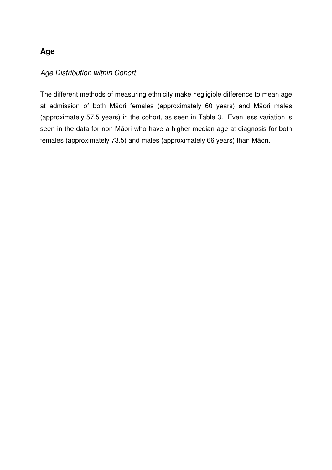## **Age**

#### Age Distribution within Cohort

The different methods of measuring ethnicity make negligible difference to mean age at admission of both Māori females (approximately 60 years) and Māori males (approximately 57.5 years) in the cohort, as seen in Table 3. Even less variation is seen in the data for non-Māori who have a higher median age at diagnosis for both females (approximately 73.5) and males (approximately 66 years) than Māori.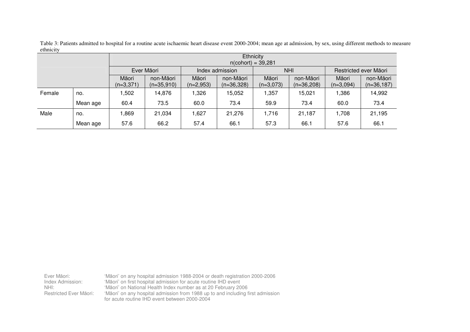|        |          | Ethnicity<br>$n$ (cohort) = 39,281 |                           |                      |                           |                      |                           |                       |                            |  |  |  |
|--------|----------|------------------------------------|---------------------------|----------------------|---------------------------|----------------------|---------------------------|-----------------------|----------------------------|--|--|--|
|        |          |                                    | Ever Māori                |                      | Index admission           |                      | <b>NHI</b>                | Restricted ever Māori |                            |  |  |  |
|        |          | Māori<br>$(n=3,371)$               | non-Māori<br>$(n=35,910)$ | Māori<br>$(n=2,953)$ | non-Māori<br>$(n=36,328)$ | Māori<br>$(n=3,073)$ | non-Māori<br>$(n=36,208)$ | Māori<br>$(n=3,094)$  | non-Māori<br>$(n=36, 187)$ |  |  |  |
| Female | no.      | 502,                               | 14,876                    | ,326                 | 15,052                    | 1,357                | 15,021                    | ,386                  | 14,992                     |  |  |  |
|        | Mean age | 60.4                               | 73.5                      | 60.0                 | 73.4                      | 59.9                 | 73.4                      | 60.0                  | 73.4                       |  |  |  |
| Male   | no.      | <b>869,</b>                        | 21,034                    | ,627                 | 21,276                    | 1,716                | 21,187                    | 1,708                 | 21,195                     |  |  |  |
|        | Mean age | 57.6                               | 66.2                      | 57.4                 | 66.1                      | 57.3                 | 66.1                      | 57.6                  | 66.1                       |  |  |  |

Table 3: Patients admitted to hospital for a routine acute ischaemic heart disease event 2000-2004; mean age at admission, by sex, using different methods to measure ethnicity

| Ever Māori:            | 'Māori' on any hospital admission 1988-2004 or death registration 2000-2006     |
|------------------------|---------------------------------------------------------------------------------|
| Index Admission:       | 'Māori' on first hospital admission for acute routine IHD event                 |
| nhi: I                 | 'Māori' on National Health Index number as at 20 February 2006                  |
| Restricted Ever Māori: | 'Māori' on any hospital admission from 1988 up to and including first admission |
|                        | for acute routine IHD event between 2000-2004                                   |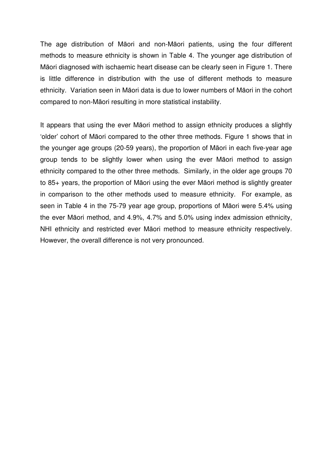The age distribution of Māori and non-Māori patients, using the four different methods to measure ethnicity is shown in Table 4. The younger age distribution of Māori diagnosed with ischaemic heart disease can be clearly seen in Figure 1. There is little difference in distribution with the use of different methods to measure ethnicity. Variation seen in Māori data is due to lower numbers of Māori in the cohort compared to non-Māori resulting in more statistical instability.

It appears that using the ever Māori method to assign ethnicity produces a slightly 'older' cohort of Māori compared to the other three methods. Figure 1 shows that in the younger age groups (20-59 years), the proportion of Māori in each five-year age group tends to be slightly lower when using the ever Māori method to assign ethnicity compared to the other three methods. Similarly, in the older age groups 70 to 85+ years, the proportion of Māori using the ever Māori method is slightly greater in comparison to the other methods used to measure ethnicity. For example, as seen in Table 4 in the 75-79 year age group, proportions of Māori were 5.4% using the ever Māori method, and 4.9%, 4.7% and 5.0% using index admission ethnicity, NHI ethnicity and restricted ever Māori method to measure ethnicity respectively. However, the overall difference is not very pronounced.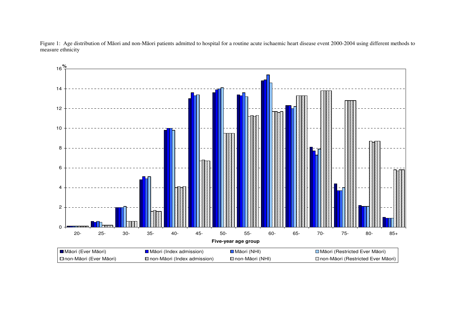Figure 1: Age distribution of Māori and non-Māori patients admitted to hospital for a routine acute ischaemic heart disease event 2000-2004 using different methods to measure ethnicity

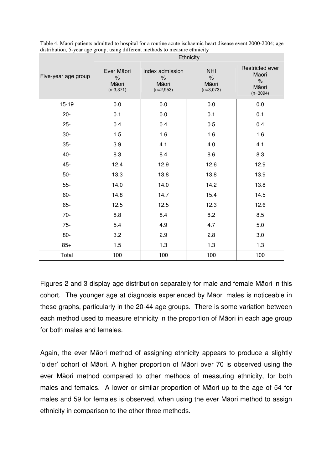|                     |                                             |                                                 | Ethnicity                                  |                                                                |
|---------------------|---------------------------------------------|-------------------------------------------------|--------------------------------------------|----------------------------------------------------------------|
| Five-year age group | Ever Māori<br>$\%$<br>Māori<br>$(n-3, 371)$ | Index admission<br>$\%$<br>Māori<br>$(n=2,953)$ | <b>NHI</b><br>$\%$<br>Māori<br>$(n=3,073)$ | <b>Restricted ever</b><br>Māori<br>$\%$<br>Māori<br>$(n=3094)$ |
| $15-19$             | 0.0                                         | 0.0                                             | 0.0                                        | 0.0                                                            |
| $20 -$              | 0.1                                         | 0.0                                             | 0.1                                        | 0.1                                                            |
| $25 -$              | 0.4                                         | 0.4                                             | 0.5                                        | 0.4                                                            |
| $30-$               | 1.5                                         | 1.6                                             | 1.6                                        | 1.6                                                            |
| $35-$               | 3.9                                         | 4.1                                             | 4.0                                        | 4.1                                                            |
| $40 -$              | 8.3                                         | 8.4                                             | 8.6                                        | 8.3                                                            |
| 45-                 | 12.4                                        | 12.9                                            | 12.6                                       | 12.9                                                           |
| $50-$               | 13.3                                        | 13.8                                            | 13.8                                       | 13.9                                                           |
| $55 -$              | 14.0                                        | 14.0                                            | 14.2                                       | 13.8                                                           |
| $60 -$              | 14.8                                        | 14.7                                            | 15.4                                       | 14.5                                                           |
| 65-                 | 12.5                                        | 12.5                                            | 12.3                                       | 12.6                                                           |
| $70-$               | 8.8                                         | 8.4                                             | 8.2                                        | 8.5                                                            |
| $75 -$              | 5.4                                         | 4.9                                             | 4.7                                        | 5.0                                                            |
| $80 -$              | 3.2                                         | 2.9                                             | 2.8                                        | 3.0                                                            |
| $85+$               | 1.5                                         | 1.3                                             | 1.3                                        | 1.3                                                            |
| Total               | 100                                         | 100                                             | 100                                        | 100                                                            |

Table 4. Māori patients admitted to hospital for a routine acute ischaemic heart disease event 2000-2004; age distribution, 5-year age group, using different methods to measure ethnicity

Figures 2 and 3 display age distribution separately for male and female Māori in this cohort. The younger age at diagnosis experienced by Māori males is noticeable in these graphs, particularly in the 20-44 age groups. There is some variation between each method used to measure ethnicity in the proportion of Māori in each age group for both males and females.

Again, the ever Māori method of assigning ethnicity appears to produce a slightly 'older' cohort of Māori. A higher proportion of Māori over 70 is observed using the ever Māori method compared to other methods of measuring ethnicity, for both males and females. A lower or similar proportion of Māori up to the age of 54 for males and 59 for females is observed, when using the ever Māori method to assign ethnicity in comparison to the other three methods.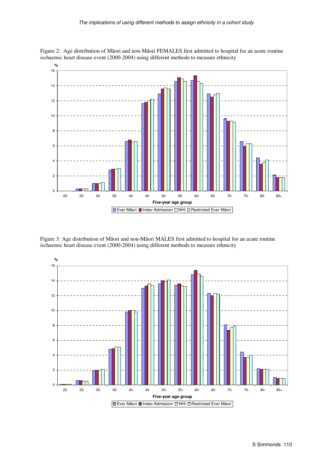

Figure 2: Age distribution of Māori and non-Māori FEMALES first admitted to hospital for an acute routine ischaemic heart disease event (2000-2004) using different methods to measure ethnicity

Figure 3: Age distribution of Māori and non-Māori MALES first admitted to hospital for an acute routine ischaemic heart disease event (2000-2004) using different methods to measure ethnicity

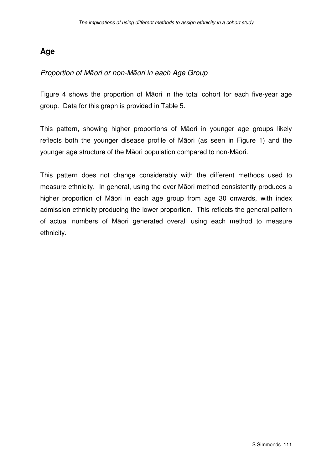# **Age**

### Proportion of Māori or non-Māori in each Age Group

Figure 4 shows the proportion of Māori in the total cohort for each five-year age group. Data for this graph is provided in Table 5.

This pattern, showing higher proportions of Māori in younger age groups likely reflects both the younger disease profile of Māori (as seen in Figure 1) and the younger age structure of the Māori population compared to non-Māori.

This pattern does not change considerably with the different methods used to measure ethnicity. In general, using the ever Māori method consistently produces a higher proportion of Māori in each age group from age 30 onwards, with index admission ethnicity producing the lower proportion. This reflects the general pattern of actual numbers of Māori generated overall using each method to measure ethnicity.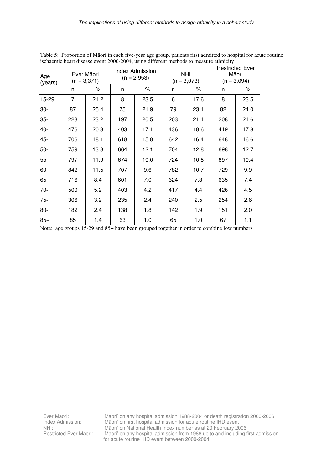| Age<br>(years) |     | Ever Māori<br>$(n = 3,371)$ |     | Index Admission<br>$(n = 2,953)$ |     | <b>NHI</b><br>$(n = 3,073)$ |     | <b>Restricted Ever</b><br>Māori<br>$(n = 3,094)$ |
|----------------|-----|-----------------------------|-----|----------------------------------|-----|-----------------------------|-----|--------------------------------------------------|
|                | n   | %                           | n   | %                                | n   | %                           | n   | %                                                |
| 15-29          | 7   | 21.2                        | 8   | 23.5                             | 6   | 17.6                        | 8   | 23.5                                             |
| $30 -$         | 87  | 25.4                        | 75  | 21.9                             | 79  | 23.1                        | 82  | 24.0                                             |
| $35 -$         | 223 | 23.2                        | 197 | 20.5                             | 203 | 21.1                        | 208 | 21.6                                             |
| 40-            | 476 | 20.3                        | 403 | 17.1                             | 436 | 18.6                        | 419 | 17.8                                             |
| 45-            | 706 | 18.1                        | 618 | 15.8                             | 642 | 16.4                        | 648 | 16.6                                             |
| $50-$          | 759 | 13.8                        | 664 | 12.1                             | 704 | 12.8                        | 698 | 12.7                                             |
| $55 -$         | 797 | 11.9                        | 674 | 10.0                             | 724 | 10.8                        | 697 | 10.4                                             |
| 60-            | 842 | 11.5                        | 707 | 9.6                              | 782 | 10.7                        | 729 | 9.9                                              |
| 65-            | 716 | 8.4                         | 601 | 7.0                              | 624 | 7.3                         | 635 | 7.4                                              |
| $70-$          | 500 | 5.2                         | 403 | 4.2                              | 417 | 4.4                         | 426 | 4.5                                              |
| $75-$          | 306 | 3.2                         | 235 | 2.4                              | 240 | 2.5                         | 254 | 2.6                                              |
| $80 -$         | 182 | 2.4                         | 138 | 1.8                              | 142 | 1.9                         | 151 | 2.0                                              |
| $85+$          | 85  | 1.4                         | 63  | 1.0                              | 65  | 1.0                         | 67  | 1.1                                              |

Table 5: Proportion of Māori in each five-year age group, patients first admitted to hospital for acute routine ischaemic heart disease event 2000-2004, using different methods to measure ethnicity

Note: age groups 15-29 and 85+ have been grouped together in order to combine low numbers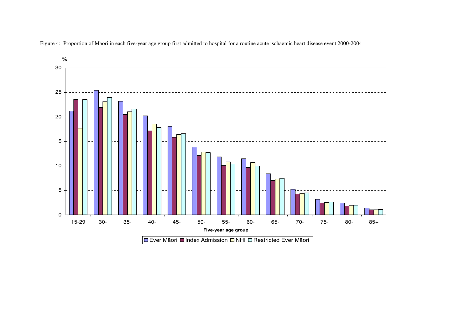

Figure 4: Proportion of Māori in each five-year age group first admitted to hospital for a routine acute ischaemic heart disease event 2000-2004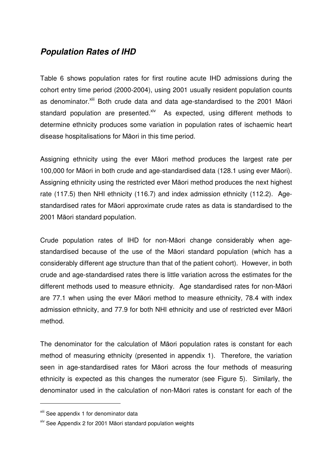# **Population Rates of IHD**

Table 6 shows population rates for first routine acute IHD admissions during the cohort entry time period (2000-2004), using 2001 usually resident population counts as denominator.<sup>xiii</sup> Both crude data and data age-standardised to the 2001 Māori standard population are presented. $x^i$  As expected, using different methods to determine ethnicity produces some variation in population rates of ischaemic heart disease hospitalisations for Māori in this time period.

Assigning ethnicity using the ever Māori method produces the largest rate per 100,000 for Māori in both crude and age-standardised data (128.1 using ever Māori). Assigning ethnicity using the restricted ever Māori method produces the next highest rate (117.5) then NHI ethnicity (116.7) and index admission ethnicity (112.2). Agestandardised rates for Māori approximate crude rates as data is standardised to the 2001 Māori standard population.

Crude population rates of IHD for non-Māori change considerably when agestandardised because of the use of the Māori standard population (which has a considerably different age structure than that of the patient cohort). However, in both crude and age-standardised rates there is little variation across the estimates for the different methods used to measure ethnicity. Age standardised rates for non-Māori are 77.1 when using the ever Māori method to measure ethnicity, 78.4 with index admission ethnicity, and 77.9 for both NHI ethnicity and use of restricted ever Māori method.

The denominator for the calculation of Māori population rates is constant for each method of measuring ethnicity (presented in appendix 1). Therefore, the variation seen in age-standardised rates for Māori across the four methods of measuring ethnicity is expected as this changes the numerator (see Figure 5). Similarly, the denominator used in the calculation of non-Māori rates is constant for each of the

 $\overline{a}$ 

<sup>&</sup>lt;sup>xiii</sup> See appendix 1 for denominator data

<sup>&</sup>lt;sup>xiv</sup> See Appendix 2 for 2001 Māori standard population weights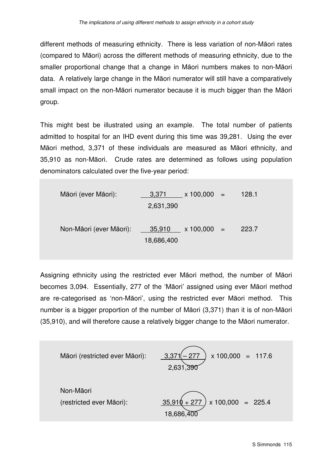different methods of measuring ethnicity. There is less variation of non-Māori rates (compared to Māori) across the different methods of measuring ethnicity, due to the smaller proportional change that a change in Māori numbers makes to non-Māori data. A relatively large change in the Māori numerator will still have a comparatively small impact on the non-Māori numerator because it is much bigger than the Māori group.

This might best be illustrated using an example. The total number of patients admitted to hospital for an IHD event during this time was 39,281. Using the ever Māori method, 3,371 of these individuals are measured as Māori ethnicity, and 35,910 as non-Māori. Crude rates are determined as follows using population denominators calculated over the five-year period:

| Māori (ever Māori):     | 3,371      | $x 100,000 =$ |                             | 128.1 |
|-------------------------|------------|---------------|-----------------------------|-------|
|                         | 2,631,390  |               |                             |       |
|                         |            |               |                             |       |
| Non-Māori (ever Māori): | 35,910     | x 100,000     | $\mathcal{L} = \mathcal{L}$ | 223.7 |
|                         | 18,686,400 |               |                             |       |
|                         |            |               |                             |       |

Assigning ethnicity using the restricted ever Māori method, the number of Māori becomes 3,094. Essentially, 277 of the 'Māori' assigned using ever Māori method are re-categorised as 'non-Māori', using the restricted ever Māori method. This number is a bigger proportion of the number of Māori (3,371) than it is of non-Māori (35,910), and will therefore cause a relatively bigger change to the Māori numerator.

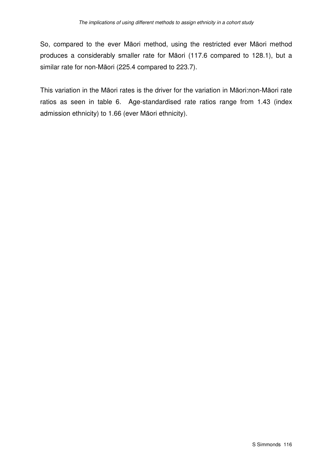So, compared to the ever Māori method, using the restricted ever Māori method produces a considerably smaller rate for Māori (117.6 compared to 128.1), but a similar rate for non-Māori (225.4 compared to 223.7).

This variation in the Māori rates is the driver for the variation in Māori:non-Māori rate ratios as seen in table 6. Age-standardised rate ratios range from 1.43 (index admission ethnicity) to 1.66 (ever Māori ethnicity).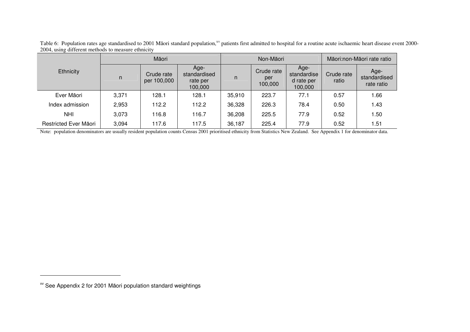| ັ                     |       | Māori                     |                                             |        | Non-Māori                    | Māori:non-Māori rate ratio                   |                     |                                    |
|-----------------------|-------|---------------------------|---------------------------------------------|--------|------------------------------|----------------------------------------------|---------------------|------------------------------------|
| Ethnicity             | n.    | Crude rate<br>per 100,000 | Age-<br>standardised<br>rate per<br>100,000 | n      | Crude rate<br>per<br>100,000 | Age-<br>standardise<br>d rate per<br>100,000 | Crude rate<br>ratio | Age-<br>standardised<br>rate ratio |
| Ever Māori            | 3,371 | 128.1                     | 128.1                                       | 35,910 | 223.7                        | 77.1                                         | 0.57                | 1.66                               |
| Index admission       | 2,953 | 112.2                     | 112.2                                       | 36,328 | 226.3                        | 78.4                                         | 0.50                | 1.43                               |
| <b>NHI</b>            | 3,073 | 116.8                     | 116.7                                       | 36,208 | 225.5                        | 77.9                                         | 0.52                | 1.50                               |
| Restricted Ever Māori | 3,094 | 117.6                     | 117.5                                       | 36,187 | 225.4                        | 77.9                                         | 0.52                | 1.51                               |

Table 6: Population rates age standardised to 2001 Māori standard population,<sup>xv</sup> patients first admitted to hospital for a routine acute ischaemic heart disease event 2000-2004, using different methods to measure ethnicity

Note: population denominators are usually resident population counts Census 2001 prioritised ethnicity from Statistics New Zealand. See Appendix 1 for denominator data.

xv See Appendix 2 for 2001 Māori population standard weightings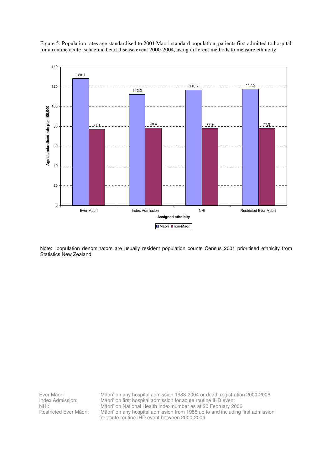Figure 5: Population rates age standardised to 2001 Māori standard population, patients first admitted to hospital for a routine acute ischaemic heart disease event 2000-2004, using different methods to measure ethnicity



Note: population denominators are usually resident population counts Census 2001 prioritised ethnicity from Statistics New Zealand

Ever Māori: 'Māori' on any hospital admission 1988-2004 or death registration 2000-2006 Index Admission: 'Māori' on first hospital admission for acute routine IHD event NHI: 'Māori' on National Health Index number as at 20 February 2006 'Māori' on any hospital admission from 1988 up to and including first admission for acute routine IHD event between 2000-2004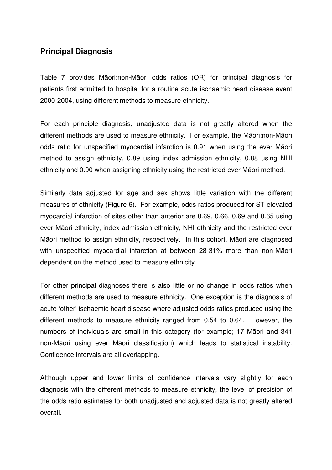## **Principal Diagnosis**

Table 7 provides Māori:non-Māori odds ratios (OR) for principal diagnosis for patients first admitted to hospital for a routine acute ischaemic heart disease event 2000-2004, using different methods to measure ethnicity.

For each principle diagnosis, unadjusted data is not greatly altered when the different methods are used to measure ethnicity. For example, the Māori:non-Māori odds ratio for unspecified myocardial infarction is 0.91 when using the ever Māori method to assign ethnicity, 0.89 using index admission ethnicity, 0.88 using NHI ethnicity and 0.90 when assigning ethnicity using the restricted ever Māori method.

Similarly data adjusted for age and sex shows little variation with the different measures of ethnicity (Figure 6). For example, odds ratios produced for ST-elevated myocardial infarction of sites other than anterior are 0.69, 0.66, 0.69 and 0.65 using ever Māori ethnicity, index admission ethnicity, NHI ethnicity and the restricted ever Māori method to assign ethnicity, respectively. In this cohort, Māori are diagnosed with unspecified myocardial infarction at between 28-31% more than non-Māori dependent on the method used to measure ethnicity.

For other principal diagnoses there is also little or no change in odds ratios when different methods are used to measure ethnicity. One exception is the diagnosis of acute 'other' ischaemic heart disease where adjusted odds ratios produced using the different methods to measure ethnicity ranged from 0.54 to 0.64. However, the numbers of individuals are small in this category (for example; 17 Māori and 341 non-Māori using ever Māori classification) which leads to statistical instability. Confidence intervals are all overlapping.

Although upper and lower limits of confidence intervals vary slightly for each diagnosis with the different methods to measure ethnicity, the level of precision of the odds ratio estimates for both unadjusted and adjusted data is not greatly altered overall.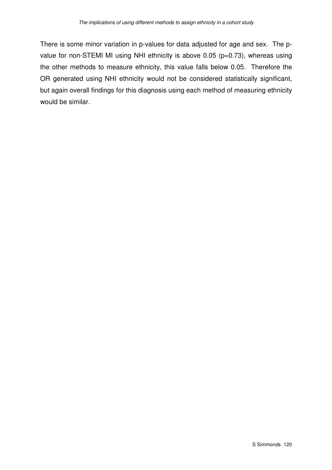There is some minor variation in p-values for data adjusted for age and sex. The pvalue for non-STEMI MI using NHI ethnicity is above 0.05 (p=0.73), whereas using the other methods to measure ethnicity, this value falls below 0.05. Therefore the OR generated using NHI ethnicity would not be considered statistically significant, but again overall findings for this diagnosis using each method of measuring ethnicity would be similar.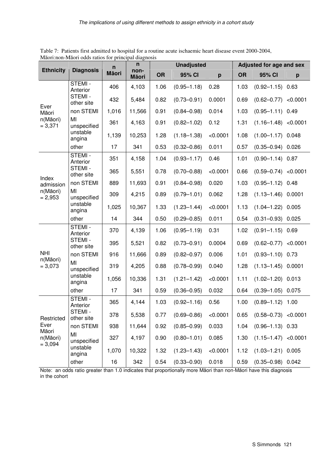|                        |                      | n            | $\mathsf{n}$         |           | <b>Unadjusted</b> |          |           | Adjusted for age and sex |          |
|------------------------|----------------------|--------------|----------------------|-----------|-------------------|----------|-----------|--------------------------|----------|
| <b>Ethnicity</b>       | <b>Diagnosis</b>     | <b>Māori</b> | non-<br><b>Māori</b> | <b>OR</b> | 95% CI            | p        | <b>OR</b> | 95% CI                   | p        |
|                        | STEMI-<br>Anterior   | 406          | 4,103                | 1.06      | $(0.95 - 1.18)$   | 0.28     | 1.03      | $(0.92 - 1.15)$          | 0.63     |
| Ever                   | STEMI-<br>other site | 432          | 5,484                | 0.82      | $(0.73 - 0.91)$   | 0.0001   | 0.69      | $(0.62 - 0.77)$          | < 0.0001 |
| Māori                  | non STEMI            | 1,016        | 11,566               | 0.91      | $(0.84 - 0.98)$   | 0.014    | 1.03      | $(0.95 - 1.11)$          | 0.49     |
| n(Māori)<br>$= 3,371$  | MI<br>unspecified    | 361          | 4,163                | 0.91      | $(0.82 - 1.02)$   | 0.12     | 1.31      | $(1.16 - 1.48)$          | < 0.0001 |
|                        | unstable<br>angina   | 1,139        | 10,253               | 1.28      | $(1.18 - 1.38)$   | < 0.0001 | 1.08      | $(1.00 - 1.17)$          | 0.048    |
|                        | other                | 17           | 341                  | 0.53      | $(0.32 - 0.86)$   | 0.011    | 0.57      | $(0.35 - 0.94)$ 0.026    |          |
|                        | STEMI-<br>Anterior   | 351          | 4,158                | 1.04      | $(0.93 - 1.17)$   | 0.46     | 1.01      | $(0.90 - 1.14)$ 0.87     |          |
| Index                  | STEMI-<br>other site | 365          | 5,551                | 0.78      | $(0.70 - 0.88)$   | < 0.0001 | 0.66      | $(0.59 - 0.74)$          | < 0.0001 |
| admission              | non STEMI            | 889          | 11,693               | 0.91      | $(0.84 - 0.98)$   | 0.020    | 1.03      | $(0.95 - 1.12)$          | 0.48     |
| n(Māori)<br>$= 2,953$  | MI<br>unspecified    | 309          | 4,215                | 0.89      | $(0.79 - 1.01)$   | 0.062    | 1.28      | $(1.13 - 1.46)$          | 0.0001   |
|                        | unstable<br>angina   | 1,025        | 10,367               | 1.33      | $(1.23 - 1.44)$   | < 0.0001 | 1.13      | $(1.04 - 1.22)$          | 0.005    |
|                        | other                | 14           | 344                  | 0.50      | $(0.29 - 0.85)$   | 0.011    | 0.54      | $(0.31 - 0.93)$          | 0.025    |
|                        | STEMI-<br>Anterior   | 370          | 4,139                | 1.06      | $(0.95 - 1.19)$   | 0.31     | 1.02      | $(0.91 - 1.15)$          | 0.69     |
|                        | STEMI-<br>other site | 395          | 5,521                | 0.82      | $(0.73 - 0.91)$   | 0.0004   | 0.69      | $(0.62 - 0.77)$          | < 0.0001 |
| <b>NHI</b><br>n(Māori) | non STEMI            | 916          | 11,666               | 0.89      | $(0.82 - 0.97)$   | 0.006    | 1.01      | $(0.93 - 1.10)$          | 0.73     |
| $= 3,073$              | MI<br>unspecified    | 319          | 4,205                | 0.88      | $(0.78 - 0.99)$   | 0.040    | 1.28      | $(1.13 - 1.45)$          | 0.0001   |
|                        | unstable<br>angina   | 1,056        | 10,336               | 1.31      | $(1.21 - 1.42)$   | < 0.0001 | 1.11      | $(1.02 - 1.20)$          | 0.013    |
|                        | other                | 17           | 341                  | 0.59      | $(0.36 - 0.95)$   | 0.032    | 0.64      | $(0.39 - 1.05)$          | 0.075    |
|                        | STEMI-<br>Anterior   | 365          | 4,144                | 1.03      | $(0.92 - 1.16)$   | 0.56     | 1.00      | $(0.89 - 1.12)$          | 1.00     |
| Restricted             | STEMI-<br>other site | 378          | 5,538                | 0.77      | $(0.69 - 0.86)$   | < 0.0001 | 0.65      | $(0.58 - 0.73)$ < 0.0001 |          |
| Ever<br>Māori          | non STEMI            | 938          | 11,644               | 0.92      | $(0.85 - 0.99)$   | 0.033    | 1.04      | $(0.96 - 1.13)$ 0.33     |          |
| n(Māori)<br>$= 3,094$  | MI<br>unspecified    | 327          | 4,197                | 0.90      | $(0.80 - 1.01)$   | 0.085    | 1.30      | $(1.15-1.47)$ <0.0001    |          |
|                        | unstable<br>angina   | 1,070        | 10,322               | 1.32      | $(1.23 - 1.43)$   | < 0.0001 | 1.12      | $(1.03 - 1.21)$ 0.005    |          |
|                        | other                | 16           | 342                  | 0.54      | $(0.33 - 0.90)$   | 0.018    | 0.59      | $(0.35 - 0.98)$ 0.042    |          |

Table 7: Patients first admitted to hospital for a routine acute ischaemic heart disease event 2000-2004, Māori:non-Māori odds ratios for principal diagnosis

Note: an odds ratio greater than 1.0 indicates that proportionally more Māori than non-Māori have this diagnosis in the cohort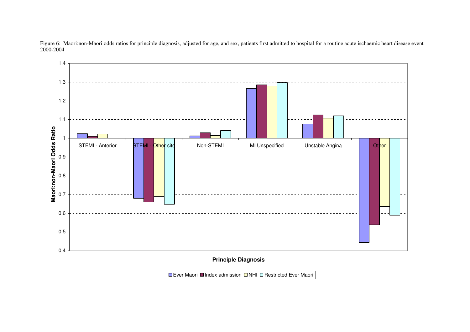

Figure 6: Māori:non-Māori odds ratios for principle diagnosis, adjusted for age, and sex, patients first admitted to hospital for a routine acute ischaemic heart disease event2000-2004

Ever Maori ■Index admission <mark>□NHI □Restricted Ever Maori</mark>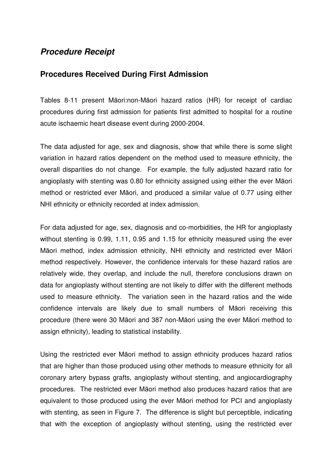# **Procedure Receipt**

## **Procedures Received During First Admission**

Tables 8-11 present Māori:non-Māori hazard ratios (HR) for receipt of cardiac procedures during first admission for patients first admitted to hospital for a routine acute ischaemic heart disease event during 2000-2004.

The data adjusted for age, sex and diagnosis, show that while there is some slight variation in hazard ratios dependent on the method used to measure ethnicity, the overall disparities do not change. For example, the fully adjusted hazard ratio for angioplasty with stenting was 0.80 for ethnicity assigned using either the ever Māori method or restricted ever Māori, and produced a similar value of 0.77 using either NHI ethnicity or ethnicity recorded at index admission.

For data adjusted for age, sex, diagnosis and co-morbidities, the HR for angioplasty without stenting is 0.99, 1.11, 0.95 and 1.15 for ethnicity measured using the ever Māori method, index admission ethnicity, NHI ethnicity and restricted ever Māori method respectively. However, the confidence intervals for these hazard ratios are relatively wide, they overlap, and include the null, therefore conclusions drawn on data for angioplasty without stenting are not likely to differ with the different methods used to measure ethnicity. The variation seen in the hazard ratios and the wide confidence intervals are likely due to small numbers of Māori receiving this procedure (there were 30 Māori and 387 non-Māori using the ever Māori method to assign ethnicity), leading to statistical instability.

Using the restricted ever Māori method to assign ethnicity produces hazard ratios that are higher than those produced using other methods to measure ethnicity for all coronary artery bypass grafts, angioplasty without stenting, and angiocardiography procedures. The restricted ever Māori method also produces hazard ratios that are equivalent to those produced using the ever Māori method for PCI and angioplasty with stenting, as seen in Figure 7. The difference is slight but perceptible, indicating that with the exception of angioplasty without stenting, using the restricted ever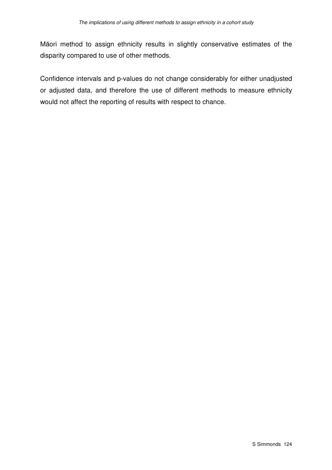Māori method to assign ethnicity results in slightly conservative estimates of the disparity compared to use of other methods.

Confidence intervals and p-values do not change considerably for either unadjusted or adjusted data, and therefore the use of different methods to measure ethnicity would not affect the reporting of results with respect to chance.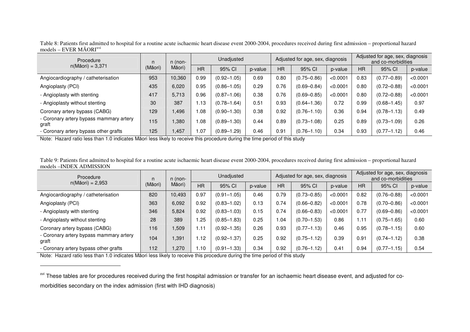Table 8: Patients first admitted to hospital for a routine acute ischaemic heart disease event 2000-2004, procedures received during first admission – proportional hazard  $models - EVER M\overline{A}ORI<sup>xvi</sup>$ 

| Procedure                                        | n.      | $n$ (non- | Unadjusted |                 |         |           | Adjusted for age, sex, diagnosis |          |      | Adjusted for age, sex, diagnosis<br>and co-morbidities<br><b>HR</b><br>95% CI<br>$(0.77 - 0.89)$<br>$(0.72 - 0.88)$ |          |  |
|--------------------------------------------------|---------|-----------|------------|-----------------|---------|-----------|----------------------------------|----------|------|---------------------------------------------------------------------------------------------------------------------|----------|--|
| $n(M\bar{a}ori) = 3,371$                         | (Māori) | Māori)    | <b>HR</b>  | 95% CI          | p-value | <b>HR</b> | 95% CI                           | p-value  |      |                                                                                                                     | p-value  |  |
| Angiocardiography / catheterisation              | 953     | 10,360    | 0.99       | $(0.92 - 1.05)$ | 0.69    | 0.80      | $(0.75 - 0.86)$                  | < 0.0001 | 0.83 |                                                                                                                     | < 0.0001 |  |
| Angioplasty (PCI)                                | 435     | 6,020     | 0.95       | $(0.86 - 1.05)$ | 0.29    | 0.76      | $(0.69 - 0.84)$                  | < 0.0001 | 0.80 |                                                                                                                     | < 0.0001 |  |
| - Angioplasty with stenting                      | 417     | 5,713     | 0.96       | $(0.87 - 1.06)$ | 0.38    | 0.76      | $(0.69 - 0.85)$                  | < 0.0001 | 0.80 | $(0.72 - 0.88)$                                                                                                     | < 0.0001 |  |
| - Angioplasty without stenting                   | 30      | 387       | 1.13       | $(0.78 - 1.64)$ | 0.51    | 0.93      | $(0.64 - 1.36)$                  | 0.72     | 0.99 | $(0.68 - 1.45)$                                                                                                     | 0.97     |  |
| Coronary artery bypass (CABG)                    | 129     | ,496      | 0.08       | $(0.90 - 1.30)$ | 0.38    | 0.92      | $(0.76 - 1.10)$                  | 0.36     | 0.94 | $(0.78 - 1.13)$                                                                                                     | 0.49     |  |
| - Coronary artery bypass mammary artery<br>graft | 115     | ,380      | 0.08       | $(0.89 - 1.30)$ | 0.44    | 0.89      | $(0.73 - 1.08)$                  | 0.25     | 0.89 | $(0.73 - 1.09)$                                                                                                     | 0.26     |  |
| - Coronary artery bypass other grafts            | 125     | ,457      | . .07      | $(0.89 - 1.29)$ | 0.46    | 0.91      | $(0.76 - 1.10)$                  | 0.34     | 0.93 | $(0.77 - 1.12)$                                                                                                     | 0.46     |  |

Note: Hazard ratio less than 1.0 indicates Māori less likely to receive this procedure during the time period of this study

| Table 9: Patients first admitted to hospital for a routine acute ischaemic heart disease event 2000-2004, procedures received during first admission - proportional hazard |  |
|----------------------------------------------------------------------------------------------------------------------------------------------------------------------------|--|
| models – INDEX ADMISSION                                                                                                                                                   |  |

| Procedure                                        | n.      | n (non- |           | Unadjusted      |         |           | Adjusted for age, sex, diagnosis |          | Adjusted for age, sex, diagnosis<br>and co-morbidities |                 |          |
|--------------------------------------------------|---------|---------|-----------|-----------------|---------|-----------|----------------------------------|----------|--------------------------------------------------------|-----------------|----------|
| $n(M\bar{a}ori) = 2,953$                         | (Māori) | Māori)  | <b>HR</b> | 95% CI          | p-value | <b>HR</b> | 95% CI                           | p-value  | <b>HR</b>                                              | 95% CI          | p-value  |
| Angiocardiography / catheterisation              | 820     | 10,493  | 0.97      | $(0.91 - 1.05)$ | 0.46    | 0.79      | $(0.73 - 0.85)$                  | < 0.0001 | 0.82                                                   | $(0.76 - 0.88)$ | < 0.0001 |
| Angioplasty (PCI)                                | 363     | 6,092   | 0.92      | $(0.83 - 1.02)$ | 0.13    | 0.74      | $(0.66 - 0.82)$                  | < 0.0001 | 0.78                                                   | $(0.70 - 0.86)$ | < 0.0001 |
| - Angioplasty with stenting                      | 346     | 5,824   | 0.92      | $(0.83 - 1.03)$ | 0.15    | 0.74      | $(0.66 - 0.83)$                  | < 0.0001 | 0.77                                                   | $(0.69 - 0.86)$ | < 0.0001 |
| - Angioplasty without stenting                   | 28      | 389     | .25       | $(0.85 - 1.83)$ | 0.25    | .04       | $(0.70 - 1.53)$                  | 0.86     | 1.11                                                   | $(0.75 - 1.65)$ | 0.60     |
| Coronary artery bypass (CABG)                    | 116     | .509    | $-1.14$   | $(0.92 - 1.35)$ | 0.26    | 0.93      | $(0.77 - 1.13)$                  | 0.46     | 0.95                                                   | $(0.78 - 1.15)$ | 0.60     |
| - Coronary artery bypass mammary artery<br>graft | 104     | 1,391   | 1.12      | $(0.92 - 1.37)$ | 0.25    | 0.92      | $(0.75 - 1.12)$                  | 0.39     | 0.91                                                   | $(0.74 - 1.12)$ | 0.38     |
| - Coronary artery bypass other grafts            | 112     | ,270    | 1.10      | $(0.91 - 1.33)$ | 0.34    | 0.92      | $(0.76 - 1.12)$                  | 0.41     | 0.94                                                   | $(0.77 - 1.15)$ | 0.54     |

Note: Hazard ratio less than 1.0 indicates Māori less likely to receive this procedure during the time period of this study

<sup>&</sup>lt;sup>xvi</sup> These tables are for procedures received during the first hospital admission or transfer for an ischaemic heart disease event, and adjusted for comorbidities secondary on the index admission (first with IHD diagnosis)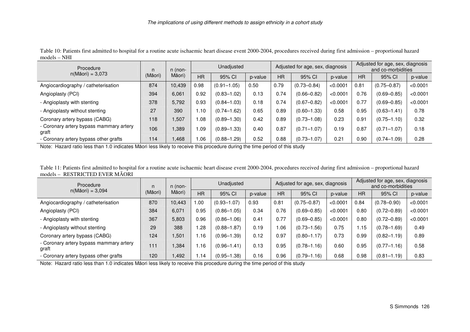| Procedure                                        | n.      | n (non- | Unadjusted |                 |         |           | Adjusted for age, sex, diagnosis |          |           | Adjusted for age, sex, diagnosis<br>and co-morbidities |          |
|--------------------------------------------------|---------|---------|------------|-----------------|---------|-----------|----------------------------------|----------|-----------|--------------------------------------------------------|----------|
| $n(M\bar{a}ori) = 3,073$                         | (Māori) | Māori)  | <b>HR</b>  | 95% CI          | p-value | <b>HR</b> | 95% CI                           | p-value  | <b>HR</b> | 95% CI                                                 | p-value  |
| Angiocardiography / catheterisation              | 874     | 10,439  | 0.98       | $(0.91 - 1.05)$ | 0.50    | 0.79      | $(0.73 - 0.84)$                  | < 0.0001 | 0.81      | $(0.75 - 0.87)$                                        | < 0.0001 |
| Angioplasty (PCI)                                | 394     | 6,061   | 0.92       | $(0.83 - 1.02)$ | 0.13    | 0.74      | $(0.66 - 0.82)$                  | < 0.0001 | 0.76      | $(0.69 - 0.85)$                                        | < 0.0001 |
| - Angioplasty with stenting                      | 378     | 5,792   | 0.93       | $(0.84 - 1.03)$ | 0.18    | 0.74      | $(0.67 - 0.82)$                  | < 0.0001 | 0.77      | $(0.69 - 0.85)$                                        | < 0.0001 |
| - Angioplasty without stenting                   | 27      | 390     | 1.10       | $(0.74 - 1.62)$ | 0.65    | 0.89      | $(0.60 - 1.33)$                  | 0.58     | 0.95      | $(0.63 - 1.41)$                                        | 0.78     |
| Coronary artery bypass (CABG)                    | 118     | ,507    | .08        | $(0.89 - 1.30)$ | 0.42    | 0.89      | $(0.73 - 1.08)$                  | 0.23     | 0.91      | $(0.75 - 1.10)$                                        | 0.32     |
| - Coronary artery bypass mammary artery<br>graft | 106     | .389    | .09        | $(0.89 - 1.33)$ | 0.40    | 0.87      | $(0.71 - 1.07)$                  | 0.19     | 0.87      | $(0.71 - 1.07)$                                        | 0.18     |
| - Coronary artery bypass other grafts            | 114     | .468    | .06        | $(0.88 - 1.29)$ | 0.52    | 0.88      | $(0.73 - 1.07)$                  | 0.21     | 0.90      | $(0.74 - 1.09)$                                        | 0.28     |

Table 10: Patients first admitted to hospital for a routine acute ischaemic heart disease event 2000-2004, procedures received during first admission – proportional hazard models – NHI

Note: Hazard ratio less than 1.0 indicates Māori less likely to receive this procedure during the time period of this study

| Table 11: Patients first admitted to hospital for a routine acute ischaemic heart disease event 2000-2004, procedures received during first admission - proportional hazard |  |
|-----------------------------------------------------------------------------------------------------------------------------------------------------------------------------|--|
| models - RESTRICTED EVER MĀORI                                                                                                                                              |  |

| Procedure                                        | n       | $n$ (non- |      | Unadjusted      |         |           | Adjusted for age, sex, diagnosis |          | Adjusted for age, sex, diagnosis<br>and co-morbidities |                 |          |  |
|--------------------------------------------------|---------|-----------|------|-----------------|---------|-----------|----------------------------------|----------|--------------------------------------------------------|-----------------|----------|--|
| $n(M\bar{a}ori) = 3,094$                         | (Māori) | Māori)    | HR   | 95% CI          | p-value | <b>HR</b> | 95% CI                           | p-value  | <b>HR</b>                                              | 95% CI          | p-value  |  |
| Angiocardiography / catheterisation              | 870     | 10,443    | 1.00 | $(0.93 - 1.07)$ | 0.93    | 0.81      | $(0.75 - 0.87)$                  | < 0.0001 | 0.84                                                   | $(0.78 - 0.90)$ | < 0.0001 |  |
| Angioplasty (PCI)                                | 384     | 6,071     | 0.95 | $(0.86 - 1.05)$ | 0.34    | 0.76      | $(0.69 - 0.85)$                  | < 0.0001 | 0.80                                                   | $(0.72 - 0.89)$ | < 0.0001 |  |
| - Angioplasty with stenting                      | 367     | 5,803     | 0.96 | $(0.86 - 1.06)$ | 0.41    | 0.77      | $(0.69 - 0.85)$                  | < 0.0001 | 0.80                                                   | $(0.72 - 0.89)$ | < 0.0001 |  |
| - Angioplasty without stenting                   | 29      | 388       | .28  | $(0.88 - 1.87)$ | 0.19    | l.06      | $(0.73 - 1.56)$                  | 0.75     | l.15                                                   | $(0.78 - 1.69)$ | 0.49     |  |
| Coronary artery bypass (CABG)                    | 124     | ,501      | 1.16 | $(0.96 - 1.39)$ | 0.12    | 0.97      | $(0.80 - 1.17)$                  | 0.73     | 0.99                                                   | $(0.82 - 1.19)$ | 0.89     |  |
| - Coronary artery bypass mammary artery<br>graft | 111     | .384      | 1.16 | $(0.96 - 1.41)$ | 0.13    | 0.95      | $(0.78 - 1.16)$                  | 0.60     | 0.95                                                   | $(0.77 - 1.16)$ | 0.58     |  |
| - Coronary artery bypass other grafts            | 120     | ,492      | 1.14 | $(0.95 - 1.38)$ | 0.16    | 0.96      | $(0.79 - 1.16)$                  | 0.68     | 0.98                                                   | $(0.81 - 1.19)$ | 0.83     |  |

Note: Hazard ratio less than 1.0 indicates Māori less likely to receive this procedure during the time period of this study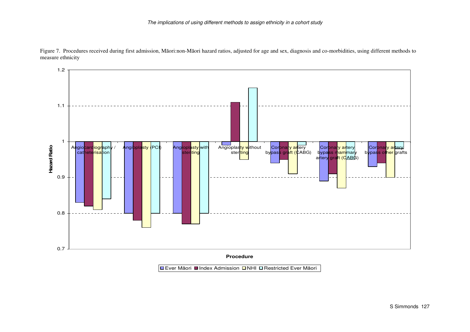

Figure 7. Procedures received during first admission, Māori:non-Māori hazard ratios, adjusted for age and sex, diagnosis and co-morbidities, using different methods to measure ethnicity

Ever Māori ■Index Admission □NHI □Restricted Ever Māori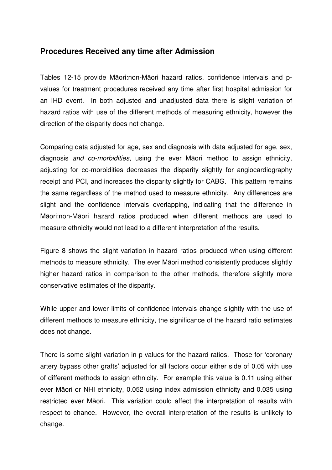## **Procedures Received any time after Admission**

Tables 12-15 provide Māori:non-Māori hazard ratios, confidence intervals and pvalues for treatment procedures received any time after first hospital admission for an IHD event. In both adjusted and unadjusted data there is slight variation of hazard ratios with use of the different methods of measuring ethnicity, however the direction of the disparity does not change.

Comparing data adjusted for age, sex and diagnosis with data adjusted for age, sex, diagnosis and co-morbidities, using the ever Māori method to assign ethnicity, adjusting for co-morbidities decreases the disparity slightly for angiocardiography receipt and PCI, and increases the disparity slightly for CABG. This pattern remains the same regardless of the method used to measure ethnicity. Any differences are slight and the confidence intervals overlapping, indicating that the difference in Māori:non-Māori hazard ratios produced when different methods are used to measure ethnicity would not lead to a different interpretation of the results.

Figure 8 shows the slight variation in hazard ratios produced when using different methods to measure ethnicity. The ever Māori method consistently produces slightly higher hazard ratios in comparison to the other methods, therefore slightly more conservative estimates of the disparity.

While upper and lower limits of confidence intervals change slightly with the use of different methods to measure ethnicity, the significance of the hazard ratio estimates does not change.

There is some slight variation in p-values for the hazard ratios. Those for 'coronary artery bypass other grafts' adjusted for all factors occur either side of 0.05 with use of different methods to assign ethnicity. For example this value is 0.11 using either ever Māori or NHI ethnicity, 0.052 using index admission ethnicity and 0.035 using restricted ever Māori. This variation could affect the interpretation of results with respect to chance. However, the overall interpretation of the results is unlikely to change.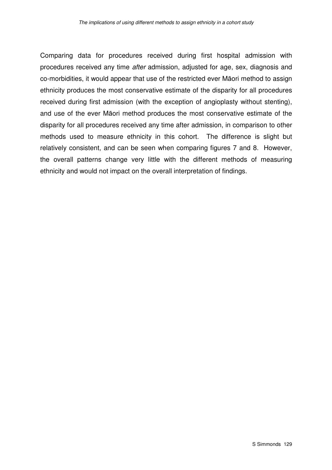Comparing data for procedures received during first hospital admission with procedures received any time after admission, adjusted for age, sex, diagnosis and co-morbidities, it would appear that use of the restricted ever Māori method to assign ethnicity produces the most conservative estimate of the disparity for all procedures received during first admission (with the exception of angioplasty without stenting), and use of the ever Māori method produces the most conservative estimate of the disparity for all procedures received any time after admission, in comparison to other methods used to measure ethnicity in this cohort. The difference is slight but relatively consistent, and can be seen when comparing figures 7 and 8. However, the overall patterns change very little with the different methods of measuring ethnicity and would not impact on the overall interpretation of findings.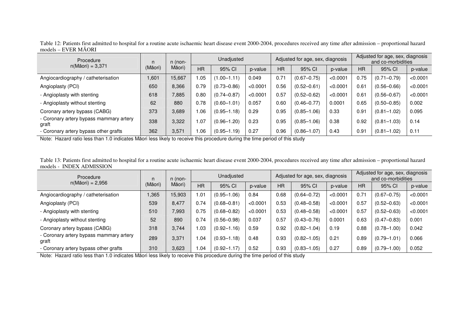Table 12: Patients first admitted to hospital for a routine acute ischaemic heart disease event 2000-2004, procedures received any time after admission – proportional hazard models – EVER MĀORI

| Procedure                                        | n       | $n$ (non- |      | Unadjusted      |          |           | Adjusted for age, sex, diagnosis |          | Adjusted for age, sex, diagnosis<br>and co-morbidities<br><b>HR</b><br>95% CI<br>0.75<br>$(0.71 - 0.79)$ |                 |          |  |
|--------------------------------------------------|---------|-----------|------|-----------------|----------|-----------|----------------------------------|----------|----------------------------------------------------------------------------------------------------------|-----------------|----------|--|
| $n(M\bar{a}ori) = 3,371$                         | (Māori) | Māori)    | HR   | 95% CI          | p-value  | <b>HR</b> | 95% CI                           | p-value  |                                                                                                          |                 | p-value  |  |
| Angiocardiography / catheterisation              | ,601    | 15,667    | .05  | $1.00 - 1.11$   | 0.049    | 0.71      | $(0.67 - 0.75)$                  | < 0.0001 |                                                                                                          |                 | < 0.0001 |  |
| Angioplasty (PCI)                                | 650     | 8,366     | 0.79 | $(0.73 - 0.86)$ | < 0.0001 | 0.56      | $(0.52 - 0.61)$                  | < 0.0001 | 0.61                                                                                                     | $(0.56 - 0.66)$ | < 0.0001 |  |
| - Angioplasty with stenting                      | 618     | 7,885     | 0.80 | $(0.74 - 0.87)$ | < 0.0001 | 0.57      | $(0.52 - 0.62)$                  | < 0.0001 | 0.61                                                                                                     | $(0.56 - 0.67)$ | < 0.0001 |  |
| - Angioplasty without stenting                   | 62      | 880       | 0.78 | $(0.60 - 1.01)$ | 0.057    | 0.60      | $(0.46 - 0.77)$                  | 0.0001   | 0.65                                                                                                     | $(0.50 - 0.85)$ | 0.002    |  |
| Coronary artery bypass (CABG)                    | 373     | 3,689     | .06  | $(0.95 - 1.18)$ | 0.29     | 0.95      | $(0.85 - 1.06)$                  | 0.33     | 0.91                                                                                                     | $(0.81 - 1.02)$ | 0.095    |  |
| - Coronary artery bypass mammary artery<br>graft | 338     | 3,322     | .07  | $(0.96 - 1.20)$ | 0.23     | 0.95      | $(0.85 - 1.06)$                  | 0.38     | 0.92                                                                                                     | $(0.81 - 1.03)$ | 0.14     |  |
| - Coronary artery bypass other grafts            | 362     | 3,571     | .06  | $(0.95 - 1.19)$ | 0.27     | 0.96      | $(0.86 - 1.07)$                  | 0.43     | 0.91                                                                                                     | $(0.81 - 1.02)$ | 0.11     |  |

Note: Hazard ratio less than 1.0 indicates Māori less likely to receive this procedure during the time period of this study

| Table 13: Patients first admitted to hospital for a routine acute ischaemic heart disease event 2000-2004, procedures received any time after admission – proportional hazard |  |
|-------------------------------------------------------------------------------------------------------------------------------------------------------------------------------|--|
| models - INDEX ADMISSION                                                                                                                                                      |  |

| Procedure                                        | n.      | n (non-<br>Māori) |      | Unadjusted      |          |           | Adjusted for age, sex, diagnosis |          | Adjusted for age, sex, diagnosis<br>and co-morbidities |                 |          |
|--------------------------------------------------|---------|-------------------|------|-----------------|----------|-----------|----------------------------------|----------|--------------------------------------------------------|-----------------|----------|
| $n(M\bar{a}ori) = 2,956$                         | (Māori) |                   | HR   | 95% CI          | p-value  | <b>HR</b> | 95% CI                           | p-value  | <b>HR</b>                                              | 95% CI          | p-value  |
| Angiocardiography / catheterisation              | ,365    | 15,903            | .01  | $(0.95 - 1.06)$ | 0.84     | 0.68      | $(0.64 - 0.72)$                  | < 0.0001 | $0.7^{\circ}$                                          | $(0.67 - 0.75)$ | < 0.0001 |
| Angioplasty (PCI)                                | 539     | 8,477             | 0.74 | $(0.68 - 0.81)$ | < 0.0001 | 0.53      | $(0.48 - 0.58)$                  | < 0.0001 | 0.57                                                   | $(0.52 - 0.63)$ | < 0.0001 |
| - Angioplasty with stenting                      | 510     | 7,993             | 0.75 | $(0.68 - 0.82)$ | < 0.0001 | 0.53      | $(0.48 - 0.58)$                  | < 0.0001 | 0.57                                                   | $(0.52 - 0.63)$ | < 0.0001 |
| - Angioplasty without stenting                   | 52      | 890               | 0.74 | $(0.56 - 0.98)$ | 0.037    | 0.57      | $(0.43 - 0.76)$                  | 0.0001   | 0.63                                                   | $(0.47 - 0.83)$ | 0.001    |
| Coronary artery bypass (CABG)                    | 318     | 3,744             | .03  | $(0.92 - 1.16)$ | 0.59     | 0.92      | $(0.82 - 1.04)$                  | 0.19     | 0.88                                                   | $(0.78 - 1.00)$ | 0.042    |
| - Coronary artery bypass mammary artery<br>graft | 289     | 3,371             | .04  | $(0.93 - 1.18)$ | 0.48     | 0.93      | $(0.82 - 1.05)$                  | 0.21     | 0.89                                                   | $(0.79 - 1.01)$ | 0.066    |
| - Coronary artery bypass other grafts            | 310     | 3,623             | .04  | $(0.92 - 1.17)$ | 0.52     | 0.93      | $(0.83 - 1.05)$                  | 0.27     | 0.89                                                   | $(0.79 - 1.00)$ | 0.052    |

Note: Hazard ratio less than 1.0 indicates Māori less likely to receive this procedure during the time period of this study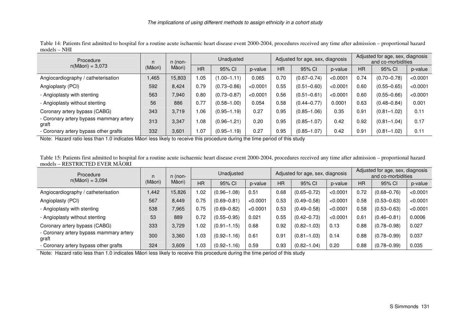| Table 14: Patients first admitted to hospital for a routine acute ischaemic heart disease event 2000-2004, procedures received any time after admission – proportional hazard |  |
|-------------------------------------------------------------------------------------------------------------------------------------------------------------------------------|--|
| $models - NHI$                                                                                                                                                                |  |

| Procedure                                        | n       | $n$ (non-<br>Māori) |           | Unadiusted      |          |           | Adjusted for age, sex, diagnosis |          | Adjusted for age, sex, diagnosis<br>and co-morbidities |                 |          |
|--------------------------------------------------|---------|---------------------|-----------|-----------------|----------|-----------|----------------------------------|----------|--------------------------------------------------------|-----------------|----------|
| $n(M\bar{a}ori) = 3,073$                         | (Māori) |                     | <b>HR</b> | 95% CI          | p-value  | <b>HR</b> | 95% CI                           | p-value  | <b>HR</b>                                              | 95% CI          | p-value  |
| Angiocardiography / catheterisation              | ,465    | 15,803              | 1.05      | $(1.00 - 1.11)$ | 0.065    | 0.70      | $(0.67 - 0.74)$                  | < 0.0001 | 0.74                                                   | $(0.70 - 0.78)$ | < 0.0001 |
| Angioplasty (PCI)                                | 592     | 8,424               | 0.79      | $(0.73 - 0.86)$ | < 0.0001 | 0.55      | $(0.51 - 0.60)$                  | < 0.0001 | 0.60                                                   | $(0.55 - 0.65)$ | < 0.0001 |
| - Angioplasty with stenting                      | 563     | 7,940               | 0.80      | $(0.73 - 0.87)$ | < 0.0001 | 0.56      | $(0.51 - 0.61)$                  | < 0.0001 | 0.60                                                   | $(0.55 - 0.66)$ | < 0.0001 |
| - Angioplasty without stenting                   | 56      | 886                 | 0.77      | $(0.58 - 1.00)$ | 0.054    | 0.58      | $(0.44 - 0.77)$                  | 0.0001   | 0.63                                                   | $(0.48 - 0.84)$ | 0.001    |
| Coronary artery bypass (CABG)                    | 343     | 3,719               | 0.06      | $(0.95 - 1.19)$ | 0.27     | 0.95      | $(0.85 - 1.06)$                  | 0.35     | 0.91                                                   | $(0.81 - 1.02)$ | 0.11     |
| - Coronary artery bypass mammary artery<br>graft | 313     | 3,347               | .08       | $(0.96 - 1.21)$ | 0.20     | 0.95      | $(0.85 - 1.07)$                  | 0.42     | 0.92                                                   | $(0.81 - 1.04)$ | 0.17     |
| - Coronary artery bypass other grafts            | 332     | 3,601               | 1.07      | $(0.95 - 1.19)$ | 0.27     | 0.95      | $(0.85 - 1.07)$                  | 0.42     | 0.91                                                   | $(0.81 - 1.02)$ | 0.11     |

Note: Hazard ratio less than 1.0 indicates Māori less likely to receive this procedure during the time period of this study

| Table 15: Patients first admitted to hospital for a routine acute ischaemic heart disease event 2000-2004, procedures received any time after admission - proportional hazard |  |
|-------------------------------------------------------------------------------------------------------------------------------------------------------------------------------|--|
| models - RESTRICTED EVER MĀORI                                                                                                                                                |  |

| Procedure                                        | n.<br>(Māori) | $n$ (non-<br>Māori) |      | Unadjusted      |          |           | Adjusted for age, sex, diagnosis |          | Adjusted for age, sex, diagnosis<br>and co-morbidities |                 |          |
|--------------------------------------------------|---------------|---------------------|------|-----------------|----------|-----------|----------------------------------|----------|--------------------------------------------------------|-----------------|----------|
| $n(M\bar{a}ori) = 3,094$                         |               |                     | HR   | 95% CI          | p-value  | <b>HR</b> | 95% CI                           | p-value  | <b>HR</b>                                              | 95% CI          | p-value  |
| Angiocardiography / catheterisation              | ,442          | 15,826              | .02  | $(0.96 - 1.08)$ | 0.51     | 0.68      | $(0.65 - 0.72)$                  | < 0.0001 | 0.72                                                   | $(0.68 - 0.76)$ | < 0.0001 |
| Angioplasty (PCI)                                | 567           | 8,449               | 0.75 | $(0.69 - 0.81)$ | < 0.0001 | 0.53      | $(0.49 - 0.58)$                  | < 0.0001 | 0.58                                                   | $(0.53 - 0.63)$ | < 0.0001 |
| - Angioplasty with stenting                      | 538           | 7,965               | 0.75 | $(0.69 - 0.82)$ | < 0.0001 | 0.53      | $(0.49 - 0.58)$                  | < 0.0001 | 0.58                                                   | $(0.53 - 0.63)$ | < 0.0001 |
| - Angioplasty without stenting                   | 53            | 889                 | 0.72 | $(0.55 - 0.95)$ | 0.021    | 0.55      | $(0.42 - 0.73)$                  | < 0.0001 | 0.61                                                   | $(0.46 - 0.81)$ | 0.0006   |
| Coronary artery bypass (CABG)                    | 333           | 3,729               | .02  | $(0.91 - 1.15)$ | 0.68     | 0.92      | $(0.82 - 1.03)$                  | 0.13     | 0.88                                                   | $(0.78 - 0.98)$ | 0.027    |
| - Coronary artery bypass mammary artery<br>graft | 300           | 3,360               | .03  | $(0.92 - 1.16)$ | 0.61     | 0.91      | $(0.81 - 1.03)$                  | 0.14     | 0.88                                                   | $(0.78 - 0.99)$ | 0.037    |
| - Coronary artery bypass other grafts            | 324           | 3,609               | .03  | $(0.92 - 1.16)$ | 0.59     | 0.93      | $(0.82 - 1.04)$                  | 0.20     | 0.88                                                   | $(0.78 - 0.99)$ | 0.035    |

Note: Hazard ratio less than 1.0 indicates Māori less likely to receive this procedure during the time period of this study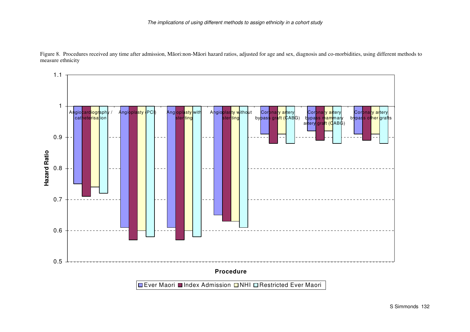Figure 8. Procedures received any time after admission, Māori:non-Māori hazard ratios, adjusted for age and sex, diagnosis and co-morbidities, using different methods to measure ethnicity



S Simmonds 132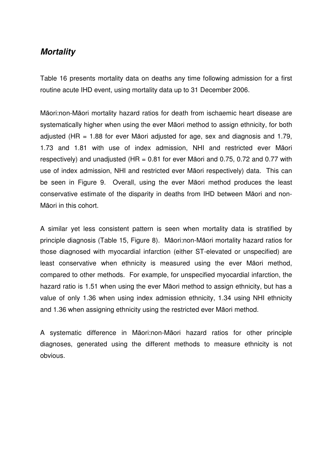# **Mortality**

Table 16 presents mortality data on deaths any time following admission for a first routine acute IHD event, using mortality data up to 31 December 2006.

Māori:non-Māori mortality hazard ratios for death from ischaemic heart disease are systematically higher when using the ever Māori method to assign ethnicity, for both adjusted (HR  $=$  1.88 for ever Māori adjusted for age, sex and diagnosis and 1.79, 1.73 and 1.81 with use of index admission, NHI and restricted ever Māori respectively) and unadjusted (HR =  $0.81$  for ever Māori and 0.75, 0.72 and 0.77 with use of index admission, NHI and restricted ever Māori respectively) data. This can be seen in Figure 9. Overall, using the ever Māori method produces the least conservative estimate of the disparity in deaths from IHD between Māori and non-Māori in this cohort.

A similar yet less consistent pattern is seen when mortality data is stratified by principle diagnosis (Table 15, Figure 8). Māori:non-Māori mortality hazard ratios for those diagnosed with myocardial infarction (either ST-elevated or unspecified) are least conservative when ethnicity is measured using the ever Māori method, compared to other methods. For example, for unspecified myocardial infarction, the hazard ratio is 1.51 when using the ever Māori method to assign ethnicity, but has a value of only 1.36 when using index admission ethnicity, 1.34 using NHI ethnicity and 1.36 when assigning ethnicity using the restricted ever Māori method.

A systematic difference in Māori:non-Māori hazard ratios for other principle diagnoses, generated using the different methods to measure ethnicity is not obvious.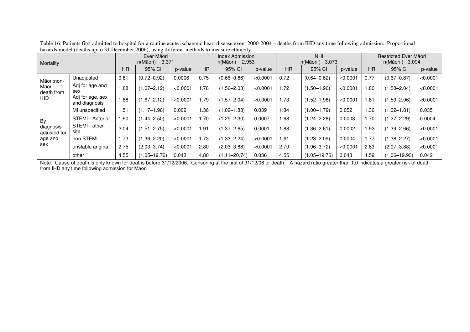| Mortality                                   |                                   | Ever Māori<br>$n(M\bar{a}ori) = 3.371$ |                 |          | <b>Index Admission</b><br>$n(M\bar{a}ori) = 2.953$ |                  |          |           | <b>NHI</b><br>n(Māori) = 3,073 |          | Restricted Ever Māori<br>n(Māori) = 3,094 |                 |          |
|---------------------------------------------|-----------------------------------|----------------------------------------|-----------------|----------|----------------------------------------------------|------------------|----------|-----------|--------------------------------|----------|-------------------------------------------|-----------------|----------|
|                                             |                                   | <b>HR</b>                              | 95% CI          | p-value  | <b>HR</b>                                          | 95% CI           | p-value  | <b>HR</b> | 95% CI                         | p-value  | <b>HR</b>                                 | 95% CI          | p-value  |
| Māori:non-                                  | Unadjusted                        | 0.81                                   | $(0.72 - 0.92)$ | 0.0006   | 0.75                                               | $(0.66 - 0.86)$  | < 0.0001 | 0.72      | $(0.64 - 0.82)$                | < 0.000  | 0.77                                      | $(0.67 - 0.87)$ | < 0.0001 |
| Māori<br>death from                         | Adj for age and<br>sex            | .88                                    | $(1.67 - 2.12)$ | < 0.0001 | 1.78                                               | $(1.56 - 2.03)$  | < 0.0001 | 1.72      | $(1.50 - 1.96)$                | < 0.0001 | .80                                       | $(1.58 - 2.04)$ | < 0.0001 |
| IHD.                                        | Adj for age, sex<br>and diagnosis | 1.88                                   | $(1.67 - 2.12)$ | < 0.0001 | 1.79                                               | $1.57 - 2.04$    | < 0.0001 | 1.73      | $(1.52 - 1.98)$                | < 0.0001 | 1.81                                      | $(1.59 - 2.06)$ | < 0.0001 |
|                                             | MI unspecified                    | 1.51                                   | $(1.17 - 1.96)$ | 0.002    | 1.36                                               | $(1.02 - 1.83)$  | 0.039    | 1.34      | $(1.00 - 1.79)$                | 0.052    | .36                                       | $(1.02 - 1.81)$ | 0.035    |
| By                                          | STEMI - Anterior                  | 1.90                                   | .44–2.50)       | < 0.0001 | 1.70                                               | $(1.25 - 2.30)$  | 0.0007   | 1.68      | $(1.24 - 2.28)$                | 0.0008   | 1.70                                      | $(1.27 - 2.29)$ | 0.0004   |
| diagnosis<br>adjusted for<br>age and<br>sex | STEMI - other<br>site             | 2.04                                   | $(1.51 - 2.75)$ | < 0.0001 | 1.91                                               | $(1.37 - 2.65)$  | 0.0001   | 1.88      | $(1.36 - 2.61)$                | 0.0002   | 1.92                                      | $(1.39 - 2.66)$ | < 0.0001 |
|                                             | non STEMI                         | 1.73                                   | $-2.20$         | < 0.0001 | 1.73                                               | $1.33 - 2.24$    | < 0.0001 | 1.61      | $(1.23 - 2.09)$                | 0.0004   | 1.77                                      | $(1.38 - 2.27)$ | < 0.0001 |
|                                             | unstable angina                   | 2.75                                   | $(2.03 - 3.74)$ | < 0.0001 | 2.80                                               | $(2.03 - 3.88)$  | < 0.0001 | 2.70      | $(1.96 - 3.72)$                | < 0.0001 | 2.83                                      | $(2.07 - 3.88)$ | < 0.0001 |
|                                             | other                             | 4.55                                   | $1.05 - 19.76$  | 0.043    | 4.80                                               | $(1.11 - 20.74)$ | 0.036    | 4.55      | $(1.05 - 19.76)$               | 0.043    | 4.59                                      | (1.06–19.93)    | 0.042    |

Table 16: Patients first admitted to hospital for a routine acute ischaemic heart disease event 2000-2004 – deaths from IHD any time following admission. Proportional hazards model (deaths up to 31 December 2006), using di

Note: Cause of death is only known for deaths before 31/12/2006. Censoring at the first of 31/12/06 or death. A hazard ratio greater than 1.0 indicates a greater risk of death from IHD any time following admission for Māori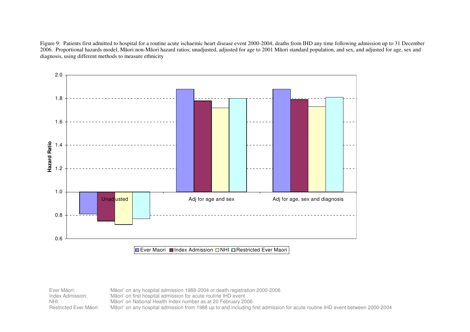Figure 9: Patients first admitted to hospital for a routine acute ischaemic heart disease event 2000-2004, deaths from IHD any time following admission up to 31 December 2006. Proportional hazards model, Māori:non-Māori hazard ratios; unadjusted, adjusted for age to 2001 Māori standard population, and sex, and adjusted for age, sex and diagnosis, using different methods to measure ethnicity



Ever Māori: 'Māori' on any hospital admission 1988-2004 or death registration 2000-2006 Index Admission: 'Māori' on first hospital admission for acute routine IHD event NHI: 'Māori' on National Health Index number as at 20 February 2006 Restricted Ever Māori: 'Māori' on any hospital admission from 1988 up to and including first admission for acute routine IHD event between 2000-2004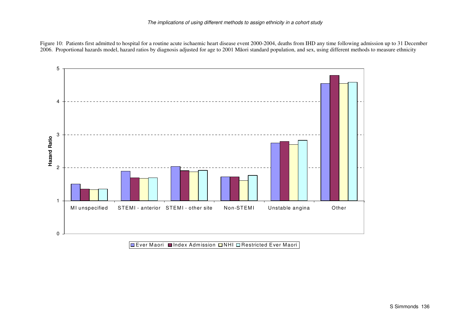Figure 10: Patients first admitted to hospital for a routine acute ischaemic heart disease event 2000-2004, deaths from IHD any time following admission up to 31 December 2006. Proportional hazards model, hazard ratios by diagnosis adjusted for age to 2001 Māori standard population, and sex, using different methods to measure ethnicity

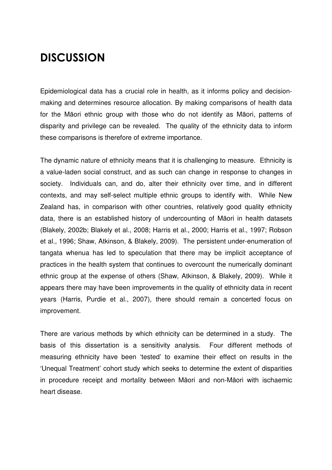# **DISCUSSION**

Epidemiological data has a crucial role in health, as it informs policy and decisionmaking and determines resource allocation. By making comparisons of health data for the Māori ethnic group with those who do not identify as Māori, patterns of disparity and privilege can be revealed. The quality of the ethnicity data to inform these comparisons is therefore of extreme importance.

The dynamic nature of ethnicity means that it is challenging to measure. Ethnicity is a value-laden social construct, and as such can change in response to changes in society. Individuals can, and do, alter their ethnicity over time, and in different contexts, and may self-select multiple ethnic groups to identify with. While New Zealand has, in comparison with other countries, relatively good quality ethnicity data, there is an established history of undercounting of Māori in health datasets (Blakely, 2002b; Blakely et al., 2008; Harris et al., 2000; Harris et al., 1997; Robson et al., 1996; Shaw, Atkinson, & Blakely, 2009). The persistent under-enumeration of tangata whenua has led to speculation that there may be implicit acceptance of practices in the health system that continues to overcount the numerically dominant ethnic group at the expense of others (Shaw, Atkinson, & Blakely, 2009). While it appears there may have been improvements in the quality of ethnicity data in recent years (Harris, Purdie et al., 2007), there should remain a concerted focus on improvement.

There are various methods by which ethnicity can be determined in a study. The basis of this dissertation is a sensitivity analysis. Four different methods of measuring ethnicity have been 'tested' to examine their effect on results in the 'Unequal Treatment' cohort study which seeks to determine the extent of disparities in procedure receipt and mortality between Māori and non-Māori with ischaemic heart disease.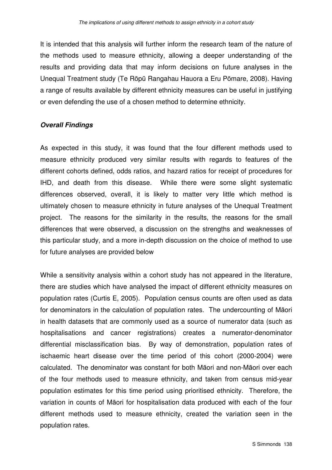It is intended that this analysis will further inform the research team of the nature of the methods used to measure ethnicity, allowing a deeper understanding of the results and providing data that may inform decisions on future analyses in the Unequal Treatment study (Te Rōpū Rangahau Hauora a Eru Pōmare, 2008). Having a range of results available by different ethnicity measures can be useful in justifying or even defending the use of a chosen method to determine ethnicity.

#### **Overall Findings**

As expected in this study, it was found that the four different methods used to measure ethnicity produced very similar results with regards to features of the different cohorts defined, odds ratios, and hazard ratios for receipt of procedures for IHD, and death from this disease. While there were some slight systematic differences observed, overall, it is likely to matter very little which method is ultimately chosen to measure ethnicity in future analyses of the Unequal Treatment project. The reasons for the similarity in the results, the reasons for the small differences that were observed, a discussion on the strengths and weaknesses of this particular study, and a more in-depth discussion on the choice of method to use for future analyses are provided below

While a sensitivity analysis within a cohort study has not appeared in the literature, there are studies which have analysed the impact of different ethnicity measures on population rates (Curtis E, 2005). Population census counts are often used as data for denominators in the calculation of population rates. The undercounting of Māori in health datasets that are commonly used as a source of numerator data (such as hospitalisations and cancer registrations) creates a numerator-denominator differential misclassification bias. By way of demonstration, population rates of ischaemic heart disease over the time period of this cohort (2000-2004) were calculated. The denominator was constant for both Māori and non-Māori over each of the four methods used to measure ethnicity, and taken from census mid-year population estimates for this time period using prioritised ethnicity. Therefore, the variation in counts of Māori for hospitalisation data produced with each of the four different methods used to measure ethnicity, created the variation seen in the population rates.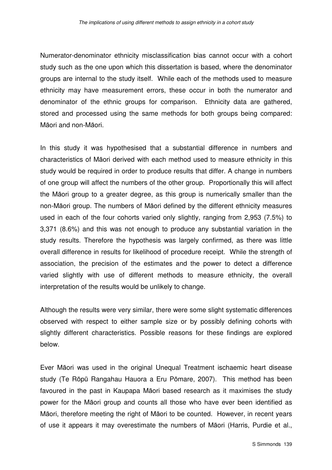Numerator-denominator ethnicity misclassification bias cannot occur with a cohort study such as the one upon which this dissertation is based, where the denominator groups are internal to the study itself. While each of the methods used to measure ethnicity may have measurement errors, these occur in both the numerator and denominator of the ethnic groups for comparison. Ethnicity data are gathered, stored and processed using the same methods for both groups being compared: Māori and non-Māori.

In this study it was hypothesised that a substantial difference in numbers and characteristics of Māori derived with each method used to measure ethnicity in this study would be required in order to produce results that differ. A change in numbers of one group will affect the numbers of the other group. Proportionally this will affect the Māori group to a greater degree, as this group is numerically smaller than the non-Māori group. The numbers of Māori defined by the different ethnicity measures used in each of the four cohorts varied only slightly, ranging from 2,953 (7.5%) to 3,371 (8.6%) and this was not enough to produce any substantial variation in the study results. Therefore the hypothesis was largely confirmed, as there was little overall difference in results for likelihood of procedure receipt. While the strength of association, the precision of the estimates and the power to detect a difference varied slightly with use of different methods to measure ethnicity, the overall interpretation of the results would be unlikely to change.

Although the results were very similar, there were some slight systematic differences observed with respect to either sample size or by possibly defining cohorts with slightly different characteristics. Possible reasons for these findings are explored below.

Ever Māori was used in the original Unequal Treatment ischaemic heart disease study (Te Rōpū Rangahau Hauora a Eru Pōmare, 2007). This method has been favoured in the past in Kaupapa Māori based research as it maximises the study power for the Māori group and counts all those who have ever been identified as Māori, therefore meeting the right of Māori to be counted. However, in recent years of use it appears it may overestimate the numbers of Māori (Harris, Purdie et al.,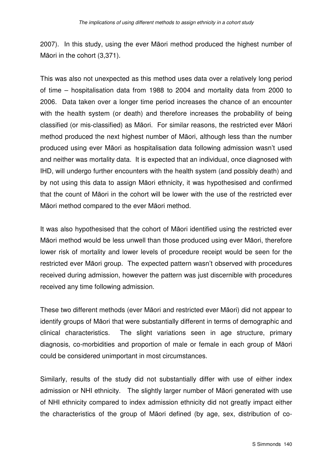2007). In this study, using the ever Māori method produced the highest number of Māori in the cohort (3,371).

This was also not unexpected as this method uses data over a relatively long period of time – hospitalisation data from 1988 to 2004 and mortality data from 2000 to 2006. Data taken over a longer time period increases the chance of an encounter with the health system (or death) and therefore increases the probability of being classified (or mis-classified) as Māori. For similar reasons, the restricted ever Māori method produced the next highest number of Māori, although less than the number produced using ever Māori as hospitalisation data following admission wasn't used and neither was mortality data. It is expected that an individual, once diagnosed with IHD, will undergo further encounters with the health system (and possibly death) and by not using this data to assign Māori ethnicity, it was hypothesised and confirmed that the count of Māori in the cohort will be lower with the use of the restricted ever Māori method compared to the ever Māori method.

It was also hypothesised that the cohort of Māori identified using the restricted ever Māori method would be less unwell than those produced using ever Māori, therefore lower risk of mortality and lower levels of procedure receipt would be seen for the restricted ever Māori group. The expected pattern wasn't observed with procedures received during admission, however the pattern was just discernible with procedures received any time following admission.

These two different methods (ever Māori and restricted ever Māori) did not appear to identify groups of Māori that were substantially different in terms of demographic and clinical characteristics. The slight variations seen in age structure, primary diagnosis, co-morbidities and proportion of male or female in each group of Māori could be considered unimportant in most circumstances.

Similarly, results of the study did not substantially differ with use of either index admission or NHI ethnicity. The slightly larger number of Māori generated with use of NHI ethnicity compared to index admission ethnicity did not greatly impact either the characteristics of the group of Māori defined (by age, sex, distribution of co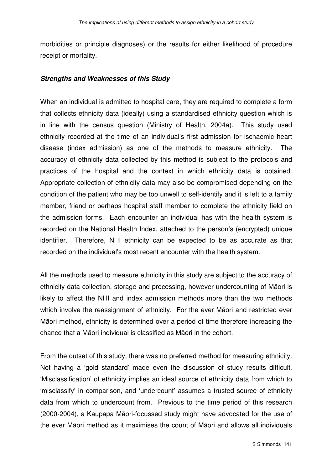morbidities or principle diagnoses) or the results for either likelihood of procedure receipt or mortality.

#### **Strengths and Weaknesses of this Study**

When an individual is admitted to hospital care, they are required to complete a form that collects ethnicity data (ideally) using a standardised ethnicity question which is in line with the census question (Ministry of Health, 2004a). This study used ethnicity recorded at the time of an individual's first admission for ischaemic heart disease (index admission) as one of the methods to measure ethnicity. The accuracy of ethnicity data collected by this method is subject to the protocols and practices of the hospital and the context in which ethnicity data is obtained. Appropriate collection of ethnicity data may also be compromised depending on the condition of the patient who may be too unwell to self-identify and it is left to a family member, friend or perhaps hospital staff member to complete the ethnicity field on the admission forms. Each encounter an individual has with the health system is recorded on the National Health Index, attached to the person's (encrypted) unique identifier. Therefore, NHI ethnicity can be expected to be as accurate as that recorded on the individual's most recent encounter with the health system.

All the methods used to measure ethnicity in this study are subject to the accuracy of ethnicity data collection, storage and processing, however undercounting of Māori is likely to affect the NHI and index admission methods more than the two methods which involve the reassignment of ethnicity. For the ever Māori and restricted ever Māori method, ethnicity is determined over a period of time therefore increasing the chance that a Māori individual is classified as Māori in the cohort.

From the outset of this study, there was no preferred method for measuring ethnicity. Not having a 'gold standard' made even the discussion of study results difficult. 'Misclassification' of ethnicity implies an ideal source of ethnicity data from which to 'misclassify' in comparison, and 'undercount' assumes a trusted source of ethnicity data from which to undercount from. Previous to the time period of this research (2000-2004), a Kaupapa Māori-focussed study might have advocated for the use of the ever Māori method as it maximises the count of Māori and allows all individuals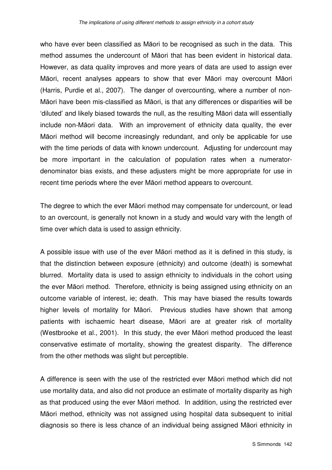who have ever been classified as Māori to be recognised as such in the data. This method assumes the undercount of Māori that has been evident in historical data. However, as data quality improves and more years of data are used to assign ever Māori, recent analyses appears to show that ever Māori may overcount Māori (Harris, Purdie et al., 2007). The danger of overcounting, where a number of non-Māori have been mis-classified as Māori, is that any differences or disparities will be 'diluted' and likely biased towards the null, as the resulting Māori data will essentially include non-Māori data. With an improvement of ethnicity data quality, the ever Māori method will become increasingly redundant, and only be applicable for use with the time periods of data with known undercount. Adjusting for undercount may be more important in the calculation of population rates when a numeratordenominator bias exists, and these adjusters might be more appropriate for use in recent time periods where the ever Māori method appears to overcount.

The degree to which the ever Māori method may compensate for undercount, or lead to an overcount, is generally not known in a study and would vary with the length of time over which data is used to assign ethnicity.

A possible issue with use of the ever Māori method as it is defined in this study, is that the distinction between exposure (ethnicity) and outcome (death) is somewhat blurred. Mortality data is used to assign ethnicity to individuals in the cohort using the ever Māori method. Therefore, ethnicity is being assigned using ethnicity on an outcome variable of interest, ie; death. This may have biased the results towards higher levels of mortality for Māori. Previous studies have shown that among patients with ischaemic heart disease, Māori are at greater risk of mortality (Westbrooke et al., 2001). In this study, the ever Māori method produced the least conservative estimate of mortality, showing the greatest disparity. The difference from the other methods was slight but perceptible.

A difference is seen with the use of the restricted ever Māori method which did not use mortality data, and also did not produce an estimate of mortality disparity as high as that produced using the ever Māori method. In addition, using the restricted ever Māori method, ethnicity was not assigned using hospital data subsequent to initial diagnosis so there is less chance of an individual being assigned Māori ethnicity in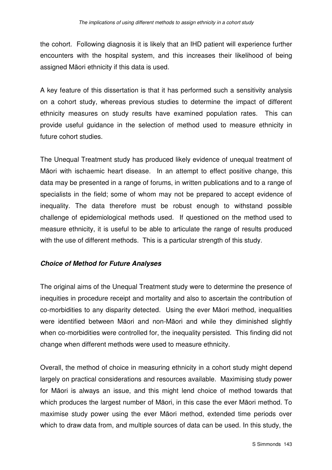the cohort. Following diagnosis it is likely that an IHD patient will experience further encounters with the hospital system, and this increases their likelihood of being assigned Māori ethnicity if this data is used.

A key feature of this dissertation is that it has performed such a sensitivity analysis on a cohort study, whereas previous studies to determine the impact of different ethnicity measures on study results have examined population rates. This can provide useful guidance in the selection of method used to measure ethnicity in future cohort studies.

The Unequal Treatment study has produced likely evidence of unequal treatment of Māori with ischaemic heart disease. In an attempt to effect positive change, this data may be presented in a range of forums, in written publications and to a range of specialists in the field; some of whom may not be prepared to accept evidence of inequality. The data therefore must be robust enough to withstand possible challenge of epidemiological methods used. If questioned on the method used to measure ethnicity, it is useful to be able to articulate the range of results produced with the use of different methods. This is a particular strength of this study.

#### **Choice of Method for Future Analyses**

The original aims of the Unequal Treatment study were to determine the presence of inequities in procedure receipt and mortality and also to ascertain the contribution of co-morbidities to any disparity detected. Using the ever Māori method, inequalities were identified between Māori and non-Māori and while they diminished slightly when co-morbidities were controlled for, the inequality persisted. This finding did not change when different methods were used to measure ethnicity.

Overall, the method of choice in measuring ethnicity in a cohort study might depend largely on practical considerations and resources available. Maximising study power for Māori is always an issue, and this might lend choice of method towards that which produces the largest number of Māori, in this case the ever Māori method. To maximise study power using the ever Māori method, extended time periods over which to draw data from, and multiple sources of data can be used. In this study, the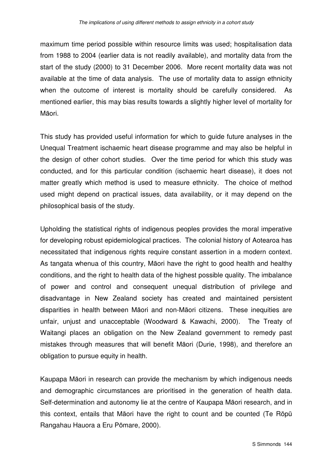maximum time period possible within resource limits was used; hospitalisation data from 1988 to 2004 (earlier data is not readily available), and mortality data from the start of the study (2000) to 31 December 2006. More recent mortality data was not available at the time of data analysis. The use of mortality data to assign ethnicity when the outcome of interest is mortality should be carefully considered. As mentioned earlier, this may bias results towards a slightly higher level of mortality for Māori.

This study has provided useful information for which to guide future analyses in the Unequal Treatment ischaemic heart disease programme and may also be helpful in the design of other cohort studies. Over the time period for which this study was conducted, and for this particular condition (ischaemic heart disease), it does not matter greatly which method is used to measure ethnicity. The choice of method used might depend on practical issues, data availability, or it may depend on the philosophical basis of the study.

Upholding the statistical rights of indigenous peoples provides the moral imperative for developing robust epidemiological practices. The colonial history of Aotearoa has necessitated that indigenous rights require constant assertion in a modern context. As tangata whenua of this country, Māori have the right to good health and healthy conditions, and the right to health data of the highest possible quality. The imbalance of power and control and consequent unequal distribution of privilege and disadvantage in New Zealand society has created and maintained persistent disparities in health between Māori and non-Māori citizens. These inequities are unfair, unjust and unacceptable (Woodward & Kawachi, 2000). The Treaty of Waitangi places an obligation on the New Zealand government to remedy past mistakes through measures that will benefit Māori (Durie, 1998), and therefore an obligation to pursue equity in health.

Kaupapa Māori in research can provide the mechanism by which indigenous needs and demographic circumstances are prioritised in the generation of health data. Self-determination and autonomy lie at the centre of Kaupapa Māori research, and in this context, entails that Māori have the right to count and be counted (Te Rōpū Rangahau Hauora a Eru Pōmare, 2000).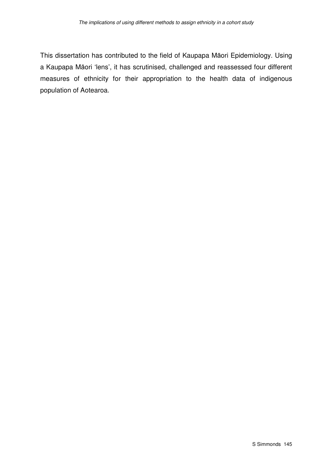This dissertation has contributed to the field of Kaupapa Māori Epidemiology. Using a Kaupapa Māori 'lens', it has scrutinised, challenged and reassessed four different measures of ethnicity for their appropriation to the health data of indigenous population of Aotearoa.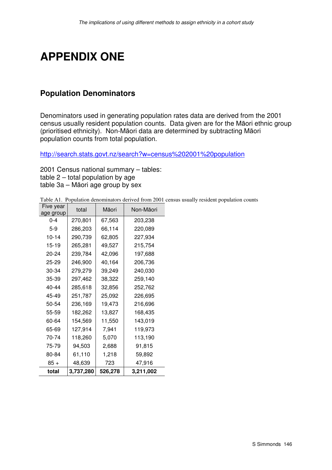## **APPENDIX ONE**

#### **Population Denominators**

Denominators used in generating population rates data are derived from the 2001 census usually resident population counts. Data given are for the Māori ethnic group (prioritised ethnicity). Non-Māori data are determined by subtracting Māori population counts from total population.

http://search.stats.govt.nz/search?w=census%202001%20population

2001 Census national summary – tables: table  $2$  – total population by age table 3a – Māori age group by sex

| <b>Five year</b><br>age group | total     | Māori   | Non-Māori |
|-------------------------------|-----------|---------|-----------|
| $0 - 4$                       | 270,801   | 67,563  | 203,238   |
| $5-9$                         | 286,203   | 66,114  | 220,089   |
| $10 - 14$                     | 290,739   | 62,805  | 227,934   |
| 15-19                         | 265,281   | 49,527  | 215,754   |
| 20-24                         | 239,784   | 42,096  | 197,688   |
| 25-29                         | 246,900   | 40,164  | 206,736   |
| 30-34                         | 279,279   | 39,249  | 240,030   |
| 35-39                         | 297,462   | 38,322  | 259,140   |
| 40-44                         | 285,618   | 32,856  | 252,762   |
| 45-49                         | 251,787   | 25,092  | 226,695   |
| 50-54                         | 236,169   | 19,473  | 216,696   |
| 55-59                         | 182,262   | 13,827  | 168,435   |
| 60-64                         | 154,569   | 11,550  | 143,019   |
| 65-69                         | 127,914   | 7,941   | 119,973   |
| 70-74                         | 118,260   | 5,070   | 113,190   |
| 75-79                         | 94,503    | 2,688   | 91,815    |
| 80-84                         | 61,110    | 1,218   | 59,892    |
| $85 +$                        | 48,639    | 723     | 47,916    |
| total                         | 3,737,280 | 526,278 | 3,211,002 |

Table A1. Population denominators derived from 2001 census usually resident population counts Five year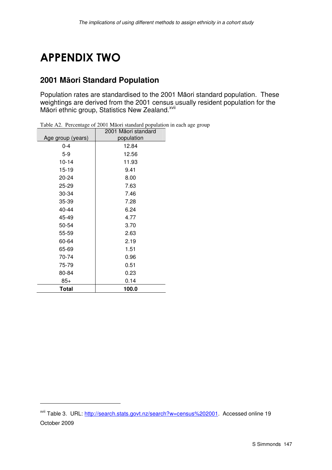# APPENDIX TWO

### **2001 M**ā**ori Standard Population**

Population rates are standardised to the 2001 Māori standard population. These weightings are derived from the 2001 census usually resident population for the Māori ethnic group, Statistics New Zealand.<sup>xvii</sup>

|                   | 2001 Māori standard |  |
|-------------------|---------------------|--|
| Age group (years) | population          |  |
| $0 - 4$           | 12.84               |  |
| $5-9$             | 12.56               |  |
| $10 - 14$         | 11.93               |  |
| 15-19             | 9.41                |  |
| 20-24             | 8.00                |  |
| 25-29             | 7.63                |  |
| 30-34             | 7.46                |  |
| 35-39             | 7.28                |  |
| 40-44             | 6.24                |  |
| 45-49             | 4.77                |  |
| 50-54             | 3.70                |  |
| 55-59             | 2.63                |  |
| 60-64             | 2.19                |  |
| 65-69             | 1.51                |  |
| 70-74             | 0.96                |  |
| 75-79             | 0.51                |  |
| 80-84             | 0.23                |  |
| $85+$             | 0.14                |  |
| <b>Total</b>      | 100.0               |  |

 $\overline{a}$ 

Table A2. Percentage of 2001 Māori standard population in each age group

xvii Table 3. URL: http://search.stats.govt.nz/search?w=census%202001. Accessed online 19 October 2009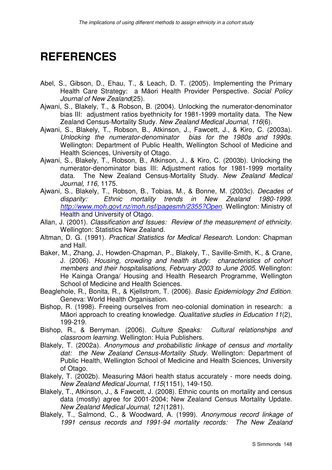## **REFERENCES**

- Abel, S., Gibson, D., Ehau, T., & Leach, D. T. (2005). Implementing the Primary Health Care Strategy: a Māori Health Provider Perspective. Social Policy Journal of New Zealand(25).
- Ajwani, S., Blakely, T., & Robson, B. (2004). Unlocking the numerator-denominator bias III: adjustment ratios byethnicity for 1981-1999 mortality data. The New Zealand Census-Mortality Study. New Zealand Medical Journal, 116(6).
- Ajwani, S., Blakely, T., Robson, B., Atkinson, J., Fawcett, J., & Kiro, C. (2003a). Unlocking the numerator-denominator bias for the 1980s and 1990s. Wellington: Department of Public Health, Wellington School of Medicine and Health Sciences, University of Otago.
- Ajwani, S., Blakely, T., Robson, B., Atkinson, J., & Kiro, C. (2003b). Unlocking the numerator-denominator bias III: Adjustment ratios for 1981-1999 mortality data. The New Zealand Census-Mortality Study. New Zealand Medical Journal, 116, 1175.
- Ajwani, S., Blakely, T., Robson, B., Tobias, M., & Bonne, M. (2003c). Decades of disparity: Ethnic mortality trends in New Zealand 1980-1999. http://www.moh.govt.nz/moh.nsf/pagesmh/2355?Open. Wellington: Ministry of Health and University of Otago.
- Allan, J. (2001). Classification and Issues: Review of the measurement of ethnicity. Wellington: Statistics New Zealand.
- Altman, D. G. (1991). Practical Statistics for Medical Research. London: Chapman and Hall.
- Baker, M., Zhang, J., Howden-Chapman, P., Blakely, T., Saville-Smith, K., & Crane, J. (2006). Housing, crowding and health study: characteristics of cohort members and their hospitalisations, February 2003 to June 2005. Wellington: He Kainga Oranga/ Housing and Health Research Programme, Wellington School of Medicine and Health Sciences.
- Beaglehole, R., Bonita, R., & Kjellstrom, T. (2006). Basic Epidemiology 2nd Edition. Geneva: World Health Organisation.
- Bishop, R. (1998). Freeing ourselves from neo-colonial domination in research: a Māori approach to creating knowledge. Qualitative studies in Education 11(2), 199-219.
- Bishop, R., & Berryman. (2006). Culture Speaks: Cultural relationships and classroom learning. Wellington: Huia Publishers.
- Blakely, T. (2002a). Anonymous and probabilistic linkage of census and mortality dat: the New Zealand Census-Mortality Study. Wellington: Department of Public Health, Wellington School of Medicine and Health Sciences, University of Otago.
- Blakely, T. (2002b). Measuring Māori health status accurately more needs doing. New Zealand Medical Journal, 115(1151), 149-150.
- Blakely, T., Atkinson, J., & Fawcett, J. (2008). Ethnic counts on mortality and census data (mostly) agree for 2001-2004; New Zealand Census Mortality Update. New Zealand Medical Journal, 121(1281).
- Blakely, T., Salmond, C., & Woodward, A. (1999). Anonymous record linkage of 1991 census records and 1991-94 mortality records: The New Zealand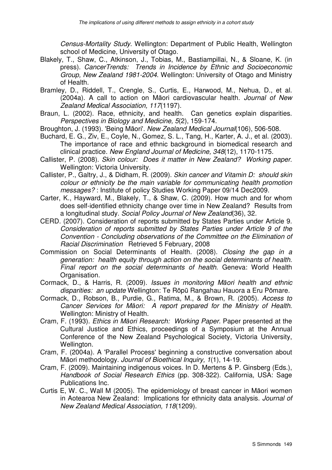Census-Mortality Study. Wellington: Department of Public Health, Wellington school of Medicine, University of Otago.

- Blakely, T., Shaw, C., Atkinson, J., Tobias, M., Bastiampillai, N., & Sloane, K. (in press). CancerTrends: Trends in Incidence by Ethnic and Socioeconomic Group, New Zealand 1981-2004. Wellington: University of Otago and Ministry of Health.
- Bramley, D., Riddell, T., Crengle, S., Curtis, E., Harwood, M., Nehua, D., et al. (2004a). A call to action on Māori cardiovascular health. Journal of New Zealand Medical Association, 117(1197).
- Braun, L. (2002). Race, ethnicity, and health. Can genetics explain disparities. Perspectives in Biology and Medicine, 5(2), 159-174.
- Broughton, J. (1993). 'Being Māori'. New Zealand Medical Journal(106), 506-508.
- Buchard, E. G., Ziv, E., Coyle, N., Gomez, S. L., Tang, H., Karter, A. J., et al. (2003). The importance of race and ethnic background in biomedical research and clinical practice. New England Journal of Medicine, 348(12), 1170-1175.
- Callister, P. (2008). Skin colour: Does it matter in New Zealand? Working paper. Wellington: Victoria University.
- Callister, P., Galtry, J., & Didham, R. (2009). Skin cancer and Vitamin D: should skin colour or ethnicity be the main variable for communicating health promotion messages? : Institute of policy Studies Working Paper 09/14 Dec2009.
- Carter, K., Hayward, M., Blakely, T., & Shaw, C. (2009). How much and for whom does self-identified ethnicity change over time in New Zealand? Results from a longitudinal study. Social Policy Journal of New Zealand(36), 32.
- CERD. (2007). Consideration of reports submitted by States Parties under Article 9. Consideration of reports submitted by States Parties under Article 9 of the Convention - Concluding observations of the Committee on the Elimination of Racial Discrimination Retrieved 5 February, 2008
- Commission on Social Determinants of Health. (2008). Closing the gap in a generation: health equity through action on the social determinants of health. Final report on the social determinants of health. Geneva: World Health Organisation.
- Cormack, D., & Harris, R. (2009). Issues in monitoring Māori health and ethnic disparities: an update Wellington: Te Rōpū Rangahau Hauora a Eru Pōmare.
- Cormack, D., Robson, B., Purdie, G., Ratima, M., & Brown, R. (2005). Access to Cancer Services for Māori: A report prepared for the Ministry of Health. Wellington: Ministry of Health.
- Cram, F. (1993). Ethics in Māori Research: Working Paper. Paper presented at the Cultural Justice and Ethics, proceedings of a Symposium at the Annual Conference of the New Zealand Psychological Society, Victoria University, Wellington.
- Cram, F. (2004a). A 'Parallel Process' beginning a constructive conversation about Māori methodology. Journal of Bioethical Inquiry, 1(1), 14-19.
- Cram, F. (2009). Maintaining indigenous voices. In D. Mertens & P. Ginsberg (Eds.), Handbook of Social Research Ethics (pp. 308-322). California, USA: Sage Publications Inc.
- Curtis E, W. C., Wall M (2005). The epidemiology of breast cancer in Māori women in Aotearoa New Zealand: Implications for ethnicity data analysis. Journal of New Zealand Medical Association, 118(1209).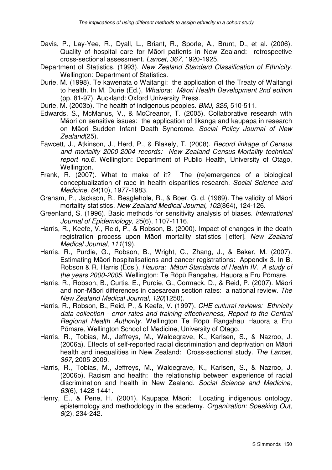- Davis, P., Lay-Yee, R., Dyall, L., Briant, R., Sporle, A., Brunt, D., et al. (2006). Quality of hospital care for Māori patients in New Zealand: retrospective cross-sectional assessment. Lancet, 367, 1920-1925.
- Department of Statistics. (1993). New Zealand Standard Classification of Ethnicity. Wellington: Department of Statistics.
- Durie, M. (1998). Te kawenata o Waitangi: the application of the Treaty of Waitangi to health. In M. Durie (Ed.), Whaiora: Māori Health Development 2nd edition (pp. 81-97). Auckland: Oxford University Press.
- Durie, M. (2003b). The health of indigenous peoples. BMJ, 326, 510-511.
- Edwards, S., McManus, V., & McCreanor, T. (2005). Collaborative research with Māori on sensitive issues: the application of tikanga and kaupapa in research on Māori Sudden Infant Death Syndrome. Social Policy Journal of New Zealand(25).
- Fawcett, J., Atkinson, J., Herd, P., & Blakely, T. (2008). Record linkage of Census and mortality 2000-2004 records: New Zealand Census-Mortality technical report no.6. Wellington: Department of Public Health, University of Otago, Wellington.
- Frank, R. (2007). What to make of it? The (re)emergence of a biological conceptualization of race in health disparities research. Social Science and Medicine, 64(10), 1977-1983.
- Graham, P., Jackson, R., Beaglehole, R., & Boer, G. d. (1989). The validity of Māori mortality statistics. New Zealand Medical Journal, 102(864), 124-126.
- Greenland, S. (1996). Basic methods for sensitivity analysis of biases. International Journal of Epidemiology, 25(6), 1107-1116.
- Harris, R., Keefe, V., Reid, P., & Robson, B. (2000). Impact of changes in the death registration process upon Māori mortality statistics [letter]. New Zealand Medical Journal, 111(19).
- Harris, R., Purdie, G., Robson, B., Wright, C., Zhang, J., & Baker, M. (2007). Estimating Māori hospitalisations and cancer registrations: Appendix 3. In B. Robson & R. Harris (Eds.), Hauora: Māori Standards of Health IV. A study of the years 2000-2005. Wellington: Te Rōpū Rangahau Hauora a Eru Pōmare.
- Harris, R., Robson, B., Curtis, E., Purdie, G., Cormack, D., & Reid, P. (2007). Māori and non-Māori differences in caesarean section rates: a national review. The New Zealand Medical Journal, 120(1250).
- Harris, R., Robson, B., Reid, P., & Keefe, V. (1997). CHE cultural reviews: Ethnicity data collection - error rates and training effectiveness, Report to the Central Regional Health Authority. Wellington Te Rōpū Rangahau Hauora a Eru Pōmare, Wellington School of Medicine, University of Otago.
- Harris, R., Tobias, M., Jeffreys, M., Waldegrave, K., Karlsen, S., & Nazroo, J. (2006a). Effects of self-reported racial discrimination and deprivation on Māori health and inequalities in New Zealand: Cross-sectional study. The Lancet, 367, 2005-2009.
- Harris, R., Tobias, M., Jeffreys, M., Waldegrave, K., Karlsen, S., & Nazroo, J. (2006b). Racism and health: the relationship between experience of racial discrimination and health in New Zealand. Social Science and Medicine, 63(6), 1428-1441.
- Henry, E., & Pene, H. (2001). Kaupapa Māori: Locating indigenous ontology, epistemology and methodology in the academy. Organization: Speaking Out, 8(2), 234-242.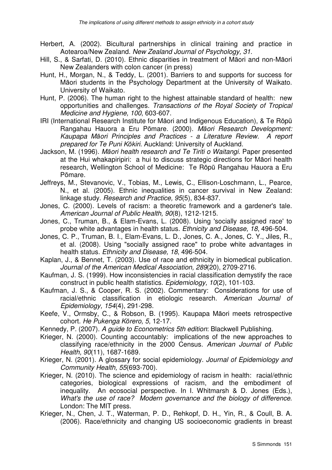- Herbert, A. (2002). Bicultural partnerships in clinical training and practice in Aotearoa/New Zealand. New Zealand Journal of Psychology, 31.
- Hill, S., & Sarfati, D. (2010). Ethnic disparities in treatment of Māori and non-Māori New Zealanders with colon cancer (in press)
- Hunt, H., Morgan, N., & Teddy, L. (2001). Barriers to and supports for success for Māori students in the Psychology Department at the University of Waikato. University of Waikato.
- Hunt, P. (2006). The human right to the highest attainable standard of health: new opportunities and challenges. Transactions of the Royal Society of Tropical Medicine and Hygiene, 100, 603-607.
- IRI (International Research Institute for Māori and Indigenous Education), & Te Rōpū Rangahau Hauora a Eru Pōmare. (2000). Māori Research Development: Kaupapa Māori Principles and Practices - a Literature Review. A report prepared for Te Puni Kōkiri. Auckland: University of Auckland.
- Jackson, M. (1996). Māori health research and Te Tiriti o Waitangi. Paper presented at the Hui whakapiripiri: a hui to discuss strategic directions for Māori health research, Wellington School of Medicine: Te Rōpū Rangahau Hauora a Eru Pōmare.
- Jeffreys, M., Stevanovic, V., Tobias, M., Lewis, C., Ellison-Loschmann, L., Pearce, N., et al. (2005). Ethnic inequalities in cancer survival in New Zealand: linkage study. Research and Practice, 95(5), 834-837.
- Jones, C. (2000). Levels of racism: a theoretic framework and a gardener's tale. American Journal of Public Health, 90(8), 1212-1215.
- Jones, C., Truman, B., & Elam-Evans, L. (2008). Using 'socially assigned race' to probe white advantages in health status. Ethnicity and Disease, 18, 496-504.
- Jones, C. P., Truman, B. I., Elam-Evans, L. D., Jones, C. A., Jones, C. Y., Jiles, R., et al. (2008). Using "socially assigned race" to probe white advantages in health status. Ethnicity and Disease, 18, 496-504.
- Kaplan, J., & Bennet, T. (2003). Use of race and ethnicity in biomedical publication. Journal of the American Medical Association, 289(20), 2709-2716.
- Kaufman, J. S. (1999). How inconsistencies in racial classification demystify the race construct in public health statistics. Epidemiology, 10(2), 101-103.
- Kaufman, J. S., & Cooper, R. S. (2002). Commentary: Considerations for use of racial/ethnic classification in etiologic research. American Journal of Epidemiology, 154(4), 291-298.
- Keefe, V., Ormsby, C., & Robson, B. (1995). Kaupapa Māori meets retrospective cohort. He Pukenga Kōrero, 5, 12-17.
- Kennedy, P. (2007). A guide to Econometrics 5th edition: Blackwell Publishing.
- Krieger, N. (2000). Counting accountably: implications of the new approaches to classifying race/ethnicity in the 2000 Census. American Journal of Public Health, 90(11), 1687-1689.
- Krieger, N. (2001). A glossary for social epidemiology. Journal of Epidemiology and Community Health, 55(693-700).
- Krieger, N. (2010). The science and epidemiology of racism in health: racial/ethnic categories, biological expressions of racism, and the embodiment of inequality. An ecosocial perspective. In I. Whitmarsh & D. Jones (Eds.), What's the use of race? Modern governance and the biology of difference. London: The MIT press.
- Krieger, N., Chen, J. T., Waterman, P. D., Rehkopf, D. H., Yin, R., & Coull, B. A. (2006). Race/ethnicity and changing US socioeconomic gradients in breast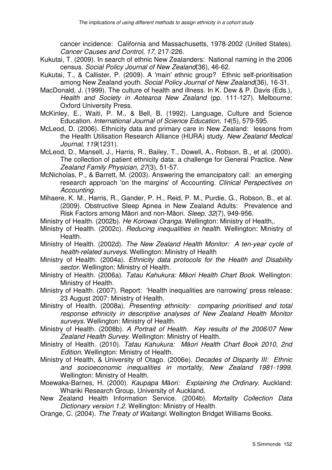cancer incidence: California and Massachusetts, 1978-2002 (United States). Cancer Causes and Control, 17, 217-226.

- Kukutai, T. (2009). In search of ethnic New Zealanders: National naming in the 2006 census. Social Policy Journal of New Zealand(36), 46-62.
- Kukutai, T., & Callister, P. (2009). A 'main' ethnic group? Ethnic self-prioritisation among New Zealand youth. Social Policy Journal of New Zealand(36), 16-31.
- MacDonald, J. (1999). The culture of health and illness. In K. Dew & P. Davis (Eds.), Health and Society in Aotearoa New Zealand (pp. 111-127). Melbourne: Oxford University Press.
- McKinley, E., Waiti, P. M., & Bell, B. (1992). Language, Culture and Science Education. International Journal of Science Education, 14(5), 579-595.
- McLeod, D. (2006). Ethnicity data and primary care in New Zealand: lessons from the Health Utilisation Research Alliance (HURA) study. New Zealand Medical Journal, 119(1231).
- McLeod, D., Mansell, J., Harris, R., Bailey, T., Dowell, A., Robson, B., et al. (2000). The collection of patient ethnicity data: a challenge for General Practice. New Zealand Family Physician, 27(3), 51-57.
- McNicholas, P., & Barrett, M. (2003). Answering the emancipatory call: an emerging research approach 'on the margins' of Accounting. Clinical Perspectives on Accounting.
- Mihaere, K. M., Harris, R., Gander, P. H., Reid, P. M., Purdie, G., Robson, B., et al. (2009). Obstructive Sleep Apnea in New Zealand Adults: Prevalence and Risk Factors among Māori and non-Māori. Sleep, 32(7), 949-956.
- Ministry of Health. (2002b). He Korowai Oranga. Wellington: Ministry of Health,.
- Ministry of Health. (2002c). Reducing inequalities in health. Wellington: Ministry of Health.
- Ministry of Health. (2002d). The New Zealand Health Monitor: A ten-year cycle of health-related surveys. Wellington: Ministry of Health
- Ministry of Health. (2004a). Ethnicity data protocols for the Health and Disability sector. Wellington: Ministry of Health.
- Ministry of Health. (2006a). Tatau Kahukura: Māori Health Chart Book. Wellington: Ministry of Health.
- Ministry of Health. (2007). Report: 'Health inequalities are narrowing' press release: 23 August 2007: Ministry of Health.
- Ministry of Health. (2008a). Presenting ethnicity: comparing prioritised and total response ethnicity in descriptive analyses of New Zealand Health Monitor surveys. Wellington: Ministry of Health.
- Ministry of Health. (2008b). A Portrait of Health. Key results of the 2006/07 New Zealand Health Survey. Wellington: Ministry of Health.
- Ministry of Health. (2010). Tatau Kahukura: Māori Health Chart Book 2010, 2nd Edition. Wellington: Ministry of Health.
- Ministry of Health, & University of Otago. (2006e). Decades of Disparity III: Ethnic and socioeconomic inequalities in mortality, New Zealand 1981-1999. Wellington: Ministry of Health.
- Moewaka-Barnes, H. (2000). Kaupapa Māori: Explaining the Ordinary. Auckland: Whariki Research Group, University of Auckland.
- New Zealand Health Information Service. (2004b). Mortality Collection Data Dictionary version 1.2. Wellington: Ministry of Health.
- Orange, C. (2004). The Treaty of Waitangi. Wellington Bridget Williams Books.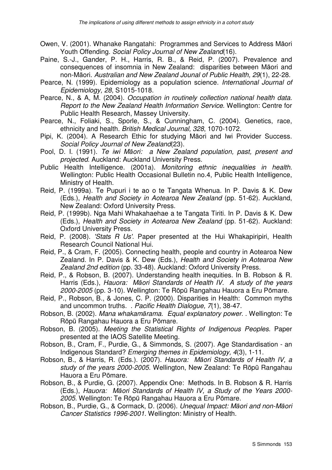- Owen, V. (2001). Whanake Rangatahi: Programmes and Services to Address Māori Youth Offending. Social Policy Journal of New Zealand(16).
- Paine, S.-J., Gander, P. H., Harris, R. B., & Reid, P. (2007). Prevalence and consequences of insomnia in New Zealand: disparities between Māori and non-Māori. Australian and New Zealand Jounal of Public Health, 29(1), 22-28.
- Pearce, N. (1999). Epidemiology as a population science. International Journal of Epidemiology, 28, S1015-1018.
- Pearce, N., & A, M. (2004). Occupation in routinely collection national health data. Report to the New Zealand Health Information Service. Wellington: Centre for Public Health Research, Massey University.
- Pearce, N., Foliaki, S., Sporle, S., & Cunningham, C. (2004). Genetics, race, ethnicity and health. British Medical Journal, 328, 1070-1072.
- Pipi, K. (2004). A Research Ethic for studying Māori and Iwi Provider Success. Social Policy Journal of New Zealand(23).
- Pool, D. I. (1991). Te iwi Māori: a New Zealand population, past, present and projected. Auckland: Auckland University Press.
- Public Health Intelligence. (2001a). Monitoring ethnic inequalities in health. Wellington: Public Health Occasional Bulletin no.4, Public Health Intelligence, Ministry of Health.
- Reid, P. (1999a). Te Pupuri i te ao o te Tangata Whenua. In P. Davis & K. Dew (Eds.), Health and Society in Aotearoa New Zealand (pp. 51-62). Auckland, New Zealand: Oxford University Press.
- Reid, P. (1999b). Nga Mahi Whakahaehae a te Tangata Tiriti. In P. Davis & K. Dew (Eds.), Health and Society in Aotearoa New Zealand (pp. 51-62). Auckland: Oxford University Press.
- Reid, P. (2008). 'Stats R Us'. Paper presented at the Hui Whakapiripiri, Health Research Council National Hui.
- Reid, P., & Cram, F. (2005). Connecting health, people and country in Aotearoa New Zealand. In P. Davis & K. Dew (Eds.), Health and Society in Aotearoa New Zealand 2nd edition (pp. 33-48). Auckland: Oxford University Press.
- Reid, P., & Robson, B. (2007). Understanding health inequities. In B. Robson & R. Harris (Eds.), Hauora: Māori Standards of Health IV. A study of the years 2000-2005 (pp. 3-10). Wellington: Te Rōpū Rangahau Hauora a Eru Pōmare.
- Reid, P., Robson, B., & Jones, C. P. (2000). Disparities in Health: Common myths and uncommon truths. . Pacific Health Dialogue, 7(1), 38-47.
- Robson, B. (2002). Mana whakamārama. Equal explanatory power. . Wellington: Te Rōpū Rangahau Hauora a Eru Pōmare.
- Robson, B. (2005). Meeting the Statistical Rights of Indigenous Peoples. Paper presented at the IAOS Satellite Meeting.
- Robson, B., Cram, F., Purdie, G., & Simmonds, S. (2007). Age Standardisation an Indigenous Standard? Emerging themes in Epidemiology, 4(3), 1-11.
- Robson, B., & Harris, R. (Eds.). (2007). Hauora: Māori Standards of Health IV, a study of the years 2000-2005. Wellington, New Zealand: Te Rōpū Rangahau Hauora a Eru Pōmare.
- Robson, B., & Purdie, G. (2007). Appendix One: Methods. In B. Robson & R. Harris (Eds.), Hauora: Māori Standards of Health IV, a Study of the Years 2000- 2005. Wellington: Te Rōpū Rangahau Hauora a Eru Pōmare.
- Robson, B., Purdie, G., & Cormack, D. (2006). Unequal Impact: Māori and non-Māori Cancer Statistics 1996-2001. Wellington: Ministry of Health.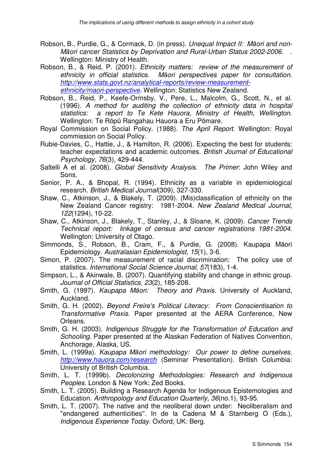- Robson, B., Purdie, G., & Cormack, D. (in press). Unequal Impact II: Māori and non-Māori cancer Statistics by Deprivation and Rural-Urban Status 2002-2006. . Wellington: Ministry of Health.
- Robson, B., & Reid, P. (2001). Ethnicity matters: review of the measurement of ethnicity in official statistics. Māori perspectives paper for consultation. http://www.stats.govt.nz/analytical-reports/review-measurementethnicity/maori-perspective. Wellington: Statistics New Zealand.
- Robson, B., Reid, P., Keefe-Ormsby, V., Pere, L., Malcolm, G., Scott, N., et al. (1996). A method for auditing the collection of ethnicity data in hospital statistics: a report to Te Kete Hauora, Ministry of Health, Wellington. Wellington: Te Rōpū Rangahau Hauora a Eru Pōmare.
- Royal Commission on Social Policy. (1988). The April Report. Wellington: Royal commission on Social Policy.
- Rubie-Davies, C., Hattie, J., & Hamilton, R. (2006). Expecting the best for students: teacher expectations and academic outcomes. British Journal of Educational Psychology, 76(3), 429-444.
- Saltelli A et al. (2008). Global Sensitivity Analysis. The Primer: John Wiley and Sons.
- Senior, P. A., & Bhopal, R. (1994). Ethnicity as a variable in epidemiological research. British Medical Journal(309), 327-330.
- Shaw, C., Atkinson, J., & Blakely, T. (2009). (Mis)classification of ethnicity on the New Zealand Cancer registry: 1981-2004. New Zealand Medical Journal, 122(1294), 10-22.
- Shaw, C., Atkinson, J., Blakely, T., Stanley, J., & Sloane, K. (2009). Cancer Trends Technical report: linkage of census and cancer registrations 1981-2004. Wellington: University of Otago.
- Simmonds, S., Robson, B., Cram, F., & Purdie, G. (2008). Kaupapa Māori Epidemiology. Australasian Epidemiologist, 15(1), 3-6.
- Simon, P. (2007). The measurement of racial discrimination: The policy use of statistics. International Social Science Journal, 57(183), 1-4.
- Simpson, L., & Akinwale, B. (2007). Quantifying stability and change in ethnic group. Journal of Official Statistics, 23(2), 185-208.
- Smith, G. (1997). Kaupapa Māori: Theory and Praxis. University of Auckland, Auckland.
- Smith, G. H. (2002). Beyond Freire's Political Literacy: From Conscientisation to Transformative Praxis. Paper presented at the AERA Conference, New Orleans.
- Smith, G. H. (2003). Indigenous Struggle for the Transformation of Education and Schooling. Paper presented at the Alaskan Federation of Natives Convention, Anchorage, Alaska, US.
- Smith, L. (1999a). Kaupapa Māori methodology: Our power to define ourselves. http://www.hauora.com/research (Seminar Presentation). British Columbia: University of British Columbia.
- Smith, L. T. (1999b). Decolonizing Methodologies: Research and Indigenous Peoples. London & New York: Zed Books.
- Smith, L. T. (2005). Building a Research Agenda for Indigenous Epistemologies and Education. Anthropology and Education Quarterly, 36(no.1), 93-95.
- Smith, L. T. (2007). The native and the neoliberal down under: Neoliberalism and ''endangered authenticities''. In de la Cadena M & Starnberg O (Eds.), Indigenous Experience Today. Oxford, UK: Berg.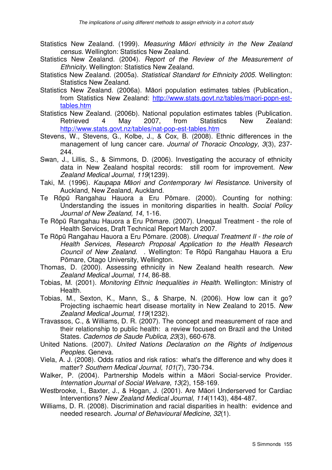- Statistics New Zealand. (1999). Measuring Māori ethnicity in the New Zealand census. Wellington: Statistics New Zealand.
- Statistics New Zealand. (2004). Report of the Review of the Measurement of Ethnicity. Wellington: Statistics New Zealand.
- Statistics New Zealand. (2005a). Statistical Standard for Ethnicity 2005. Wellington: Statistics New Zealand.
- Statistics New Zealand. (2006a). Māori population estimates tables (Publication., from Statistics New Zealand: http://www.stats.govt.nz/tables/maori-popn-esttables.htm
- Statistics New Zealand. (2006b). National population estimates tables (Publication. Retrieved 4 May 2007, from Statistics New Zealand: http://www.stats.govt.nz/tables/nat-pop-est-tables.htm
- Stevens, W., Stevens, G., Kolbe, J., & Cox, B. (2008). Ethnic differences in the management of lung cancer care. Journal of Thoracic Oncology, 3(3), 237- 244.
- Swan, J., Lillis, S., & Simmons, D. (2006). Investigating the accuracy of ethnicity data in New Zealand hospital records: still room for improvement. New Zealand Medical Journal, 119(1239).
- Taki, M. (1996). Kaupapa Māori and Contemporary Iwi Resistance. University of Auckland, New Zealand, Auckland.
- Te Rōpū Rangahau Hauora a Eru Pōmare. (2000). Counting for nothing: Understanding the issues in monitoring disparities in health. Social Policy Journal of New Zealand, 14, 1-16.
- Te Rōpū Rangahau Hauora a Eru Pōmare. (2007). Unequal Treatment the role of Health Services, Draft Technical Report March 2007.
- Te Rōpū Rangahau Hauora a Eru Pōmare. (2008). Unequal Treatment II the role of Health Services, Research Proposal Application to the Health Research Council of New Zealand. . Wellington: Te Rōpū Rangahau Hauora a Eru Pōmare, Otago University, Wellington.
- Thomas, D. (2000). Assessing ethnicity in New Zealand health research. New Zealand Medical Journal, 114, 86-88.
- Tobias, M. (2001). Monitoring Ethnic Inequalities in Health. Wellington: Ministry of Health.
- Tobias, M., Sexton, K., Mann, S., & Sharpe, N. (2006). How low can it go? Projecting ischaemic heart disease mortality in New Zealand to 2015. New Zealand Medical Journal, 119(1232).
- Travassos, C., & Williams, D. R. (2007). The concept and measurement of race and their relationship to public health: a review focused on Brazil and the United States. Cadernos de Saude Publica, 23(3), 660-678.
- United Nations. (2007). United Nations Declaration on the Rights of Indigenous Peoples. Geneva.
- Viela, A. J. (2008). Odds ratios and risk ratios: what's the difference and why does it matter? Southern Medical Journal, 101(7), 730-734.
- Walker, P. (2004). Partnership Models within a Māori Social-service Provider. Internation Journal of Social Welvare, 13(2), 158-169.
- Westbrooke, I., Baxter, J., & Hogan, J. (2001). Are Māori Underserved for Cardiac Interventions? New Zealand Medical Journal, 114(1143), 484-487.
- Williams, D. R. (2008). Discrimination and racial disparities in health: evidence and needed research. Journal of Behavioural Medicine, 32(1).